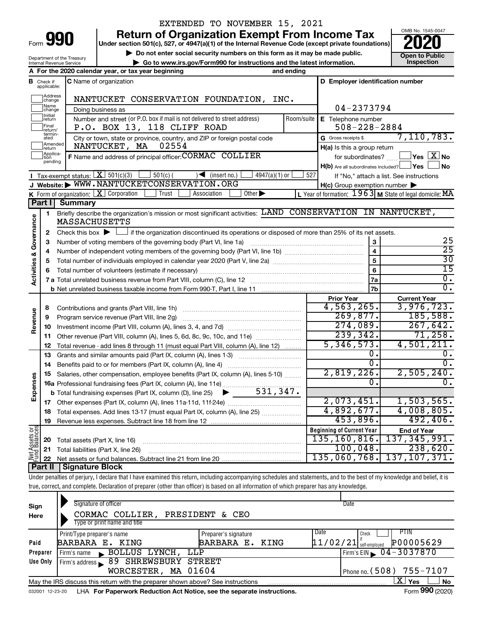Department of the Treasury Internal Revenue Service

# EXTENDED TO NOVEMBER 15, 2021

**990** Return of Organization Exempt From Income Tax <br>
Under section 501(c), 527, or 4947(a)(1) of the Internal Revenue Code (except private foundations)<br> **PO20** 

**▶ Do not enter social security numbers on this form as it may be made public. Open to Public**<br>
inspection instructions and the latest information. Inspection **| Go to www.irs.gov/Form990 for instructions and the latest information. Inspection**

OMB No. 1545-0047

| D Employer identification number<br><b>C</b> Name of organization<br><b>B</b> Check if applicable:<br>Address<br>change<br>NANTUCKET CONSERVATION FOUNDATION, INC.<br>Name<br>change<br>04-2373794<br>Doing business as<br>Initial<br>Number and street (or P.O. box if mail is not delivered to street address)<br>Room/suite<br>E Telephone number<br>return<br>P.O. BOX 13, 118 CLIFF ROAD<br>$508 - 228 - 2884$<br>Final<br>return/<br>termin-<br>7,110,783.<br>G Gross receipts \$<br>City or town, state or province, country, and ZIP or foreign postal code<br>ated<br>Amended<br>02554<br>NANTUCKET, MA<br>H(a) Is this a group return<br>return<br>Applica-<br>tion<br>F Name and address of principal officer: CORMAC COLLIER<br>$\sqrt{}$ Yes $\sqrt{X}$ No<br>for subordinates?<br>pending<br>H(b) Are all subordinates included? Ves<br>∫ No<br>Tax-exempt status: $X \mid 501(c)(3)$<br>$501(c)$ (<br>$4947(a)(1)$ or<br>$\sqrt{\bullet}$ (insert no.)<br>527<br>If "No," attach a list. See instructions<br>J Website: WWW.NANTUCKETCONSERVATION.ORG<br>$H(c)$ Group exemption number $\blacktriangleright$<br>K Form of organization: $X$ Corporation<br>L Year of formation: $1963$ M State of legal domicile: MA<br>Association<br>Other $\blacktriangleright$<br>Trust<br>Part I<br><b>Summary</b><br>Briefly describe the organization's mission or most significant activities: LAND CONSERVATION IN NANTUCKET,<br>1<br>Governance<br><b>MASSACHUSETTS</b><br>if the organization discontinued its operations or disposed of more than 25% of its net assets.<br>Check this box $\blacktriangleright$ $\Box$<br>2<br>25<br>3<br>з<br>$\overline{25}$<br>4<br>4<br>Activities &<br>$\overline{30}$<br>5<br>5<br>15<br>6<br>6<br>$\overline{0}$ .<br><b>7a</b><br>$\overline{0}$ .<br>7b<br><b>Current Year</b><br><b>Prior Year</b><br>4,563,265.<br>3,976,723.<br>8<br>Revenue<br>269,877.<br>185,588.<br>Program service revenue (Part VIII, line 2g)<br>9<br>274,089.<br>267,642.<br>10<br>239,342.<br>71,258.<br>Other revenue (Part VIII, column (A), lines 5, 6d, 8c, 9c, 10c, and 11e)<br>11<br>5,346,573.<br>4,501,211.<br>Total revenue - add lines 8 through 11 (must equal Part VIII, column (A), line 12)<br>12<br>0.<br>υ.<br>Grants and similar amounts paid (Part IX, column (A), lines 1-3)<br>13<br>$\overline{0}$ .<br>0.<br>14<br>2,819,226.<br>2,505,240.<br>Salaries, other compensation, employee benefits (Part IX, column (A), lines 5-10)<br>15<br>Expenses<br>Ω.<br>$0$ .<br>16a Professional fundraising fees (Part IX, column (A), line 11e)<br>531, 347.<br><b>b</b> Total fundraising expenses (Part IX, column (D), line 25) $\blacktriangleright$<br>1,503,565.<br>2,073,451.<br>17<br>4,892,677.<br>4,008,805.<br>18 Total expenses. Add lines 13-17 (must equal Part IX, column (A), line 25)<br>453,896.<br>492,406.<br>Revenue less expenses. Subtract line 18 from line 12<br>19<br>Net Assets or<br>Fund Balances<br><b>Beginning of Current Year</b><br><b>End of Year</b><br>135, 160, 816.<br>137, 345, 991.<br>Total assets (Part X, line 16)<br>20<br>100,048.<br>238,620.<br>Total liabilities (Part X, line 26)<br>21<br>135,060,768.<br>137, 107, 371.<br>22<br>Part II<br><b>Signature Block</b><br>Under penalties of perjury, I declare that I have examined this return, including accompanying schedules and statements, and to the best of my knowledge and belief, it is<br>true, correct, and complete. Declaration of preparer (other than officer) is based on all information of which preparer has any knowledge. |  | A For the 2020 calendar year, or tax year beginning | and ending |  |
|--------------------------------------------------------------------------------------------------------------------------------------------------------------------------------------------------------------------------------------------------------------------------------------------------------------------------------------------------------------------------------------------------------------------------------------------------------------------------------------------------------------------------------------------------------------------------------------------------------------------------------------------------------------------------------------------------------------------------------------------------------------------------------------------------------------------------------------------------------------------------------------------------------------------------------------------------------------------------------------------------------------------------------------------------------------------------------------------------------------------------------------------------------------------------------------------------------------------------------------------------------------------------------------------------------------------------------------------------------------------------------------------------------------------------------------------------------------------------------------------------------------------------------------------------------------------------------------------------------------------------------------------------------------------------------------------------------------------------------------------------------------------------------------------------------------------------------------------------------------------------------------------------------------------------------------------------------------------------------------------------------------------------------------------------------------------------------------------------------------------------------------------------------------------------------------------------------------------------------------------------------------------------------------------------------------------------------------------------------------------------------------------------------------------------------------------------------------------------------------------------------------------------------------------------------------------------------------------------------------------------------------------------------------------------------------------------------------------------------------------------------------------------------------------------------------------------------------------------------------------------------------------------------------------------------------------------------------------------------------------------------------------------------------------------------------------------------------------------------------------------------------------------------------------------------------------------------------------------------------------------------------------------------------------------------------------------------------------------------------------------------------------------------------------------------------------------------------------------------------------------------------------------------------------------------------------------------------------------|--|-----------------------------------------------------|------------|--|
|                                                                                                                                                                                                                                                                                                                                                                                                                                                                                                                                                                                                                                                                                                                                                                                                                                                                                                                                                                                                                                                                                                                                                                                                                                                                                                                                                                                                                                                                                                                                                                                                                                                                                                                                                                                                                                                                                                                                                                                                                                                                                                                                                                                                                                                                                                                                                                                                                                                                                                                                                                                                                                                                                                                                                                                                                                                                                                                                                                                                                                                                                                                                                                                                                                                                                                                                                                                                                                                                                                                                                                                                  |  |                                                     |            |  |
|                                                                                                                                                                                                                                                                                                                                                                                                                                                                                                                                                                                                                                                                                                                                                                                                                                                                                                                                                                                                                                                                                                                                                                                                                                                                                                                                                                                                                                                                                                                                                                                                                                                                                                                                                                                                                                                                                                                                                                                                                                                                                                                                                                                                                                                                                                                                                                                                                                                                                                                                                                                                                                                                                                                                                                                                                                                                                                                                                                                                                                                                                                                                                                                                                                                                                                                                                                                                                                                                                                                                                                                                  |  |                                                     |            |  |
|                                                                                                                                                                                                                                                                                                                                                                                                                                                                                                                                                                                                                                                                                                                                                                                                                                                                                                                                                                                                                                                                                                                                                                                                                                                                                                                                                                                                                                                                                                                                                                                                                                                                                                                                                                                                                                                                                                                                                                                                                                                                                                                                                                                                                                                                                                                                                                                                                                                                                                                                                                                                                                                                                                                                                                                                                                                                                                                                                                                                                                                                                                                                                                                                                                                                                                                                                                                                                                                                                                                                                                                                  |  |                                                     |            |  |
|                                                                                                                                                                                                                                                                                                                                                                                                                                                                                                                                                                                                                                                                                                                                                                                                                                                                                                                                                                                                                                                                                                                                                                                                                                                                                                                                                                                                                                                                                                                                                                                                                                                                                                                                                                                                                                                                                                                                                                                                                                                                                                                                                                                                                                                                                                                                                                                                                                                                                                                                                                                                                                                                                                                                                                                                                                                                                                                                                                                                                                                                                                                                                                                                                                                                                                                                                                                                                                                                                                                                                                                                  |  |                                                     |            |  |
|                                                                                                                                                                                                                                                                                                                                                                                                                                                                                                                                                                                                                                                                                                                                                                                                                                                                                                                                                                                                                                                                                                                                                                                                                                                                                                                                                                                                                                                                                                                                                                                                                                                                                                                                                                                                                                                                                                                                                                                                                                                                                                                                                                                                                                                                                                                                                                                                                                                                                                                                                                                                                                                                                                                                                                                                                                                                                                                                                                                                                                                                                                                                                                                                                                                                                                                                                                                                                                                                                                                                                                                                  |  |                                                     |            |  |
|                                                                                                                                                                                                                                                                                                                                                                                                                                                                                                                                                                                                                                                                                                                                                                                                                                                                                                                                                                                                                                                                                                                                                                                                                                                                                                                                                                                                                                                                                                                                                                                                                                                                                                                                                                                                                                                                                                                                                                                                                                                                                                                                                                                                                                                                                                                                                                                                                                                                                                                                                                                                                                                                                                                                                                                                                                                                                                                                                                                                                                                                                                                                                                                                                                                                                                                                                                                                                                                                                                                                                                                                  |  |                                                     |            |  |
|                                                                                                                                                                                                                                                                                                                                                                                                                                                                                                                                                                                                                                                                                                                                                                                                                                                                                                                                                                                                                                                                                                                                                                                                                                                                                                                                                                                                                                                                                                                                                                                                                                                                                                                                                                                                                                                                                                                                                                                                                                                                                                                                                                                                                                                                                                                                                                                                                                                                                                                                                                                                                                                                                                                                                                                                                                                                                                                                                                                                                                                                                                                                                                                                                                                                                                                                                                                                                                                                                                                                                                                                  |  |                                                     |            |  |
|                                                                                                                                                                                                                                                                                                                                                                                                                                                                                                                                                                                                                                                                                                                                                                                                                                                                                                                                                                                                                                                                                                                                                                                                                                                                                                                                                                                                                                                                                                                                                                                                                                                                                                                                                                                                                                                                                                                                                                                                                                                                                                                                                                                                                                                                                                                                                                                                                                                                                                                                                                                                                                                                                                                                                                                                                                                                                                                                                                                                                                                                                                                                                                                                                                                                                                                                                                                                                                                                                                                                                                                                  |  |                                                     |            |  |
|                                                                                                                                                                                                                                                                                                                                                                                                                                                                                                                                                                                                                                                                                                                                                                                                                                                                                                                                                                                                                                                                                                                                                                                                                                                                                                                                                                                                                                                                                                                                                                                                                                                                                                                                                                                                                                                                                                                                                                                                                                                                                                                                                                                                                                                                                                                                                                                                                                                                                                                                                                                                                                                                                                                                                                                                                                                                                                                                                                                                                                                                                                                                                                                                                                                                                                                                                                                                                                                                                                                                                                                                  |  |                                                     |            |  |
|                                                                                                                                                                                                                                                                                                                                                                                                                                                                                                                                                                                                                                                                                                                                                                                                                                                                                                                                                                                                                                                                                                                                                                                                                                                                                                                                                                                                                                                                                                                                                                                                                                                                                                                                                                                                                                                                                                                                                                                                                                                                                                                                                                                                                                                                                                                                                                                                                                                                                                                                                                                                                                                                                                                                                                                                                                                                                                                                                                                                                                                                                                                                                                                                                                                                                                                                                                                                                                                                                                                                                                                                  |  |                                                     |            |  |
|                                                                                                                                                                                                                                                                                                                                                                                                                                                                                                                                                                                                                                                                                                                                                                                                                                                                                                                                                                                                                                                                                                                                                                                                                                                                                                                                                                                                                                                                                                                                                                                                                                                                                                                                                                                                                                                                                                                                                                                                                                                                                                                                                                                                                                                                                                                                                                                                                                                                                                                                                                                                                                                                                                                                                                                                                                                                                                                                                                                                                                                                                                                                                                                                                                                                                                                                                                                                                                                                                                                                                                                                  |  |                                                     |            |  |
|                                                                                                                                                                                                                                                                                                                                                                                                                                                                                                                                                                                                                                                                                                                                                                                                                                                                                                                                                                                                                                                                                                                                                                                                                                                                                                                                                                                                                                                                                                                                                                                                                                                                                                                                                                                                                                                                                                                                                                                                                                                                                                                                                                                                                                                                                                                                                                                                                                                                                                                                                                                                                                                                                                                                                                                                                                                                                                                                                                                                                                                                                                                                                                                                                                                                                                                                                                                                                                                                                                                                                                                                  |  |                                                     |            |  |
|                                                                                                                                                                                                                                                                                                                                                                                                                                                                                                                                                                                                                                                                                                                                                                                                                                                                                                                                                                                                                                                                                                                                                                                                                                                                                                                                                                                                                                                                                                                                                                                                                                                                                                                                                                                                                                                                                                                                                                                                                                                                                                                                                                                                                                                                                                                                                                                                                                                                                                                                                                                                                                                                                                                                                                                                                                                                                                                                                                                                                                                                                                                                                                                                                                                                                                                                                                                                                                                                                                                                                                                                  |  |                                                     |            |  |
|                                                                                                                                                                                                                                                                                                                                                                                                                                                                                                                                                                                                                                                                                                                                                                                                                                                                                                                                                                                                                                                                                                                                                                                                                                                                                                                                                                                                                                                                                                                                                                                                                                                                                                                                                                                                                                                                                                                                                                                                                                                                                                                                                                                                                                                                                                                                                                                                                                                                                                                                                                                                                                                                                                                                                                                                                                                                                                                                                                                                                                                                                                                                                                                                                                                                                                                                                                                                                                                                                                                                                                                                  |  |                                                     |            |  |
|                                                                                                                                                                                                                                                                                                                                                                                                                                                                                                                                                                                                                                                                                                                                                                                                                                                                                                                                                                                                                                                                                                                                                                                                                                                                                                                                                                                                                                                                                                                                                                                                                                                                                                                                                                                                                                                                                                                                                                                                                                                                                                                                                                                                                                                                                                                                                                                                                                                                                                                                                                                                                                                                                                                                                                                                                                                                                                                                                                                                                                                                                                                                                                                                                                                                                                                                                                                                                                                                                                                                                                                                  |  |                                                     |            |  |
|                                                                                                                                                                                                                                                                                                                                                                                                                                                                                                                                                                                                                                                                                                                                                                                                                                                                                                                                                                                                                                                                                                                                                                                                                                                                                                                                                                                                                                                                                                                                                                                                                                                                                                                                                                                                                                                                                                                                                                                                                                                                                                                                                                                                                                                                                                                                                                                                                                                                                                                                                                                                                                                                                                                                                                                                                                                                                                                                                                                                                                                                                                                                                                                                                                                                                                                                                                                                                                                                                                                                                                                                  |  |                                                     |            |  |
|                                                                                                                                                                                                                                                                                                                                                                                                                                                                                                                                                                                                                                                                                                                                                                                                                                                                                                                                                                                                                                                                                                                                                                                                                                                                                                                                                                                                                                                                                                                                                                                                                                                                                                                                                                                                                                                                                                                                                                                                                                                                                                                                                                                                                                                                                                                                                                                                                                                                                                                                                                                                                                                                                                                                                                                                                                                                                                                                                                                                                                                                                                                                                                                                                                                                                                                                                                                                                                                                                                                                                                                                  |  |                                                     |            |  |
|                                                                                                                                                                                                                                                                                                                                                                                                                                                                                                                                                                                                                                                                                                                                                                                                                                                                                                                                                                                                                                                                                                                                                                                                                                                                                                                                                                                                                                                                                                                                                                                                                                                                                                                                                                                                                                                                                                                                                                                                                                                                                                                                                                                                                                                                                                                                                                                                                                                                                                                                                                                                                                                                                                                                                                                                                                                                                                                                                                                                                                                                                                                                                                                                                                                                                                                                                                                                                                                                                                                                                                                                  |  |                                                     |            |  |
|                                                                                                                                                                                                                                                                                                                                                                                                                                                                                                                                                                                                                                                                                                                                                                                                                                                                                                                                                                                                                                                                                                                                                                                                                                                                                                                                                                                                                                                                                                                                                                                                                                                                                                                                                                                                                                                                                                                                                                                                                                                                                                                                                                                                                                                                                                                                                                                                                                                                                                                                                                                                                                                                                                                                                                                                                                                                                                                                                                                                                                                                                                                                                                                                                                                                                                                                                                                                                                                                                                                                                                                                  |  |                                                     |            |  |
|                                                                                                                                                                                                                                                                                                                                                                                                                                                                                                                                                                                                                                                                                                                                                                                                                                                                                                                                                                                                                                                                                                                                                                                                                                                                                                                                                                                                                                                                                                                                                                                                                                                                                                                                                                                                                                                                                                                                                                                                                                                                                                                                                                                                                                                                                                                                                                                                                                                                                                                                                                                                                                                                                                                                                                                                                                                                                                                                                                                                                                                                                                                                                                                                                                                                                                                                                                                                                                                                                                                                                                                                  |  |                                                     |            |  |
|                                                                                                                                                                                                                                                                                                                                                                                                                                                                                                                                                                                                                                                                                                                                                                                                                                                                                                                                                                                                                                                                                                                                                                                                                                                                                                                                                                                                                                                                                                                                                                                                                                                                                                                                                                                                                                                                                                                                                                                                                                                                                                                                                                                                                                                                                                                                                                                                                                                                                                                                                                                                                                                                                                                                                                                                                                                                                                                                                                                                                                                                                                                                                                                                                                                                                                                                                                                                                                                                                                                                                                                                  |  |                                                     |            |  |
|                                                                                                                                                                                                                                                                                                                                                                                                                                                                                                                                                                                                                                                                                                                                                                                                                                                                                                                                                                                                                                                                                                                                                                                                                                                                                                                                                                                                                                                                                                                                                                                                                                                                                                                                                                                                                                                                                                                                                                                                                                                                                                                                                                                                                                                                                                                                                                                                                                                                                                                                                                                                                                                                                                                                                                                                                                                                                                                                                                                                                                                                                                                                                                                                                                                                                                                                                                                                                                                                                                                                                                                                  |  |                                                     |            |  |
|                                                                                                                                                                                                                                                                                                                                                                                                                                                                                                                                                                                                                                                                                                                                                                                                                                                                                                                                                                                                                                                                                                                                                                                                                                                                                                                                                                                                                                                                                                                                                                                                                                                                                                                                                                                                                                                                                                                                                                                                                                                                                                                                                                                                                                                                                                                                                                                                                                                                                                                                                                                                                                                                                                                                                                                                                                                                                                                                                                                                                                                                                                                                                                                                                                                                                                                                                                                                                                                                                                                                                                                                  |  |                                                     |            |  |
|                                                                                                                                                                                                                                                                                                                                                                                                                                                                                                                                                                                                                                                                                                                                                                                                                                                                                                                                                                                                                                                                                                                                                                                                                                                                                                                                                                                                                                                                                                                                                                                                                                                                                                                                                                                                                                                                                                                                                                                                                                                                                                                                                                                                                                                                                                                                                                                                                                                                                                                                                                                                                                                                                                                                                                                                                                                                                                                                                                                                                                                                                                                                                                                                                                                                                                                                                                                                                                                                                                                                                                                                  |  |                                                     |            |  |
|                                                                                                                                                                                                                                                                                                                                                                                                                                                                                                                                                                                                                                                                                                                                                                                                                                                                                                                                                                                                                                                                                                                                                                                                                                                                                                                                                                                                                                                                                                                                                                                                                                                                                                                                                                                                                                                                                                                                                                                                                                                                                                                                                                                                                                                                                                                                                                                                                                                                                                                                                                                                                                                                                                                                                                                                                                                                                                                                                                                                                                                                                                                                                                                                                                                                                                                                                                                                                                                                                                                                                                                                  |  |                                                     |            |  |
|                                                                                                                                                                                                                                                                                                                                                                                                                                                                                                                                                                                                                                                                                                                                                                                                                                                                                                                                                                                                                                                                                                                                                                                                                                                                                                                                                                                                                                                                                                                                                                                                                                                                                                                                                                                                                                                                                                                                                                                                                                                                                                                                                                                                                                                                                                                                                                                                                                                                                                                                                                                                                                                                                                                                                                                                                                                                                                                                                                                                                                                                                                                                                                                                                                                                                                                                                                                                                                                                                                                                                                                                  |  |                                                     |            |  |
|                                                                                                                                                                                                                                                                                                                                                                                                                                                                                                                                                                                                                                                                                                                                                                                                                                                                                                                                                                                                                                                                                                                                                                                                                                                                                                                                                                                                                                                                                                                                                                                                                                                                                                                                                                                                                                                                                                                                                                                                                                                                                                                                                                                                                                                                                                                                                                                                                                                                                                                                                                                                                                                                                                                                                                                                                                                                                                                                                                                                                                                                                                                                                                                                                                                                                                                                                                                                                                                                                                                                                                                                  |  |                                                     |            |  |
|                                                                                                                                                                                                                                                                                                                                                                                                                                                                                                                                                                                                                                                                                                                                                                                                                                                                                                                                                                                                                                                                                                                                                                                                                                                                                                                                                                                                                                                                                                                                                                                                                                                                                                                                                                                                                                                                                                                                                                                                                                                                                                                                                                                                                                                                                                                                                                                                                                                                                                                                                                                                                                                                                                                                                                                                                                                                                                                                                                                                                                                                                                                                                                                                                                                                                                                                                                                                                                                                                                                                                                                                  |  |                                                     |            |  |
|                                                                                                                                                                                                                                                                                                                                                                                                                                                                                                                                                                                                                                                                                                                                                                                                                                                                                                                                                                                                                                                                                                                                                                                                                                                                                                                                                                                                                                                                                                                                                                                                                                                                                                                                                                                                                                                                                                                                                                                                                                                                                                                                                                                                                                                                                                                                                                                                                                                                                                                                                                                                                                                                                                                                                                                                                                                                                                                                                                                                                                                                                                                                                                                                                                                                                                                                                                                                                                                                                                                                                                                                  |  |                                                     |            |  |
|                                                                                                                                                                                                                                                                                                                                                                                                                                                                                                                                                                                                                                                                                                                                                                                                                                                                                                                                                                                                                                                                                                                                                                                                                                                                                                                                                                                                                                                                                                                                                                                                                                                                                                                                                                                                                                                                                                                                                                                                                                                                                                                                                                                                                                                                                                                                                                                                                                                                                                                                                                                                                                                                                                                                                                                                                                                                                                                                                                                                                                                                                                                                                                                                                                                                                                                                                                                                                                                                                                                                                                                                  |  |                                                     |            |  |
|                                                                                                                                                                                                                                                                                                                                                                                                                                                                                                                                                                                                                                                                                                                                                                                                                                                                                                                                                                                                                                                                                                                                                                                                                                                                                                                                                                                                                                                                                                                                                                                                                                                                                                                                                                                                                                                                                                                                                                                                                                                                                                                                                                                                                                                                                                                                                                                                                                                                                                                                                                                                                                                                                                                                                                                                                                                                                                                                                                                                                                                                                                                                                                                                                                                                                                                                                                                                                                                                                                                                                                                                  |  |                                                     |            |  |
|                                                                                                                                                                                                                                                                                                                                                                                                                                                                                                                                                                                                                                                                                                                                                                                                                                                                                                                                                                                                                                                                                                                                                                                                                                                                                                                                                                                                                                                                                                                                                                                                                                                                                                                                                                                                                                                                                                                                                                                                                                                                                                                                                                                                                                                                                                                                                                                                                                                                                                                                                                                                                                                                                                                                                                                                                                                                                                                                                                                                                                                                                                                                                                                                                                                                                                                                                                                                                                                                                                                                                                                                  |  |                                                     |            |  |
|                                                                                                                                                                                                                                                                                                                                                                                                                                                                                                                                                                                                                                                                                                                                                                                                                                                                                                                                                                                                                                                                                                                                                                                                                                                                                                                                                                                                                                                                                                                                                                                                                                                                                                                                                                                                                                                                                                                                                                                                                                                                                                                                                                                                                                                                                                                                                                                                                                                                                                                                                                                                                                                                                                                                                                                                                                                                                                                                                                                                                                                                                                                                                                                                                                                                                                                                                                                                                                                                                                                                                                                                  |  |                                                     |            |  |
|                                                                                                                                                                                                                                                                                                                                                                                                                                                                                                                                                                                                                                                                                                                                                                                                                                                                                                                                                                                                                                                                                                                                                                                                                                                                                                                                                                                                                                                                                                                                                                                                                                                                                                                                                                                                                                                                                                                                                                                                                                                                                                                                                                                                                                                                                                                                                                                                                                                                                                                                                                                                                                                                                                                                                                                                                                                                                                                                                                                                                                                                                                                                                                                                                                                                                                                                                                                                                                                                                                                                                                                                  |  |                                                     |            |  |
|                                                                                                                                                                                                                                                                                                                                                                                                                                                                                                                                                                                                                                                                                                                                                                                                                                                                                                                                                                                                                                                                                                                                                                                                                                                                                                                                                                                                                                                                                                                                                                                                                                                                                                                                                                                                                                                                                                                                                                                                                                                                                                                                                                                                                                                                                                                                                                                                                                                                                                                                                                                                                                                                                                                                                                                                                                                                                                                                                                                                                                                                                                                                                                                                                                                                                                                                                                                                                                                                                                                                                                                                  |  |                                                     |            |  |
|                                                                                                                                                                                                                                                                                                                                                                                                                                                                                                                                                                                                                                                                                                                                                                                                                                                                                                                                                                                                                                                                                                                                                                                                                                                                                                                                                                                                                                                                                                                                                                                                                                                                                                                                                                                                                                                                                                                                                                                                                                                                                                                                                                                                                                                                                                                                                                                                                                                                                                                                                                                                                                                                                                                                                                                                                                                                                                                                                                                                                                                                                                                                                                                                                                                                                                                                                                                                                                                                                                                                                                                                  |  |                                                     |            |  |
|                                                                                                                                                                                                                                                                                                                                                                                                                                                                                                                                                                                                                                                                                                                                                                                                                                                                                                                                                                                                                                                                                                                                                                                                                                                                                                                                                                                                                                                                                                                                                                                                                                                                                                                                                                                                                                                                                                                                                                                                                                                                                                                                                                                                                                                                                                                                                                                                                                                                                                                                                                                                                                                                                                                                                                                                                                                                                                                                                                                                                                                                                                                                                                                                                                                                                                                                                                                                                                                                                                                                                                                                  |  |                                                     |            |  |
|                                                                                                                                                                                                                                                                                                                                                                                                                                                                                                                                                                                                                                                                                                                                                                                                                                                                                                                                                                                                                                                                                                                                                                                                                                                                                                                                                                                                                                                                                                                                                                                                                                                                                                                                                                                                                                                                                                                                                                                                                                                                                                                                                                                                                                                                                                                                                                                                                                                                                                                                                                                                                                                                                                                                                                                                                                                                                                                                                                                                                                                                                                                                                                                                                                                                                                                                                                                                                                                                                                                                                                                                  |  |                                                     |            |  |
|                                                                                                                                                                                                                                                                                                                                                                                                                                                                                                                                                                                                                                                                                                                                                                                                                                                                                                                                                                                                                                                                                                                                                                                                                                                                                                                                                                                                                                                                                                                                                                                                                                                                                                                                                                                                                                                                                                                                                                                                                                                                                                                                                                                                                                                                                                                                                                                                                                                                                                                                                                                                                                                                                                                                                                                                                                                                                                                                                                                                                                                                                                                                                                                                                                                                                                                                                                                                                                                                                                                                                                                                  |  |                                                     |            |  |
|                                                                                                                                                                                                                                                                                                                                                                                                                                                                                                                                                                                                                                                                                                                                                                                                                                                                                                                                                                                                                                                                                                                                                                                                                                                                                                                                                                                                                                                                                                                                                                                                                                                                                                                                                                                                                                                                                                                                                                                                                                                                                                                                                                                                                                                                                                                                                                                                                                                                                                                                                                                                                                                                                                                                                                                                                                                                                                                                                                                                                                                                                                                                                                                                                                                                                                                                                                                                                                                                                                                                                                                                  |  |                                                     |            |  |
|                                                                                                                                                                                                                                                                                                                                                                                                                                                                                                                                                                                                                                                                                                                                                                                                                                                                                                                                                                                                                                                                                                                                                                                                                                                                                                                                                                                                                                                                                                                                                                                                                                                                                                                                                                                                                                                                                                                                                                                                                                                                                                                                                                                                                                                                                                                                                                                                                                                                                                                                                                                                                                                                                                                                                                                                                                                                                                                                                                                                                                                                                                                                                                                                                                                                                                                                                                                                                                                                                                                                                                                                  |  |                                                     |            |  |

| Sign<br>Here | Signature of officer<br>CORMAC COLLIER,<br>Type or print name and title         | PRESIDENT & CEO      | Date                                  |
|--------------|---------------------------------------------------------------------------------|----------------------|---------------------------------------|
|              | Print/Type preparer's name                                                      | Preparer's signature | <b>PTIN</b><br>Date<br>Check          |
| Paid         | BARBARA E. KING                                                                 | BARBARA E. KING      | P00005629<br>$11/02/21$ self-employed |
| Preparer     | BOLLUS LYNCH, LLP<br>Firm's name                                                |                      | Firm's EIN $\sqrt{04-3037870}$        |
| Use Only     | Firm's address 89 SHREWSBURY STREET                                             |                      |                                       |
|              | WORCESTER, MA 01604                                                             |                      | Phone no. $(508)$ 755 - 7107          |
|              | May the IRS discuss this return with the preparer shown above? See instructions |                      | x.<br><b>No</b><br>Yes                |
|              |                                                                                 |                      | $\sim$                                |

032001 12-23-20 LHA **For Paperwork Reduction Act Notice, see the separate instructions.** Form 990 (2020)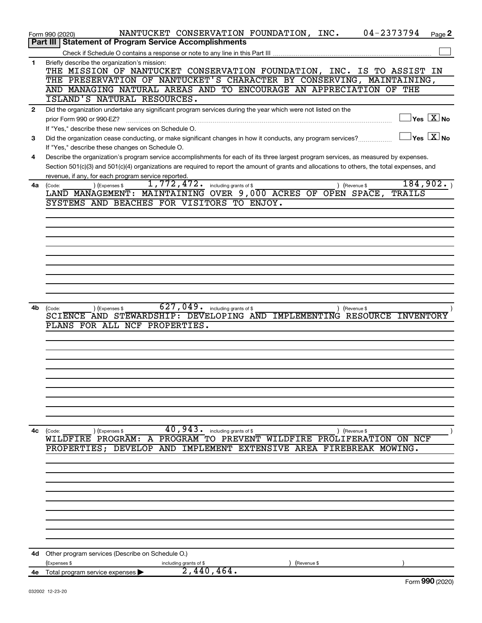|              | 04-2373794<br>NANTUCKET CONSERVATION FOUNDATION, INC.<br>Page 2<br>Form 990 (2020)                                                           |
|--------------|----------------------------------------------------------------------------------------------------------------------------------------------|
|              | <b>Statement of Program Service Accomplishments</b><br>Part III                                                                              |
|              |                                                                                                                                              |
| 1.           | Briefly describe the organization's mission:<br>THE MISSION OF NANTUCKET CONSERVATION FOUNDATION, INC. IS TO ASSIST IN                       |
|              | THE PRESERVATION OF NANTUCKET'S CHARACTER BY CONSERVING, MAINTAINING,                                                                        |
|              | AND MANAGING NATURAL AREAS AND TO ENCOURAGE AN APPRECIATION OF THE                                                                           |
|              | ISLAND'S NATURAL RESOURCES.                                                                                                                  |
| $\mathbf{2}$ | Did the organization undertake any significant program services during the year which were not listed on the                                 |
|              | $\Box$ Yes $[\overline{\mathrm{X}}]$ No<br>prior Form 990 or 990-EZ?                                                                         |
|              |                                                                                                                                              |
|              | If "Yes," describe these new services on Schedule O.<br>$\Box$ Yes $[\overline{\mathrm{X}}]$ No                                              |
| 3            | Did the organization cease conducting, or make significant changes in how it conducts, any program services?                                 |
|              | If "Yes," describe these changes on Schedule O.                                                                                              |
| 4            | Describe the organization's program service accomplishments for each of its three largest program services, as measured by expenses.         |
|              | Section 501(c)(3) and 501(c)(4) organizations are required to report the amount of grants and allocations to others, the total expenses, and |
|              | revenue, if any, for each program service reported.                                                                                          |
| 4a           | 184,902.<br>1,772,472. including grants of \$<br>) (Expenses \$<br>) (Revenue \$<br>(Code:                                                   |
|              | LAND MANAGEMENT: MAINTAINING OVER 9,000 ACRES OF OPEN SPACE,<br>TRAILS                                                                       |
|              | SYSTEMS AND BEACHES FOR VISITORS TO ENJOY.                                                                                                   |
|              |                                                                                                                                              |
|              |                                                                                                                                              |
|              |                                                                                                                                              |
|              |                                                                                                                                              |
|              |                                                                                                                                              |
|              |                                                                                                                                              |
|              |                                                                                                                                              |
|              |                                                                                                                                              |
|              |                                                                                                                                              |
|              |                                                                                                                                              |
| 4b           | $627,049$ . including grants of \$<br>(Expenses \$<br>) (Revenue \$<br>(Code:                                                                |
|              | SCIENCE AND STEWARDSHIP: DEVELOPING AND IMPLEMENTING RESOURCE INVENTORY                                                                      |
|              | PLANS FOR ALL NCF PROPERTIES.                                                                                                                |
|              |                                                                                                                                              |
|              |                                                                                                                                              |
|              |                                                                                                                                              |
|              |                                                                                                                                              |
|              |                                                                                                                                              |
|              |                                                                                                                                              |
|              |                                                                                                                                              |
|              |                                                                                                                                              |
|              |                                                                                                                                              |
|              |                                                                                                                                              |
|              |                                                                                                                                              |
| 4c           | 40,943.<br>including grants of \$<br>(Code:<br>) (Expenses \$<br>) (Revenue \$                                                               |
|              | A PROGRAM TO PREVENT WILDFIRE PROLIFERATION ON NCF<br>WILDFIRE PROGRAM:                                                                      |
|              | IMPLEMENT<br>PROPERTIES; DEVELOP<br>AND<br>EXTENSIVE AREA FIREBREAK MOWING.                                                                  |
|              |                                                                                                                                              |
|              |                                                                                                                                              |
|              |                                                                                                                                              |
|              |                                                                                                                                              |
|              |                                                                                                                                              |
|              |                                                                                                                                              |
|              |                                                                                                                                              |
|              |                                                                                                                                              |
|              |                                                                                                                                              |
|              |                                                                                                                                              |
|              |                                                                                                                                              |
| 4d           | Other program services (Describe on Schedule O.)                                                                                             |
|              | (Expenses \$<br>including grants of \$<br>(Revenue \$<br>2,440,464.                                                                          |
| 4e           | Total program service expenses<br>$000 \text{ hours}$                                                                                        |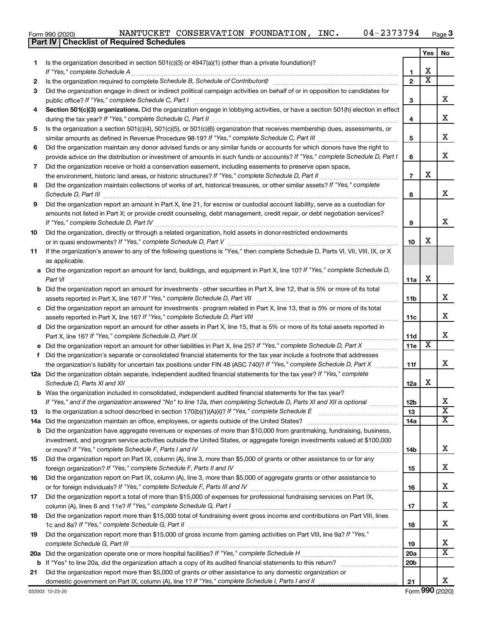| Form 990 (2020) |  |  | NANTUCKET CONSERVATION FOUNDATION, |  | INC. | 04-2373794 | Page |
|-----------------|--|--|------------------------------------|--|------|------------|------|
|-----------------|--|--|------------------------------------|--|------|------------|------|

**Part IV Checklist of Required Schedules**

|    |                                                                                                                                                                                                                                                           |                 | Yes                     | No                      |
|----|-----------------------------------------------------------------------------------------------------------------------------------------------------------------------------------------------------------------------------------------------------------|-----------------|-------------------------|-------------------------|
| 1. | Is the organization described in section $501(c)(3)$ or $4947(a)(1)$ (other than a private foundation)?                                                                                                                                                   |                 |                         |                         |
|    | If "Yes," complete Schedule A                                                                                                                                                                                                                             | 1               | х                       |                         |
| 2  | Is the organization required to complete Schedule B, Schedule of Contributors? [11] The organization required to complete Schedule B, Schedule of Contributors?                                                                                           | $\overline{2}$  | $\overline{\text{x}}$   |                         |
| 3  | Did the organization engage in direct or indirect political campaign activities on behalf of or in opposition to candidates for                                                                                                                           |                 |                         |                         |
|    | public office? If "Yes," complete Schedule C, Part I                                                                                                                                                                                                      | 3               |                         | x                       |
| 4  | Section 501(c)(3) organizations. Did the organization engage in lobbying activities, or have a section 501(h) election in effect                                                                                                                          |                 |                         |                         |
|    |                                                                                                                                                                                                                                                           | 4               |                         | х                       |
| 5  | Is the organization a section 501(c)(4), 501(c)(5), or 501(c)(6) organization that receives membership dues, assessments, or                                                                                                                              |                 |                         | х                       |
|    |                                                                                                                                                                                                                                                           | 5               |                         |                         |
| 6  | Did the organization maintain any donor advised funds or any similar funds or accounts for which donors have the right to<br>provide advice on the distribution or investment of amounts in such funds or accounts? If "Yes," complete Schedule D, Part I | 6               |                         | X                       |
| 7  | Did the organization receive or hold a conservation easement, including easements to preserve open space,                                                                                                                                                 |                 |                         |                         |
|    | the environment, historic land areas, or historic structures? If "Yes," complete Schedule D, Part II                                                                                                                                                      | $\overline{7}$  | х                       |                         |
| 8  | .<br>Did the organization maintain collections of works of art, historical treasures, or other similar assets? If "Yes," complete                                                                                                                         |                 |                         |                         |
|    |                                                                                                                                                                                                                                                           | 8               |                         | x                       |
| 9  | Did the organization report an amount in Part X, line 21, for escrow or custodial account liability, serve as a custodian for                                                                                                                             |                 |                         |                         |
|    | amounts not listed in Part X; or provide credit counseling, debt management, credit repair, or debt negotiation services?                                                                                                                                 |                 |                         |                         |
|    |                                                                                                                                                                                                                                                           | 9               |                         | х                       |
| 10 | Did the organization, directly or through a related organization, hold assets in donor-restricted endowments                                                                                                                                              |                 |                         |                         |
|    |                                                                                                                                                                                                                                                           | 10              | х                       |                         |
| 11 | If the organization's answer to any of the following questions is "Yes," then complete Schedule D, Parts VI, VII, VIII, IX, or X                                                                                                                          |                 |                         |                         |
|    | as applicable.                                                                                                                                                                                                                                            |                 |                         |                         |
|    | a Did the organization report an amount for land, buildings, and equipment in Part X, line 10? If "Yes," complete Schedule D,                                                                                                                             |                 |                         |                         |
|    | Part VI                                                                                                                                                                                                                                                   | 11a             | х                       |                         |
|    | <b>b</b> Did the organization report an amount for investments - other securities in Part X, line 12, that is 5% or more of its total                                                                                                                     |                 |                         |                         |
|    |                                                                                                                                                                                                                                                           | 11b             |                         | x                       |
|    | c Did the organization report an amount for investments - program related in Part X, line 13, that is 5% or more of its total                                                                                                                             |                 |                         |                         |
|    |                                                                                                                                                                                                                                                           | 11c             |                         | x                       |
|    | d Did the organization report an amount for other assets in Part X, line 15, that is 5% or more of its total assets reported in                                                                                                                           |                 |                         |                         |
|    |                                                                                                                                                                                                                                                           | 11d             | $\overline{\textbf{x}}$ | х                       |
|    |                                                                                                                                                                                                                                                           | 11e             |                         |                         |
| f  | Did the organization's separate or consolidated financial statements for the tax year include a footnote that addresses                                                                                                                                   |                 |                         | х                       |
|    | the organization's liability for uncertain tax positions under FIN 48 (ASC 740)? If "Yes," complete Schedule D, Part X<br>12a Did the organization obtain separate, independent audited financial statements for the tax year? If "Yes," complete         | 11f             |                         |                         |
|    | Schedule D, Parts XI and XII                                                                                                                                                                                                                              | 12a             | x                       |                         |
|    | <b>b</b> Was the organization included in consolidated, independent audited financial statements for the tax year?                                                                                                                                        |                 |                         |                         |
|    | If "Yes," and if the organization answered "No" to line 12a, then completing Schedule D, Parts XI and XII is optional                                                                                                                                     | 12b             |                         | ∡⊾                      |
| 13 |                                                                                                                                                                                                                                                           | 13              |                         | $\overline{\mathbf{X}}$ |
|    |                                                                                                                                                                                                                                                           | 14a             |                         | х                       |
|    | <b>b</b> Did the organization have aggregate revenues or expenses of more than \$10,000 from grantmaking, fundraising, business,                                                                                                                          |                 |                         |                         |
|    | investment, and program service activities outside the United States, or aggregate foreign investments valued at \$100,000                                                                                                                                |                 |                         |                         |
|    |                                                                                                                                                                                                                                                           | 14b             |                         | x                       |
| 15 | Did the organization report on Part IX, column (A), line 3, more than \$5,000 of grants or other assistance to or for any                                                                                                                                 |                 |                         |                         |
|    |                                                                                                                                                                                                                                                           | 15              |                         | x                       |
| 16 | Did the organization report on Part IX, column (A), line 3, more than \$5,000 of aggregate grants or other assistance to                                                                                                                                  |                 |                         |                         |
|    |                                                                                                                                                                                                                                                           | 16              |                         | х                       |
| 17 | Did the organization report a total of more than \$15,000 of expenses for professional fundraising services on Part IX,                                                                                                                                   |                 |                         |                         |
|    |                                                                                                                                                                                                                                                           | 17              |                         | х                       |
| 18 | Did the organization report more than \$15,000 total of fundraising event gross income and contributions on Part VIII, lines                                                                                                                              |                 |                         |                         |
|    |                                                                                                                                                                                                                                                           | 18              |                         | x                       |
| 19 | Did the organization report more than \$15,000 of gross income from gaming activities on Part VIII, line 9a? If "Yes,"                                                                                                                                    |                 |                         | х                       |
|    |                                                                                                                                                                                                                                                           | 19<br>20a       |                         | $\overline{\textbf{x}}$ |
|    |                                                                                                                                                                                                                                                           | 20 <sub>b</sub> |                         |                         |
| 21 | Did the organization report more than \$5,000 of grants or other assistance to any domestic organization or                                                                                                                                               |                 |                         |                         |
|    |                                                                                                                                                                                                                                                           | 21              |                         | x                       |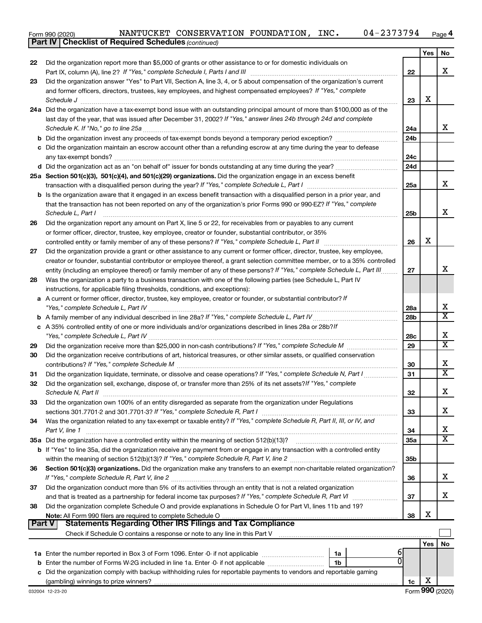Form 990 (2020) Page NANTUCKET CONSERVATION FOUNDATION, INC. 04-2373794

*(continued)* **Part IV Checklist of Required Schedules**

|        |                                                                                                                                                                                                                                                         |                 | Yes | No                      |
|--------|---------------------------------------------------------------------------------------------------------------------------------------------------------------------------------------------------------------------------------------------------------|-----------------|-----|-------------------------|
| 22     | Did the organization report more than \$5,000 of grants or other assistance to or for domestic individuals on                                                                                                                                           |                 |     |                         |
|        |                                                                                                                                                                                                                                                         | 22              |     | х                       |
| 23     | Did the organization answer "Yes" to Part VII, Section A, line 3, 4, or 5 about compensation of the organization's current                                                                                                                              |                 |     |                         |
|        | and former officers, directors, trustees, key employees, and highest compensated employees? If "Yes," complete                                                                                                                                          |                 |     |                         |
|        | Schedule J                                                                                                                                                                                                                                              | 23              | X   |                         |
|        | 24a Did the organization have a tax-exempt bond issue with an outstanding principal amount of more than \$100,000 as of the                                                                                                                             |                 |     |                         |
|        | last day of the year, that was issued after December 31, 2002? If "Yes," answer lines 24b through 24d and complete                                                                                                                                      |                 |     |                         |
|        |                                                                                                                                                                                                                                                         | 24a             |     | x                       |
|        |                                                                                                                                                                                                                                                         | 24 <sub>b</sub> |     |                         |
|        | c Did the organization maintain an escrow account other than a refunding escrow at any time during the year to defease                                                                                                                                  |                 |     |                         |
|        |                                                                                                                                                                                                                                                         | 24c             |     |                         |
|        |                                                                                                                                                                                                                                                         | 24d             |     |                         |
|        | 25a Section 501(c)(3), 501(c)(4), and 501(c)(29) organizations. Did the organization engage in an excess benefit                                                                                                                                        |                 |     | x                       |
|        |                                                                                                                                                                                                                                                         | 25a             |     |                         |
|        | b Is the organization aware that it engaged in an excess benefit transaction with a disqualified person in a prior year, and                                                                                                                            |                 |     |                         |
|        | that the transaction has not been reported on any of the organization's prior Forms 990 or 990-EZ? If "Yes," complete                                                                                                                                   |                 |     | х                       |
|        | Schedule L, Part I                                                                                                                                                                                                                                      | 25b             |     |                         |
| 26     | Did the organization report any amount on Part X, line 5 or 22, for receivables from or payables to any current                                                                                                                                         |                 |     |                         |
|        | or former officer, director, trustee, key employee, creator or founder, substantial contributor, or 35%                                                                                                                                                 |                 | х   |                         |
|        | controlled entity or family member of any of these persons? If "Yes," complete Schedule L, Part II                                                                                                                                                      | 26              |     |                         |
| 27     | Did the organization provide a grant or other assistance to any current or former officer, director, trustee, key employee,                                                                                                                             |                 |     |                         |
|        | creator or founder, substantial contributor or employee thereof, a grant selection committee member, or to a 35% controlled<br>entity (including an employee thereof) or family member of any of these persons? If "Yes," complete Schedule L, Part III | 27              |     | х                       |
| 28     | Was the organization a party to a business transaction with one of the following parties (see Schedule L, Part IV                                                                                                                                       |                 |     |                         |
|        | instructions, for applicable filing thresholds, conditions, and exceptions):                                                                                                                                                                            |                 |     |                         |
| а      | A current or former officer, director, trustee, key employee, creator or founder, or substantial contributor? If                                                                                                                                        |                 |     |                         |
|        |                                                                                                                                                                                                                                                         | 28a             |     | х                       |
|        |                                                                                                                                                                                                                                                         | 28 <sub>b</sub> |     | $\overline{\texttt{x}}$ |
|        | c A 35% controlled entity of one or more individuals and/or organizations described in lines 28a or 28b?/f                                                                                                                                              |                 |     |                         |
|        |                                                                                                                                                                                                                                                         | 28c             |     | х                       |
| 29     |                                                                                                                                                                                                                                                         | 29              |     | $\overline{\textbf{X}}$ |
| 30     | Did the organization receive contributions of art, historical treasures, or other similar assets, or qualified conservation                                                                                                                             |                 |     |                         |
|        |                                                                                                                                                                                                                                                         | 30              |     | х                       |
| 31     | Did the organization liquidate, terminate, or dissolve and cease operations? If "Yes," complete Schedule N, Part I                                                                                                                                      | 31              |     | X                       |
| 32     | Did the organization sell, exchange, dispose of, or transfer more than 25% of its net assets? If "Yes," complete                                                                                                                                        |                 |     |                         |
|        |                                                                                                                                                                                                                                                         | 32              |     | х                       |
| 33     | Did the organization own 100% of an entity disregarded as separate from the organization under Regulations                                                                                                                                              |                 |     |                         |
|        | sections 301.7701-2 and 301.7701-3? If "Yes," complete Schedule R, Part I                                                                                                                                                                               | 33              |     | х                       |
| 34     | Was the organization related to any tax-exempt or taxable entity? If "Yes," complete Schedule R, Part II, III, or IV, and                                                                                                                               |                 |     |                         |
|        | Part V, line 1                                                                                                                                                                                                                                          | 34              |     | x                       |
|        |                                                                                                                                                                                                                                                         | 35a             |     | X                       |
|        | b If "Yes" to line 35a, did the organization receive any payment from or engage in any transaction with a controlled entity                                                                                                                             |                 |     |                         |
|        |                                                                                                                                                                                                                                                         | 35b             |     |                         |
| 36     | Section 501(c)(3) organizations. Did the organization make any transfers to an exempt non-charitable related organization?                                                                                                                              |                 |     |                         |
|        |                                                                                                                                                                                                                                                         | 36              |     | x                       |
| 37     | Did the organization conduct more than 5% of its activities through an entity that is not a related organization                                                                                                                                        |                 |     |                         |
|        |                                                                                                                                                                                                                                                         | 37              |     | x                       |
| 38     | Did the organization complete Schedule O and provide explanations in Schedule O for Part VI, lines 11b and 19?                                                                                                                                          |                 |     |                         |
|        |                                                                                                                                                                                                                                                         | 38              | X   |                         |
| Part V | <b>Statements Regarding Other IRS Filings and Tax Compliance</b>                                                                                                                                                                                        |                 |     |                         |
|        | Check if Schedule O contains a response or note to any line in this Part V [11] [12] Check if Schedule O contains a response or note to any line in this Part V                                                                                         |                 |     |                         |
|        |                                                                                                                                                                                                                                                         |                 | Yes | No                      |
|        | 6<br>1a                                                                                                                                                                                                                                                 |                 |     |                         |
|        | 1 <sub>b</sub><br><b>b</b> Enter the number of Forms W-2G included in line 1a. Enter -0- if not applicable                                                                                                                                              |                 |     |                         |
|        | c Did the organization comply with backup withholding rules for reportable payments to vendors and reportable gaming                                                                                                                                    |                 |     |                         |
|        |                                                                                                                                                                                                                                                         | 1c              | х   |                         |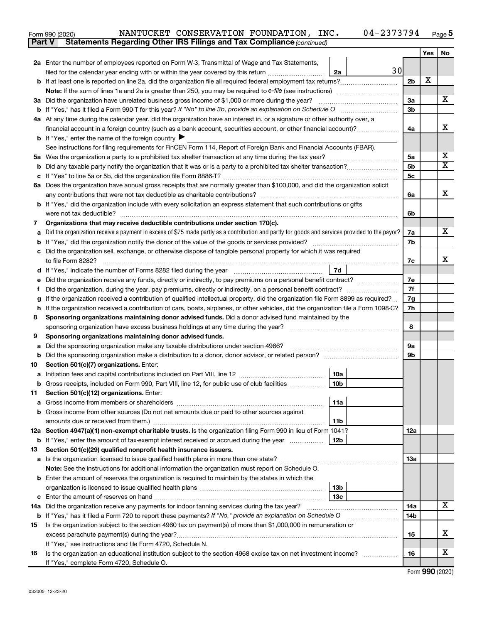| Form 990 (2020) |  | NANTUCKET CONSERVATION FOUNDATION,                                                  | INC. | 04-2373794 | Page |
|-----------------|--|-------------------------------------------------------------------------------------|------|------------|------|
|                 |  | <b>Part V</b> Statements Regarding Other IRS Filings and Tax Compliance (continued) |      |            |      |

|     |                                                                                                                                                 |                | Yes | No                      |  |  |
|-----|-------------------------------------------------------------------------------------------------------------------------------------------------|----------------|-----|-------------------------|--|--|
|     | 2a Enter the number of employees reported on Form W-3, Transmittal of Wage and Tax Statements,                                                  |                |     |                         |  |  |
|     | 30<br>filed for the calendar year ending with or within the year covered by this return <i>[[[[[[[[[[[[[]]]]</i><br>2a                          |                |     |                         |  |  |
|     |                                                                                                                                                 | 2 <sub>b</sub> | X   |                         |  |  |
|     | <b>Note:</b> If the sum of lines 1a and 2a is greater than 250, you may be required to e-file (see instructions) <i></i>                        |                |     |                         |  |  |
|     | 3a Did the organization have unrelated business gross income of \$1,000 or more during the year?                                                | За             |     | X.                      |  |  |
| b   |                                                                                                                                                 | 3b             |     |                         |  |  |
|     | 4a At any time during the calendar year, did the organization have an interest in, or a signature or other authority over, a                    |                |     |                         |  |  |
|     | financial account in a foreign country (such as a bank account, securities account, or other financial account)?                                | 4a             |     | x                       |  |  |
|     | <b>b</b> If "Yes," enter the name of the foreign country $\blacktriangleright$                                                                  |                |     |                         |  |  |
|     | See instructions for filing requirements for FinCEN Form 114, Report of Foreign Bank and Financial Accounts (FBAR).                             |                |     |                         |  |  |
|     |                                                                                                                                                 | 5a             |     | х                       |  |  |
| b   |                                                                                                                                                 | 5 <sub>b</sub> |     | X                       |  |  |
|     |                                                                                                                                                 | 5 <sub>c</sub> |     |                         |  |  |
| 6a  | Does the organization have annual gross receipts that are normally greater than \$100,000, and did the organization solicit                     |                |     |                         |  |  |
|     |                                                                                                                                                 | 6a             |     | х                       |  |  |
| b   | If "Yes," did the organization include with every solicitation an express statement that such contributions or gifts                            |                |     |                         |  |  |
|     | were not tax deductible?                                                                                                                        | 6b             |     |                         |  |  |
| 7   | Organizations that may receive deductible contributions under section 170(c).                                                                   |                |     | x.                      |  |  |
|     | Did the organization receive a payment in excess of \$75 made partly as a contribution and partly for goods and services provided to the payor? | 7a             |     |                         |  |  |
| b   |                                                                                                                                                 | 7b             |     |                         |  |  |
| с   | Did the organization sell, exchange, or otherwise dispose of tangible personal property for which it was required                               |                |     | x                       |  |  |
|     | 7d                                                                                                                                              | 7c             |     |                         |  |  |
|     | Did the organization receive any funds, directly or indirectly, to pay premiums on a personal benefit contract?                                 | 7e             |     |                         |  |  |
|     |                                                                                                                                                 |                |     |                         |  |  |
|     | If the organization received a contribution of qualified intellectual property, did the organization file Form 8899 as required?                |                |     |                         |  |  |
| h   | If the organization received a contribution of cars, boats, airplanes, or other vehicles, did the organization file a Form 1098-C?              |                |     |                         |  |  |
| 8   | Sponsoring organizations maintaining donor advised funds. Did a donor advised fund maintained by the                                            | 7h             |     |                         |  |  |
|     |                                                                                                                                                 | 8              |     |                         |  |  |
| 9   | Sponsoring organizations maintaining donor advised funds.                                                                                       |                |     |                         |  |  |
| а   | Did the sponsoring organization make any taxable distributions under section 4966?                                                              | 9а             |     |                         |  |  |
| b   | Did the sponsoring organization make a distribution to a donor, donor advisor, or related person?                                               | 9b             |     |                         |  |  |
| 10  | Section 501(c)(7) organizations. Enter:                                                                                                         |                |     |                         |  |  |
|     | 10a                                                                                                                                             |                |     |                         |  |  |
|     | 10 <sub>b</sub><br>Gross receipts, included on Form 990, Part VIII, line 12, for public use of club facilities                                  |                |     |                         |  |  |
| 11. | Section 501(c)(12) organizations. Enter:                                                                                                        |                |     |                         |  |  |
|     | 11a                                                                                                                                             |                |     |                         |  |  |
| b   | Gross income from other sources (Do not net amounts due or paid to other sources against                                                        |                |     |                         |  |  |
|     | amounts due or received from them.)<br>11b                                                                                                      |                |     |                         |  |  |
|     | 12a Section 4947(a)(1) non-exempt charitable trusts. Is the organization filing Form 990 in lieu of Form 1041?                                  | 12a            |     |                         |  |  |
| b   | 12b<br>If "Yes," enter the amount of tax-exempt interest received or accrued during the year                                                    |                |     |                         |  |  |
| 13  | Section 501(c)(29) qualified nonprofit health insurance issuers.                                                                                |                |     |                         |  |  |
|     | <b>a</b> Is the organization licensed to issue qualified health plans in more than one state?                                                   | 13a            |     |                         |  |  |
|     | Note: See the instructions for additional information the organization must report on Schedule O.                                               |                |     |                         |  |  |
|     | <b>b</b> Enter the amount of reserves the organization is required to maintain by the states in which the                                       |                |     |                         |  |  |
|     | 13 <sub>b</sub>                                                                                                                                 |                |     |                         |  |  |
| с   | 13с                                                                                                                                             |                |     |                         |  |  |
| 14a | Did the organization receive any payments for indoor tanning services during the tax year?                                                      | 14a<br>14b     |     | $\overline{\mathbf{x}}$ |  |  |
| b   | If "Yes," has it filed a Form 720 to report these payments? If "No," provide an explanation on Schedule O                                       |                |     |                         |  |  |
| 15  | Is the organization subject to the section 4960 tax on payment(s) of more than \$1,000,000 in remuneration or                                   |                |     | x                       |  |  |
|     | excess parachute payment(s) during the year?                                                                                                    | 15             |     |                         |  |  |
|     | If "Yes," see instructions and file Form 4720, Schedule N.                                                                                      |                |     | x                       |  |  |
| 16  | Is the organization an educational institution subject to the section 4968 excise tax on net investment income?                                 | 16             |     |                         |  |  |
|     | If "Yes," complete Form 4720, Schedule O.                                                                                                       |                |     |                         |  |  |

Form (2020) **990**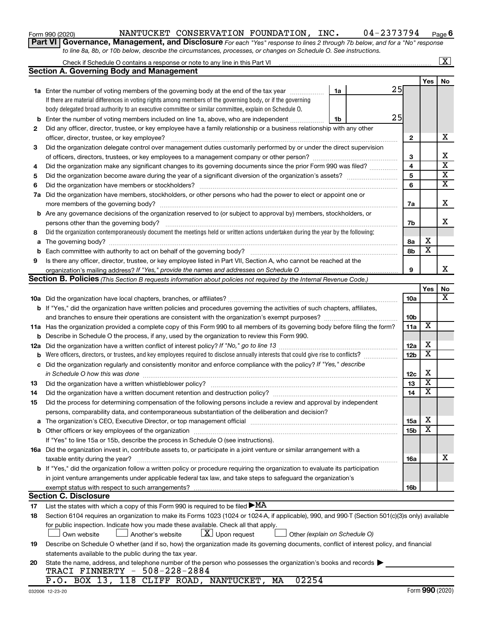| Form 990 (2020) |  |
|-----------------|--|
|-----------------|--|

l,

#### Form 990 (2020) Page NANTUCKET CONSERVATION FOUNDATION, INC. 04-2373794

**6**

**Part VI** Governance, Management, and Disclosure For each "Yes" response to lines 2 through 7b below, and for a "No" response *to line 8a, 8b, or 10b below, describe the circumstances, processes, or changes on Schedule O. See instructions.*

|     | Check if Schedule O contains a response or note to any line in this Part VI [11] [12] Check if Schedule O contains a response or note to any line in this Part VI                                                               |                 |                              | $\overline{\text{X}}$   |
|-----|---------------------------------------------------------------------------------------------------------------------------------------------------------------------------------------------------------------------------------|-----------------|------------------------------|-------------------------|
|     | <b>Section A. Governing Body and Management</b>                                                                                                                                                                                 |                 |                              |                         |
|     |                                                                                                                                                                                                                                 |                 | Yes                          | No.                     |
|     | 25<br>1a Enter the number of voting members of the governing body at the end of the tax year<br>1a                                                                                                                              |                 |                              |                         |
|     | If there are material differences in voting rights among members of the governing body, or if the governing                                                                                                                     |                 |                              |                         |
|     | body delegated broad authority to an executive committee or similar committee, explain on Schedule O.                                                                                                                           |                 |                              |                         |
| b   | 25<br>Enter the number of voting members included on line 1a, above, who are independent<br>1b                                                                                                                                  |                 |                              |                         |
| 2   | Did any officer, director, trustee, or key employee have a family relationship or a business relationship with any other                                                                                                        |                 |                              |                         |
|     | officer, director, trustee, or key employee?                                                                                                                                                                                    | $\mathbf{2}$    |                              | x                       |
| 3   | Did the organization delegate control over management duties customarily performed by or under the direct supervision                                                                                                           |                 |                              |                         |
|     |                                                                                                                                                                                                                                 | 3               |                              | х                       |
| 4   | Did the organization make any significant changes to its governing documents since the prior Form 990 was filed?                                                                                                                | 4               |                              | $\overline{\text{x}}$   |
| 5   |                                                                                                                                                                                                                                 | 5               |                              | $\overline{\mathbf{x}}$ |
| 6   |                                                                                                                                                                                                                                 | 6               |                              | $\overline{\text{x}}$   |
|     | 7a Did the organization have members, stockholders, or other persons who had the power to elect or appoint one or                                                                                                               |                 |                              |                         |
|     |                                                                                                                                                                                                                                 | 7a              |                              | х                       |
|     | <b>b</b> Are any governance decisions of the organization reserved to (or subject to approval by) members, stockholders, or                                                                                                     |                 |                              |                         |
|     | persons other than the governing body?                                                                                                                                                                                          | 7b              |                              | x                       |
| 8   | Did the organization contemporaneously document the meetings held or written actions undertaken during the year by the following:                                                                                               |                 |                              |                         |
|     |                                                                                                                                                                                                                                 | 8а              | X<br>$\overline{\mathbf{x}}$ |                         |
| b   |                                                                                                                                                                                                                                 | 8b              |                              |                         |
| 9   | Is there any officer, director, trustee, or key employee listed in Part VII, Section A, who cannot be reached at the                                                                                                            |                 |                              | x                       |
|     |                                                                                                                                                                                                                                 | 9               |                              |                         |
|     | Section B. Policies (This Section B requests information about policies not required by the Internal Revenue Code.)                                                                                                             |                 |                              |                         |
|     |                                                                                                                                                                                                                                 |                 | Yes                          | No<br>$\mathbf{x}$      |
|     |                                                                                                                                                                                                                                 | 10a             |                              |                         |
|     | b If "Yes," did the organization have written policies and procedures governing the activities of such chapters, affiliates,<br>and branches to ensure their operations are consistent with the organization's exempt purposes? | 10b             |                              |                         |
|     | 11a Has the organization provided a complete copy of this Form 990 to all members of its governing body before filing the form?                                                                                                 | 11a             | $\overline{\mathbf{X}}$      |                         |
| b   | Describe in Schedule O the process, if any, used by the organization to review this Form 990.                                                                                                                                   |                 |                              |                         |
| 12a |                                                                                                                                                                                                                                 | 12a             | х                            |                         |
| b   | Were officers, directors, or trustees, and key employees required to disclose annually interests that could give rise to conflicts?                                                                                             | 12 <sub>b</sub> | $\overline{\textbf{x}}$      |                         |
| c   | Did the organization regularly and consistently monitor and enforce compliance with the policy? If "Yes," describe                                                                                                              |                 |                              |                         |
|     | in Schedule O how this was done                                                                                                                                                                                                 | 12c             | х                            |                         |
| 13  |                                                                                                                                                                                                                                 | 13              | $\overline{\textbf{x}}$      |                         |
| 14  | Did the organization have a written document retention and destruction policy? [11] manufaction manufaction in                                                                                                                  | 14              | $\overline{\text{x}}$        |                         |
| 15  | Did the process for determining compensation of the following persons include a review and approval by independent                                                                                                              |                 |                              |                         |
|     | persons, comparability data, and contemporaneous substantiation of the deliberation and decision?                                                                                                                               |                 |                              |                         |
|     |                                                                                                                                                                                                                                 | 15a             | х                            |                         |
| b   |                                                                                                                                                                                                                                 | 15b             | $\overline{\textbf{x}}$      |                         |
|     | If "Yes" to line 15a or 15b, describe the process in Schedule O (see instructions).                                                                                                                                             |                 |                              |                         |
|     | 16a Did the organization invest in, contribute assets to, or participate in a joint venture or similar arrangement with a                                                                                                       |                 |                              |                         |
|     | taxable entity during the year?                                                                                                                                                                                                 | 16a             |                              | X                       |
|     | b If "Yes," did the organization follow a written policy or procedure requiring the organization to evaluate its participation                                                                                                  |                 |                              |                         |
|     | in joint venture arrangements under applicable federal tax law, and take steps to safeguard the organization's                                                                                                                  |                 |                              |                         |
|     | exempt status with respect to such arrangements?                                                                                                                                                                                | 16b             |                              |                         |
|     | <b>Section C. Disclosure</b>                                                                                                                                                                                                    |                 |                              |                         |
| 17  | List the states with which a copy of this Form 990 is required to be filed $\blacktriangleright$ MA                                                                                                                             |                 |                              |                         |
| 18  | Section 6104 requires an organization to make its Forms 1023 (1024 or 1024-A, if applicable), 990, and 990-T (Section 501(c)(3)s only) available                                                                                |                 |                              |                         |
|     | for public inspection. Indicate how you made these available. Check all that apply.                                                                                                                                             |                 |                              |                         |
|     | $ \underline{X} $ Upon request<br>Own website<br>Another's website<br>Other (explain on Schedule O)                                                                                                                             |                 |                              |                         |
| 19  | Describe on Schedule O whether (and if so, how) the organization made its governing documents, conflict of interest policy, and financial                                                                                       |                 |                              |                         |
|     | statements available to the public during the tax year.                                                                                                                                                                         |                 |                              |                         |
| 20  | State the name, address, and telephone number of the person who possesses the organization's books and records<br>TRACI FINNERTY - 508-228-2884                                                                                 |                 |                              |                         |
|     | P.O. BOX 13, 118 CLIFF ROAD, NANTUCKET, MA<br>02254                                                                                                                                                                             |                 |                              |                         |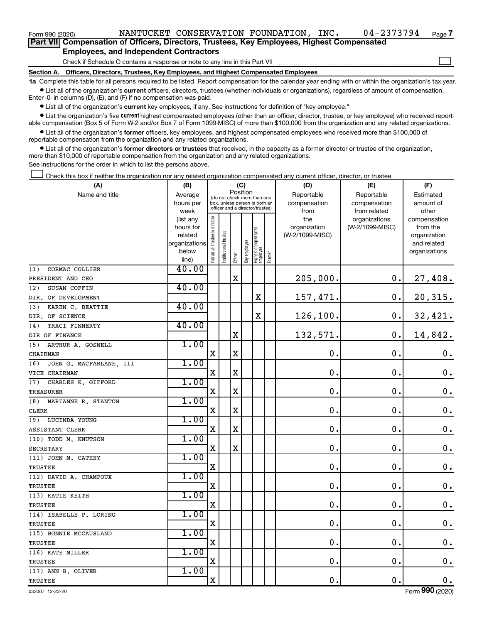| Form 990 (2020)                                                                            |  | NANTUCKET CONSERVATION FOUNDATION,                                           |  | INC. | $04 - 2373794$ | Page 7 |  |
|--------------------------------------------------------------------------------------------|--|------------------------------------------------------------------------------|--|------|----------------|--------|--|
| Part VII Compensation of Officers, Directors, Trustees, Key Employees, Highest Compensated |  |                                                                              |  |      |                |        |  |
| <b>Employees, and Independent Contractors</b>                                              |  |                                                                              |  |      |                |        |  |
|                                                                                            |  | Check if Schedule O contains a response or note to any line in this Part VII |  |      |                |        |  |

**Section A. Officers, Directors, Trustees, Key Employees, and Highest Compensated Employees**

**1a**  Complete this table for all persons required to be listed. Report compensation for the calendar year ending with or within the organization's tax year.  $\bullet$  List all of the organization's current officers, directors, trustees (whether individuals or organizations), regardless of amount of compensation.

Enter -0- in columns (D), (E), and (F) if no compensation was paid.

**•** List all of the organization's current key employees, if any. See instructions for definition of "key employee."

• List the organization's five *current* highest compensated employees (other than an officer, director, trustee, or key employee) who received reportable compensation (Box 5 of Form W-2 and/or Box 7 of Form 1099-MISC) of more than \$100,000 from the organization and any related organizations.

 $\bullet$  List all of the organization's former officers, key employees, and highest compensated employees who received more than \$100,000 of reportable compensation from the organization and any related organizations.

**•** List all of the organization's former directors or trustees that received, in the capacity as a former director or trustee of the organization, more than \$10,000 of reportable compensation from the organization and any related organizations.

See instructions for the order in which to list the persons above.

Check this box if neither the organization nor any related organization compensated any current officer, director, or trustee.  $\Box$ 

| (A)                            | (B)                    | (C)                            |                                                                  |             |              |                                   |           | (D)                 | (E)                              | (F)                      |
|--------------------------------|------------------------|--------------------------------|------------------------------------------------------------------|-------------|--------------|-----------------------------------|-----------|---------------------|----------------------------------|--------------------------|
| Name and title                 | Average                |                                | Position<br>(do not check more than one                          |             | Reportable   | Reportable                        | Estimated |                     |                                  |                          |
|                                | hours per              |                                | box, unless person is both an<br>officer and a director/trustee) |             |              |                                   |           | compensation        | compensation                     | amount of                |
|                                | week                   |                                |                                                                  |             |              |                                   |           | from                | from related                     | other                    |
|                                | (list any<br>hours for |                                |                                                                  |             |              |                                   |           | the<br>organization | organizations<br>(W-2/1099-MISC) | compensation<br>from the |
|                                | related                |                                |                                                                  |             |              |                                   |           | (W-2/1099-MISC)     |                                  | organization             |
|                                | organizations          |                                |                                                                  |             |              |                                   |           |                     |                                  | and related              |
|                                | below                  | Individual trustee or director | Institutional trustee                                            |             | Key employee |                                   |           |                     |                                  | organizations            |
|                                | line)                  |                                |                                                                  | Officer     |              | Highest compensated<br>  employee | Former    |                     |                                  |                          |
| CORMAC COLLIER<br>(1)          | 40.00                  |                                |                                                                  |             |              |                                   |           |                     |                                  |                          |
| PRESIDENT AND CEO              |                        |                                |                                                                  | $\mathbf X$ |              |                                   |           | 205,000.            | 0.                               | 27,408.                  |
| SUSAN COFFIN<br>(2)            | 40.00                  |                                |                                                                  |             |              |                                   |           |                     |                                  |                          |
| DIR. OF DEVELOPMENT            |                        |                                |                                                                  |             |              | X                                 |           | 157,471.            | $\mathbf 0$ .                    | 20,315.                  |
| KAREN C. BEATTIE<br>(3)        | 40.00                  |                                |                                                                  |             |              |                                   |           |                     |                                  |                          |
| DIR. OF SCIENCE                |                        |                                |                                                                  |             |              | X                                 |           | 126,100.            | $\mathbf 0$ .                    | 32,421.                  |
| TRACI FINNERTY<br>(4)          | 40.00                  |                                |                                                                  |             |              |                                   |           |                     |                                  |                          |
| DIR OF FINANCE                 |                        |                                |                                                                  | X           |              |                                   |           | 132,571.            | $\mathbf 0$ .                    | 14,842.                  |
| ARTHUR A. GOSNELL<br>(5)       | 1.00                   |                                |                                                                  |             |              |                                   |           |                     |                                  |                          |
| CHAIRMAN                       |                        | $\mathbf X$                    |                                                                  | $\mathbf X$ |              |                                   |           | $\mathbf 0$ .       | $\mathbf 0$ .                    | $\mathbf 0$ .            |
| JOHN G. MACFARLANE, III<br>(6) | 1.00                   |                                |                                                                  |             |              |                                   |           |                     |                                  |                          |
| VICE CHAIRMAN                  |                        | X                              |                                                                  | $\mathbf X$ |              |                                   |           | $\mathbf 0$         | $\mathbf 0$ .                    | $\mathbf 0$ .            |
| (7)<br>CHARLES K. GIFFORD      | 1.00                   |                                |                                                                  |             |              |                                   |           |                     |                                  |                          |
| <b>TREASURER</b>               |                        | X                              |                                                                  | $\mathbf X$ |              |                                   |           | $\mathbf 0$ .       | $\mathbf 0$ .                    | $\boldsymbol{0}$ .       |
| (8) MARIANNE R. STANTON        | 1.00                   |                                |                                                                  |             |              |                                   |           |                     |                                  |                          |
| <b>CLERK</b>                   |                        | $\mathbf X$                    |                                                                  | $\mathbf X$ |              |                                   |           | $\mathbf 0$ .       | $\mathbf 0$ .                    | $\mathbf 0$ .            |
| (9) LUCINDA YOUNG              | 1.00                   |                                |                                                                  |             |              |                                   |           |                     |                                  |                          |
| ASSISTANT CLERK                |                        | X                              |                                                                  | $\mathbf X$ |              |                                   |           | $\mathbf 0$ .       | $\mathbf 0$ .                    | $\boldsymbol{0}$ .       |
| (10) TODD M. KNUTSON           | 1.00                   |                                |                                                                  |             |              |                                   |           |                     |                                  |                          |
| <b>SECRETARY</b>               |                        | $\mathbf X$                    |                                                                  | $\rm X$     |              |                                   |           | $\mathbf 0$         | $\mathbf 0$ .                    | $\mathbf 0$ .            |
| (11) JOHN M. CATHEY            | 1.00                   |                                |                                                                  |             |              |                                   |           |                     |                                  |                          |
| <b>TRUSTEE</b>                 |                        | X                              |                                                                  |             |              |                                   |           | $\mathbf 0$ .       | $\mathbf 0$ .                    | $\boldsymbol{0}$ .       |
| (12) DAVID A. CHAMPOUX         | 1.00                   |                                |                                                                  |             |              |                                   |           |                     |                                  |                          |
| TRUSTEE                        |                        | X                              |                                                                  |             |              |                                   |           | $\mathbf 0$ .       | $\mathbf 0$ .                    | $\mathbf 0$ .            |
| (13) KATIE KEITH               | 1.00                   |                                |                                                                  |             |              |                                   |           |                     |                                  |                          |
| TRUSTEE                        |                        | X                              |                                                                  |             |              |                                   |           | $\mathbf 0$ .       | $\mathbf 0$ .                    | $0_{.}$                  |
| (14) ISABELLE P. LORING        | 1.00                   |                                |                                                                  |             |              |                                   |           |                     |                                  |                          |
| TRUSTEE                        |                        | X                              |                                                                  |             |              |                                   |           | 0.                  | $\mathbf 0$ .                    | $\mathbf 0$ .            |
| (15) BONNIE MCCAUSLAND         | 1.00                   |                                |                                                                  |             |              |                                   |           |                     |                                  |                          |
| <b>TRUSTEE</b>                 |                        | X                              |                                                                  |             |              |                                   |           | $\mathbf 0$ .       | $\mathbf 0$ .                    | $\boldsymbol{0}$ .       |
| (16) KATE MILLER               | 1.00                   |                                |                                                                  |             |              |                                   |           |                     |                                  |                          |
| TRUSTEE                        |                        | $\mathbf X$                    |                                                                  |             |              |                                   |           | $\mathbf 0$         | $\mathbf 0$ .                    | $\mathbf 0$ .            |
| (17) ANN B. OLIVER             | 1.00                   |                                |                                                                  |             |              |                                   |           |                     |                                  |                          |
| TRUSTEE                        |                        | $\mathbf X$                    |                                                                  |             |              |                                   |           | $\mathbf 0$ .       | $\mathbf 0$ .                    | 0.                       |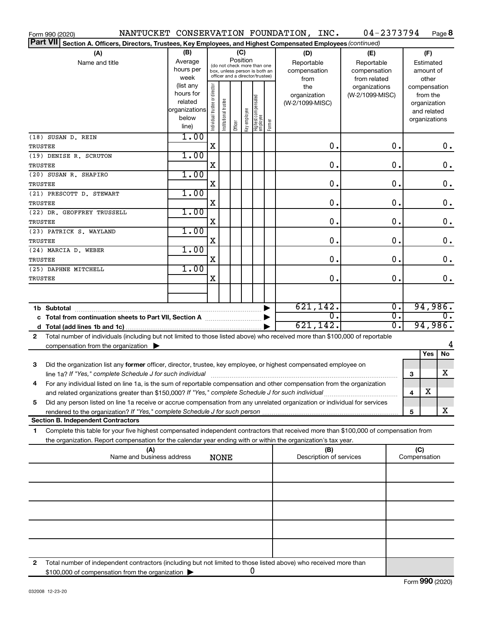| Form 990 (2020)                                                                                                                                                                                                                                             |                                                         |                                |                       |         |                 |                                                                                                 |        | NANTUCKET CONSERVATION FOUNDATION, INC.          | 04-2373794                                                         |                                      |                     | Page 8                                  |                    |
|-------------------------------------------------------------------------------------------------------------------------------------------------------------------------------------------------------------------------------------------------------------|---------------------------------------------------------|--------------------------------|-----------------------|---------|-----------------|-------------------------------------------------------------------------------------------------|--------|--------------------------------------------------|--------------------------------------------------------------------|--------------------------------------|---------------------|-----------------------------------------|--------------------|
| Part VII Section A. Officers, Directors, Trustees, Key Employees, and Highest Compensated Employees (continued)                                                                                                                                             |                                                         |                                |                       |         |                 |                                                                                                 |        |                                                  |                                                                    |                                      |                     |                                         |                    |
| (A)<br>Name and title                                                                                                                                                                                                                                       | (B)<br>Average<br>hours per<br>week<br>(list any        |                                |                       |         | (C)<br>Position | (do not check more than one<br>box, unless person is both an<br>officer and a director/trustee) |        | (D)<br>Reportable<br>compensation<br>from<br>the | (E)<br>Reportable<br>compensation<br>from related<br>organizations |                                      | compensation        | (F)<br>Estimated<br>amount of<br>other  |                    |
|                                                                                                                                                                                                                                                             | hours for<br>related<br>organizations<br>below<br>line) | Individual trustee or director | Institutional trustee | Officer | Key employee    | Highest compensated<br>  employee                                                               | Former | organization<br>(W-2/1099-MISC)                  | (W-2/1099-MISC)                                                    |                                      | organizations       | from the<br>organization<br>and related |                    |
| (18) SUSAN D. REIN<br>TRUSTEE                                                                                                                                                                                                                               | 1.00                                                    | X                              |                       |         |                 |                                                                                                 |        | $\mathbf 0$ .                                    |                                                                    | $\mathbf 0$ .                        |                     |                                         | 0.                 |
| (19) DENISE R. SCRUTON<br>TRUSTEE                                                                                                                                                                                                                           | 1.00                                                    | X                              |                       |         |                 |                                                                                                 |        | $\mathbf 0$ .                                    |                                                                    | О.                                   |                     |                                         | $\mathbf 0$ .      |
| (20) SUSAN R. SHAPIRO<br><b>TRUSTEE</b>                                                                                                                                                                                                                     | 1.00                                                    | X                              |                       |         |                 |                                                                                                 |        | $\mathbf 0$ .                                    |                                                                    | О.                                   |                     |                                         | $\boldsymbol{0}$ . |
| (21) PRESCOTT D. STEWART                                                                                                                                                                                                                                    | 1.00                                                    |                                |                       |         |                 |                                                                                                 |        |                                                  |                                                                    |                                      |                     |                                         |                    |
| TRUSTEE<br>(22) DR. GEOFFREY TRUSSELL                                                                                                                                                                                                                       | 1.00                                                    | X                              |                       |         |                 |                                                                                                 |        | $\mathbf 0$ .                                    |                                                                    | О.                                   |                     |                                         | $\boldsymbol{0}$ . |
| <b>TRUSTEE</b><br>(23) PATRICK S. WAYLAND                                                                                                                                                                                                                   | 1.00                                                    | X                              |                       |         |                 |                                                                                                 |        | $\mathbf 0$ .                                    |                                                                    | О.                                   |                     |                                         | $\boldsymbol{0}$ . |
| TRUSTEE<br>(24) MARCIA D. WEBER                                                                                                                                                                                                                             | 1.00                                                    | X                              |                       |         |                 |                                                                                                 |        | $\mathbf 0$ .                                    |                                                                    | О.                                   |                     |                                         | $\mathbf 0$ .      |
| TRUSTEE<br>(25) DAPHNE MITCHELL                                                                                                                                                                                                                             | 1.00                                                    | X                              |                       |         |                 |                                                                                                 |        | $\mathbf 0$ .                                    |                                                                    | О.                                   |                     |                                         | $\mathbf 0$ .      |
| TRUSTEE                                                                                                                                                                                                                                                     |                                                         | X                              |                       |         |                 |                                                                                                 |        | 0.                                               |                                                                    | О.                                   |                     |                                         | 0.                 |
|                                                                                                                                                                                                                                                             |                                                         |                                |                       |         |                 |                                                                                                 |        |                                                  |                                                                    |                                      |                     |                                         |                    |
|                                                                                                                                                                                                                                                             |                                                         |                                |                       |         |                 |                                                                                                 |        | 621, 142.<br>σ.                                  |                                                                    | $\overline{0}$ .<br>$\overline{0}$ . |                     | 94,986.                                 | $\overline{0}$ .   |
| c Total from continuation sheets to Part VII, Section A manufactured by                                                                                                                                                                                     |                                                         |                                |                       |         |                 |                                                                                                 |        | 621,142.                                         |                                                                    | σ.                                   |                     | 94,986.                                 |                    |
| Total number of individuals (including but not limited to those listed above) who received more than \$100,000 of reportable<br>2<br>compensation from the organization $\blacktriangleright$                                                               |                                                         |                                |                       |         |                 |                                                                                                 |        |                                                  |                                                                    |                                      |                     |                                         | 4                  |
|                                                                                                                                                                                                                                                             |                                                         |                                |                       |         |                 |                                                                                                 |        |                                                  |                                                                    |                                      |                     | Yes                                     | No                 |
| 3<br>Did the organization list any former officer, director, trustee, key employee, or highest compensated employee on                                                                                                                                      |                                                         |                                |                       |         |                 |                                                                                                 |        |                                                  |                                                                    |                                      | 3                   |                                         | X                  |
| For any individual listed on line 1a, is the sum of reportable compensation and other compensation from the organization<br>and related organizations greater than \$150,000? If "Yes," complete Schedule J for such individual                             |                                                         |                                |                       |         |                 |                                                                                                 |        |                                                  |                                                                    |                                      | 4                   | х                                       |                    |
| Did any person listed on line 1a receive or accrue compensation from any unrelated organization or individual for services<br>5                                                                                                                             |                                                         |                                |                       |         |                 |                                                                                                 |        |                                                  |                                                                    |                                      | 5                   |                                         | х                  |
| <b>Section B. Independent Contractors</b>                                                                                                                                                                                                                   |                                                         |                                |                       |         |                 |                                                                                                 |        |                                                  |                                                                    |                                      |                     |                                         |                    |
| Complete this table for your five highest compensated independent contractors that received more than \$100,000 of compensation from<br>1<br>the organization. Report compensation for the calendar year ending with or within the organization's tax year. |                                                         |                                |                       |         |                 |                                                                                                 |        |                                                  |                                                                    |                                      |                     |                                         |                    |
| (A)<br>Name and business address                                                                                                                                                                                                                            |                                                         |                                | <b>NONE</b>           |         |                 |                                                                                                 |        | (B)<br>Description of services                   |                                                                    |                                      | (C)<br>Compensation |                                         |                    |
|                                                                                                                                                                                                                                                             |                                                         |                                |                       |         |                 |                                                                                                 |        |                                                  |                                                                    |                                      |                     |                                         |                    |
|                                                                                                                                                                                                                                                             |                                                         |                                |                       |         |                 |                                                                                                 |        |                                                  |                                                                    |                                      |                     |                                         |                    |
|                                                                                                                                                                                                                                                             |                                                         |                                |                       |         |                 |                                                                                                 |        |                                                  |                                                                    |                                      |                     |                                         |                    |
|                                                                                                                                                                                                                                                             |                                                         |                                |                       |         |                 |                                                                                                 |        |                                                  |                                                                    |                                      |                     |                                         |                    |
|                                                                                                                                                                                                                                                             |                                                         |                                |                       |         |                 |                                                                                                 |        |                                                  |                                                                    |                                      |                     |                                         |                    |
| Total number of independent contractors (including but not limited to those listed above) who received more than<br>2                                                                                                                                       |                                                         |                                |                       |         |                 |                                                                                                 |        |                                                  |                                                                    |                                      |                     |                                         |                    |
| \$100,000 of compensation from the organization                                                                                                                                                                                                             |                                                         |                                |                       |         |                 | 0                                                                                               |        |                                                  |                                                                    |                                      |                     |                                         |                    |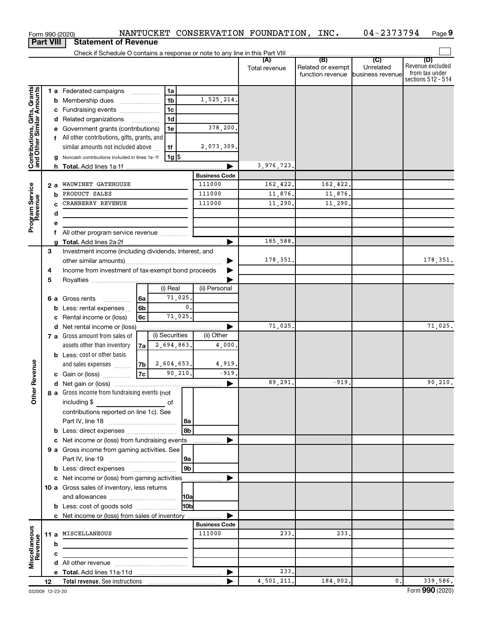|                                                           |    |        | Form 990 (2020)                                                            |                |                 |                      | NANTUCKET CONSERVATION FOUNDATION, INC. |                                                        | 04-2373794     | Page 9                                                   |
|-----------------------------------------------------------|----|--------|----------------------------------------------------------------------------|----------------|-----------------|----------------------|-----------------------------------------|--------------------------------------------------------|----------------|----------------------------------------------------------|
| <b>Part VIII</b>                                          |    |        | <b>Statement of Revenue</b>                                                |                |                 |                      |                                         |                                                        |                |                                                          |
|                                                           |    |        |                                                                            |                |                 |                      | (A)                                     |                                                        | $\overline{C}$ | (D)                                                      |
|                                                           |    |        |                                                                            |                |                 |                      | Total revenue                           | Related or exempt<br>function revenue business revenue | Unrelated      | Revenue excluded<br>from tax under<br>sections 512 - 514 |
|                                                           |    |        | 1 a Federated campaigns                                                    |                | 1a              |                      |                                         |                                                        |                |                                                          |
|                                                           |    | b      | Membership dues                                                            |                | 1 <sub>b</sub>  | 1,525,214.           |                                         |                                                        |                |                                                          |
|                                                           |    |        | c Fundraising events                                                       |                | 1 <sub>c</sub>  |                      |                                         |                                                        |                |                                                          |
| Contributions, Gifts, Grants<br>and Other Similar Amounts |    |        | d Related organizations                                                    |                | 1 <sub>d</sub>  |                      |                                         |                                                        |                |                                                          |
|                                                           |    | е      | Government grants (contributions)                                          |                | 1e              | 378,200.             |                                         |                                                        |                |                                                          |
|                                                           |    |        | f All other contributions, gifts, grants, and                              |                |                 |                      |                                         |                                                        |                |                                                          |
|                                                           |    |        | similar amounts not included above                                         |                | 1f              | 2,073,309.           |                                         |                                                        |                |                                                          |
|                                                           |    |        | Noncash contributions included in lines 1a-1f                              |                | $1g$ \$         |                      |                                         |                                                        |                |                                                          |
|                                                           |    |        |                                                                            |                |                 |                      | 3,976,723.                              |                                                        |                |                                                          |
|                                                           |    |        |                                                                            |                |                 | <b>Business Code</b> |                                         |                                                        |                |                                                          |
| Program Service<br>Revenue                                |    | 2 a    | WAUWINET GATEHOUSE                                                         |                |                 | 111000               | 162,422.                                | 162,422.                                               |                |                                                          |
|                                                           |    | b      | PRODUCT SALES                                                              |                |                 | 111000<br>111000     | 11,876.                                 | 11,876.                                                |                |                                                          |
|                                                           |    | c      | CRANBERRY REVENUE                                                          |                |                 |                      | 11,290.                                 | 11,290.                                                |                |                                                          |
|                                                           |    | d      |                                                                            |                |                 |                      |                                         |                                                        |                |                                                          |
|                                                           |    | е<br>f | All other program service revenue                                          |                |                 |                      |                                         |                                                        |                |                                                          |
|                                                           |    |        |                                                                            |                |                 | ▶                    | 185,588.                                |                                                        |                |                                                          |
|                                                           | 3  |        | Investment income (including dividends, interest, and                      |                |                 |                      |                                         |                                                        |                |                                                          |
|                                                           |    |        |                                                                            |                |                 |                      | 178,351.                                |                                                        |                | 178, 351.                                                |
|                                                           | 4  |        | Income from investment of tax-exempt bond proceeds                         |                |                 |                      |                                         |                                                        |                |                                                          |
|                                                           | 5  |        |                                                                            |                |                 |                      |                                         |                                                        |                |                                                          |
|                                                           |    |        |                                                                            |                | (i) Real        | (ii) Personal        |                                         |                                                        |                |                                                          |
|                                                           |    | 6а     | Gross rents<br>.                                                           | 6a             | 71,025.         |                      |                                         |                                                        |                |                                                          |
|                                                           |    | b      | Less: rental expenses                                                      | 6 <sub>b</sub> | $\mathbf{0}$ .  |                      |                                         |                                                        |                |                                                          |
|                                                           |    | c      | Rental income or (loss)                                                    | 6c             | 71,025.         |                      |                                         |                                                        |                |                                                          |
|                                                           |    | d      | Net rental income or (loss)                                                |                |                 |                      | 71,025.                                 |                                                        |                | 71,025.                                                  |
|                                                           |    |        | 7 a Gross amount from sales of                                             |                | (i) Securities  | (ii) Other           |                                         |                                                        |                |                                                          |
|                                                           |    |        | assets other than inventory                                                | 7a l           | 2,694,863.      | 4,000                |                                         |                                                        |                |                                                          |
|                                                           |    |        | <b>b</b> Less: cost or other basis                                         |                |                 |                      |                                         |                                                        |                |                                                          |
| evenue                                                    |    |        | and sales expenses                                                         | 7b             | 2,604,653.      | 4,919.               |                                         |                                                        |                |                                                          |
|                                                           |    |        | c Gain or (loss)                                                           | 7c             | 90,210.         | $-919.$              |                                         |                                                        |                |                                                          |
|                                                           |    |        |                                                                            |                |                 |                      | 89, 291.                                | 919.                                                   |                | 90,210.                                                  |
| Other F                                                   |    |        | 8 a Gross income from fundraising events (not<br>including \$              |                |                 |                      |                                         |                                                        |                |                                                          |
|                                                           |    |        | contributions reported on line 1c). See                                    |                |                 |                      |                                         |                                                        |                |                                                          |
|                                                           |    |        |                                                                            |                |                 |                      |                                         |                                                        |                |                                                          |
|                                                           |    |        | <b>b</b> Less: direct expenses                                             |                |                 |                      |                                         |                                                        |                |                                                          |
|                                                           |    |        | c Net income or (loss) from fundraising events                             |                |                 |                      |                                         |                                                        |                |                                                          |
|                                                           |    |        | 9 a Gross income from gaming activities. See                               |                |                 |                      |                                         |                                                        |                |                                                          |
|                                                           |    |        |                                                                            |                | 9a              |                      |                                         |                                                        |                |                                                          |
|                                                           |    |        | <b>b</b> Less: direct expenses <b>manually contained</b>                   |                | l 9b            |                      |                                         |                                                        |                |                                                          |
|                                                           |    |        | c Net income or (loss) from gaming activities                              |                |                 |                      |                                         |                                                        |                |                                                          |
|                                                           |    |        | 10 a Gross sales of inventory, less returns                                |                |                 |                      |                                         |                                                        |                |                                                          |
|                                                           |    |        |                                                                            |                |                 |                      |                                         |                                                        |                |                                                          |
|                                                           |    |        | <b>b</b> Less: cost of goods sold                                          |                | H <sub>0b</sub> |                      |                                         |                                                        |                |                                                          |
|                                                           |    |        | c Net income or (loss) from sales of inventory                             |                |                 | ▶                    |                                         |                                                        |                |                                                          |
|                                                           |    |        |                                                                            |                |                 | <b>Business Code</b> |                                         |                                                        |                |                                                          |
|                                                           |    |        | 11 a MISCELLANEOUS                                                         |                |                 | 111000               | 233.                                    | 233.                                                   |                |                                                          |
|                                                           |    | b      | the control of the control of the control of the control of the control of |                |                 |                      |                                         |                                                        |                |                                                          |
| Miscellaneous<br>Revenue                                  |    | c      |                                                                            |                |                 |                      |                                         |                                                        |                |                                                          |
|                                                           |    |        |                                                                            |                |                 |                      |                                         |                                                        |                |                                                          |
|                                                           |    |        |                                                                            |                |                 |                      | 233.<br>4,501,211.                      | 184,902.                                               | $\mathbf{0}$ . | 339,586.                                                 |
|                                                           | 12 |        |                                                                            |                |                 |                      |                                         |                                                        |                |                                                          |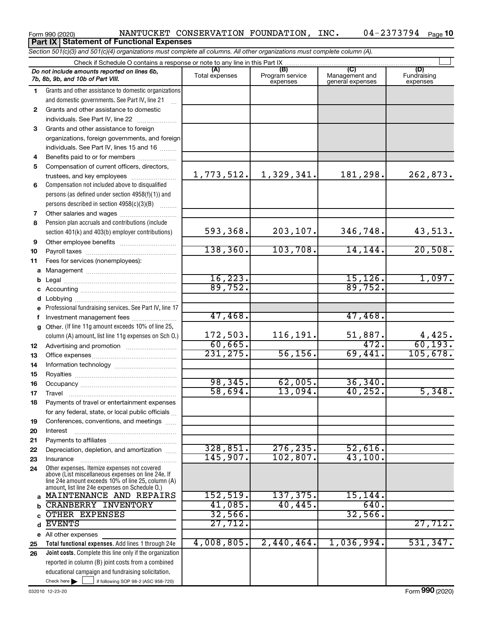#### Form 990 (2020) Page NANTUCKET CONSERVATION FOUNDATION, INC. 04-2373794 04-2373794 Page 10 **Part IX Statement of Functional Expenses**

*Section 501(c)(3) and 501(c)(4) organizations must complete all columns. All other organizations must complete column (A).*

|              | Do not include amounts reported on lines 6b,<br>7b, 8b, 9b, and 10b of Part VIII.                    | (A)<br>Total expenses | (B)<br>Program service<br>expenses | (C)<br>Management and<br>general expenses | (D)<br>Fundraising<br>expenses |  |  |  |  |  |  |
|--------------|------------------------------------------------------------------------------------------------------|-----------------------|------------------------------------|-------------------------------------------|--------------------------------|--|--|--|--|--|--|
| 1.           | Grants and other assistance to domestic organizations                                                |                       |                                    |                                           |                                |  |  |  |  |  |  |
|              | and domestic governments. See Part IV, line 21                                                       |                       |                                    |                                           |                                |  |  |  |  |  |  |
| $\mathbf{2}$ | Grants and other assistance to domestic                                                              |                       |                                    |                                           |                                |  |  |  |  |  |  |
|              | individuals. See Part IV, line 22                                                                    |                       |                                    |                                           |                                |  |  |  |  |  |  |
| 3            | Grants and other assistance to foreign                                                               |                       |                                    |                                           |                                |  |  |  |  |  |  |
|              | organizations, foreign governments, and foreign                                                      |                       |                                    |                                           |                                |  |  |  |  |  |  |
|              | individuals. See Part IV, lines 15 and 16                                                            |                       |                                    |                                           |                                |  |  |  |  |  |  |
| 4            | Benefits paid to or for members                                                                      |                       |                                    |                                           |                                |  |  |  |  |  |  |
| 5            | Compensation of current officers, directors,                                                         |                       |                                    |                                           |                                |  |  |  |  |  |  |
|              | trustees, and key employees                                                                          | 1,773,512.            | 1,329,341.                         | 181,298.                                  | 262,873.                       |  |  |  |  |  |  |
| 6            | Compensation not included above to disqualified                                                      |                       |                                    |                                           |                                |  |  |  |  |  |  |
|              | persons (as defined under section 4958(f)(1)) and                                                    |                       |                                    |                                           |                                |  |  |  |  |  |  |
|              | persons described in section 4958(c)(3)(B)                                                           |                       |                                    |                                           |                                |  |  |  |  |  |  |
| 7            | Other salaries and wages                                                                             |                       |                                    |                                           |                                |  |  |  |  |  |  |
| 8            | Pension plan accruals and contributions (include                                                     |                       |                                    |                                           |                                |  |  |  |  |  |  |
|              | section 401(k) and 403(b) employer contributions)                                                    | 593,368.              | 203,107.                           | 346,748.                                  | 43,513.                        |  |  |  |  |  |  |
| 9            |                                                                                                      |                       |                                    |                                           |                                |  |  |  |  |  |  |
| 10           |                                                                                                      | 138, 360.             | 103,708.                           | 14, 144.                                  | 20,508.                        |  |  |  |  |  |  |
| 11           | Fees for services (nonemployees):                                                                    |                       |                                    |                                           |                                |  |  |  |  |  |  |
| а            |                                                                                                      |                       |                                    |                                           |                                |  |  |  |  |  |  |
| b            |                                                                                                      | 16, 223.              |                                    | 15, 126.                                  | 1,097.                         |  |  |  |  |  |  |
| с            |                                                                                                      | 89,752.               |                                    | 89,752.                                   |                                |  |  |  |  |  |  |
| d            |                                                                                                      |                       |                                    |                                           |                                |  |  |  |  |  |  |
| е            | Professional fundraising services. See Part IV, line 17                                              |                       |                                    |                                           |                                |  |  |  |  |  |  |
| f            | Investment management fees                                                                           | 47,468.               |                                    | 47,468.                                   |                                |  |  |  |  |  |  |
| g            | Other. (If line 11g amount exceeds 10% of line 25,                                                   |                       |                                    |                                           |                                |  |  |  |  |  |  |
|              | column (A) amount, list line 11g expenses on Sch O.)                                                 | 172,503.              | 116,191.                           | 51,887.                                   | 4,425.                         |  |  |  |  |  |  |
| 12           |                                                                                                      | 60,665.               |                                    | 472.                                      | 60, 193.                       |  |  |  |  |  |  |
| 13           |                                                                                                      | 231, 275.             | 56, 156.                           | 69,441.                                   | 105,678.                       |  |  |  |  |  |  |
| 14           |                                                                                                      |                       |                                    |                                           |                                |  |  |  |  |  |  |
| 15           |                                                                                                      |                       |                                    |                                           |                                |  |  |  |  |  |  |
| 16           |                                                                                                      | 98, 345.              | 62,005.                            | 36, 340.                                  |                                |  |  |  |  |  |  |
| 17           | Travel                                                                                               | 58,694.               | 13,094.                            | 40, 252.                                  | 5,348.                         |  |  |  |  |  |  |
| 18           | Payments of travel or entertainment expenses                                                         |                       |                                    |                                           |                                |  |  |  |  |  |  |
|              | for any federal, state, or local public officials                                                    |                       |                                    |                                           |                                |  |  |  |  |  |  |
| 19           | Conferences, conventions, and meetings                                                               |                       |                                    |                                           |                                |  |  |  |  |  |  |
| 20           | Interest                                                                                             |                       |                                    |                                           |                                |  |  |  |  |  |  |
| 21           |                                                                                                      | 328,851.              |                                    |                                           |                                |  |  |  |  |  |  |
| 22           | Depreciation, depletion, and amortization                                                            | 145,907.              | 276, 235.<br>102,807.              | 52,616.<br>43,100.                        |                                |  |  |  |  |  |  |
| 23           | Insurance                                                                                            |                       |                                    |                                           |                                |  |  |  |  |  |  |
| 24           | Other expenses. Itemize expenses not covered<br>above (List miscellaneous expenses on line 24e. If   |                       |                                    |                                           |                                |  |  |  |  |  |  |
|              | line 24e amount exceeds 10% of line 25, column (A)<br>amount, list line 24e expenses on Schedule O.) |                       |                                    |                                           |                                |  |  |  |  |  |  |
|              | a MAINTENANCE AND REPAIRS                                                                            | 152, 519.             | 137, 375.                          | 15, 144.                                  |                                |  |  |  |  |  |  |
| b            | <b>CRANBERRY INVENTORY</b>                                                                           | 41,085.               | 40, 445.                           | 640.                                      |                                |  |  |  |  |  |  |
|              | OTHER EXPENSES                                                                                       | 32,566.               |                                    | 32,566                                    |                                |  |  |  |  |  |  |
| d            | <b>EVENTS</b>                                                                                        | 27,712.               |                                    |                                           | 27,712.                        |  |  |  |  |  |  |
|              | e All other expenses                                                                                 |                       |                                    |                                           |                                |  |  |  |  |  |  |
| 25           | Total functional expenses. Add lines 1 through 24e                                                   | 4,008,805.            | 2,440,464.                         | 1,036,994.                                | 531, 347.                      |  |  |  |  |  |  |
| 26           | Joint costs. Complete this line only if the organization                                             |                       |                                    |                                           |                                |  |  |  |  |  |  |
|              | reported in column (B) joint costs from a combined                                                   |                       |                                    |                                           |                                |  |  |  |  |  |  |
|              | educational campaign and fundraising solicitation.                                                   |                       |                                    |                                           |                                |  |  |  |  |  |  |
|              | Check here $\blacktriangleright$<br>$\overline{\phantom{a}}$ if following SOP 98-2 (ASC 958-720)     |                       |                                    |                                           |                                |  |  |  |  |  |  |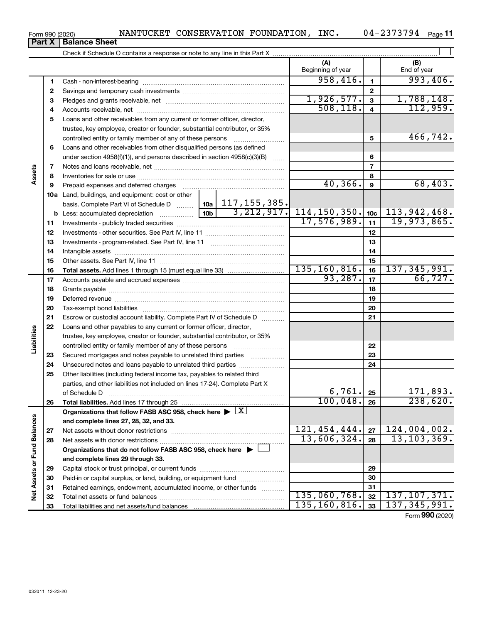| Form 990 (2020) |                               | NANTUCKET CONSERVATION FOUNDATION, | INC. | 04-2373794 | Page 11 |
|-----------------|-------------------------------|------------------------------------|------|------------|---------|
|                 | <b>Part X   Balance Sheet</b> |                                    |      |            |         |

|                             |          |                                                                                                                                                            |                                      |          | (A)<br>Beginning of year   |                         | (B)<br>End of year |
|-----------------------------|----------|------------------------------------------------------------------------------------------------------------------------------------------------------------|--------------------------------------|----------|----------------------------|-------------------------|--------------------|
|                             | 1        |                                                                                                                                                            |                                      |          | 958,416.                   | $\mathbf{1}$            | 993,406.           |
|                             | 2        |                                                                                                                                                            |                                      |          |                            | $\mathbf{2}$            |                    |
|                             | з        |                                                                                                                                                            |                                      |          | 1,926,577.                 | $\mathbf{3}$            | 1,788,148.         |
|                             | 4        |                                                                                                                                                            |                                      |          | 508, 118.                  | $\overline{\mathbf{4}}$ | 112,959.           |
|                             | 5        | Loans and other receivables from any current or former officer, director,                                                                                  |                                      |          |                            |                         |                    |
|                             |          | trustee, key employee, creator or founder, substantial contributor, or 35%                                                                                 |                                      |          |                            |                         |                    |
|                             |          | controlled entity or family member of any of these persons                                                                                                 |                                      |          |                            | 5                       | 466,742.           |
|                             | 6        | Loans and other receivables from other disqualified persons (as defined                                                                                    |                                      |          |                            |                         |                    |
|                             |          | under section $4958(f)(1)$ , and persons described in section $4958(c)(3)(B)$                                                                              |                                      | $\ldots$ |                            | 6                       |                    |
|                             | 7        |                                                                                                                                                            |                                      |          | $\overline{7}$             |                         |                    |
| Assets                      | 8        |                                                                                                                                                            |                                      |          |                            | 8                       |                    |
|                             | 9        | Prepaid expenses and deferred charges                                                                                                                      |                                      | 40, 366. | 9                          | 68,403.                 |                    |
|                             |          | 10a Land, buildings, and equipment: cost or other                                                                                                          |                                      |          |                            |                         |                    |
|                             |          | basis. Complete Part VI of Schedule D    10a   117, 155, 385.                                                                                              | 10 <sub>b</sub>                      |          |                            |                         |                    |
|                             |          | <b>b</b> Less: accumulated depreciation                                                                                                                    | $\overline{3,212,917.}$ 114,150,350. | 10c      | 113,942,468.               |                         |                    |
|                             | 11       |                                                                                                                                                            |                                      |          | 17,576,989.                | 11                      | 19,973,865.        |
|                             | 12       |                                                                                                                                                            |                                      |          | 12                         |                         |                    |
|                             | 13       |                                                                                                                                                            |                                      |          | 13                         |                         |                    |
|                             | 14       |                                                                                                                                                            |                                      |          |                            | 14                      |                    |
|                             | 15       |                                                                                                                                                            |                                      | 15       |                            |                         |                    |
|                             | 16       |                                                                                                                                                            |                                      |          | 135, 160, 816.<br>93, 287. | 16                      | 137, 345, 991.     |
|                             | 17       |                                                                                                                                                            |                                      |          |                            | 17                      | 66, 727.           |
|                             | 18       |                                                                                                                                                            |                                      | 18       |                            |                         |                    |
|                             | 19       |                                                                                                                                                            |                                      | 19       |                            |                         |                    |
|                             | 20       |                                                                                                                                                            |                                      |          |                            | 20                      |                    |
|                             | 21       | Escrow or custodial account liability. Complete Part IV of Schedule D                                                                                      |                                      |          |                            | 21                      |                    |
| Liabilities                 | 22       | Loans and other payables to any current or former officer, director,                                                                                       |                                      |          |                            |                         |                    |
|                             |          | trustee, key employee, creator or founder, substantial contributor, or 35%                                                                                 |                                      |          |                            |                         |                    |
|                             |          |                                                                                                                                                            |                                      |          |                            | 22                      |                    |
|                             | 23       | Secured mortgages and notes payable to unrelated third parties                                                                                             |                                      |          |                            | 23                      |                    |
|                             | 24<br>25 |                                                                                                                                                            |                                      |          |                            | 24                      |                    |
|                             |          | Other liabilities (including federal income tax, payables to related third<br>parties, and other liabilities not included on lines 17-24). Complete Part X |                                      |          |                            |                         |                    |
|                             |          | of Schedule D                                                                                                                                              |                                      |          | 6,761.                     | 25                      | 171,893.           |
|                             | 26       |                                                                                                                                                            |                                      |          | 100,048.                   | 26                      | 238,620.           |
|                             |          | Organizations that follow FASB ASC 958, check here $\blacktriangleright \lfloor \underline{X} \rfloor$                                                     |                                      |          |                            |                         |                    |
|                             |          | and complete lines 27, 28, 32, and 33.                                                                                                                     |                                      |          |                            |                         |                    |
|                             | 27       |                                                                                                                                                            |                                      |          | 121, 454, 444.             | 27                      | 124,004,002.       |
|                             | 28       |                                                                                                                                                            |                                      |          | 13,606,324.                | 28                      | 13, 103, 369.      |
|                             |          | Organizations that do not follow FASB ASC 958, check here $\blacktriangleright$                                                                            |                                      |          |                            |                         |                    |
|                             |          | and complete lines 29 through 33.                                                                                                                          |                                      |          |                            |                         |                    |
|                             | 29       |                                                                                                                                                            |                                      |          |                            | 29                      |                    |
|                             | 30       | Paid-in or capital surplus, or land, building, or equipment fund                                                                                           |                                      |          |                            | 30                      |                    |
| Net Assets or Fund Balances | 31       | Retained earnings, endowment, accumulated income, or other funds                                                                                           |                                      |          |                            | 31                      |                    |
|                             | 32       |                                                                                                                                                            |                                      |          | 135,060,768.               | 32                      | 137, 107, 371.     |
|                             | 33       |                                                                                                                                                            |                                      |          | 135, 160, 816.             | 33                      | 137, 345, 991.     |
|                             |          |                                                                                                                                                            |                                      |          |                            |                         |                    |

Form (2020) **990**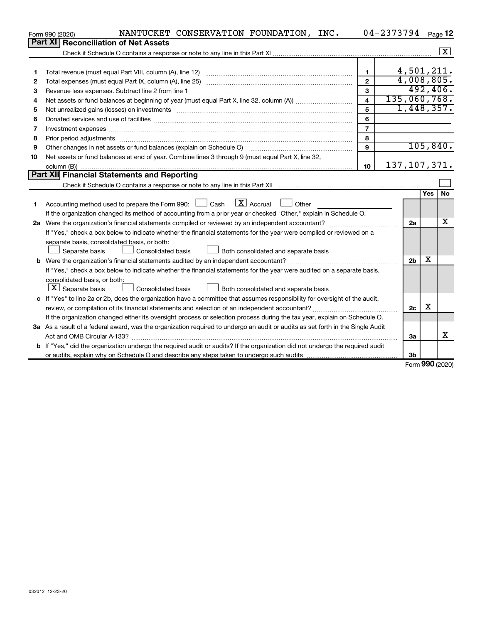|                                             | Form 990 (2020) | NANTUCKET CONSERVATION FOUNDATION, INC.                                                                                         |                         | 04-2373794     |                |            | Page 12            |  |  |  |
|---------------------------------------------|-----------------|---------------------------------------------------------------------------------------------------------------------------------|-------------------------|----------------|----------------|------------|--------------------|--|--|--|
|                                             | <b>Part XI</b>  | <b>Reconciliation of Net Assets</b>                                                                                             |                         |                |                |            |                    |  |  |  |
|                                             |                 |                                                                                                                                 |                         |                |                |            | $\boxed{\text{X}}$ |  |  |  |
|                                             |                 |                                                                                                                                 |                         |                |                |            |                    |  |  |  |
| 1                                           |                 |                                                                                                                                 | $\mathbf{1}$            |                | 4,501,211.     |            |                    |  |  |  |
| 2                                           |                 |                                                                                                                                 | $\mathbf{2}$            |                | 4,008,805.     |            |                    |  |  |  |
| з                                           |                 | Revenue less expenses. Subtract line 2 from line 1                                                                              | 3                       |                |                |            | 492,406.           |  |  |  |
| 4                                           |                 |                                                                                                                                 | $\overline{\mathbf{4}}$ | 135,060,768.   |                |            |                    |  |  |  |
| 5                                           |                 |                                                                                                                                 | 5                       |                | 1,448,357.     |            |                    |  |  |  |
| 6                                           |                 |                                                                                                                                 | 6                       |                |                |            |                    |  |  |  |
| 7                                           |                 | Investment expenses www.communication.com/www.communication.com/www.communication.com/www.com                                   | $\overline{7}$          |                |                |            |                    |  |  |  |
| 8                                           |                 |                                                                                                                                 | 8                       |                |                |            |                    |  |  |  |
| 9                                           |                 | Other changes in net assets or fund balances (explain on Schedule O)                                                            | 9                       |                |                |            | 105, 840.          |  |  |  |
| 10                                          |                 | Net assets or fund balances at end of year. Combine lines 3 through 9 (must equal Part X, line 32,                              |                         |                |                |            |                    |  |  |  |
|                                             |                 |                                                                                                                                 | 10                      | 137, 107, 371. |                |            |                    |  |  |  |
| Part XII Financial Statements and Reporting |                 |                                                                                                                                 |                         |                |                |            |                    |  |  |  |
|                                             |                 |                                                                                                                                 |                         |                |                |            |                    |  |  |  |
|                                             |                 |                                                                                                                                 |                         |                |                | <b>Yes</b> | <b>No</b>          |  |  |  |
| 1                                           |                 | $\lfloor x \rfloor$ Accrual<br>Accounting method used to prepare the Form 990: [130] Cash<br>$\Box$ Other                       |                         |                |                |            |                    |  |  |  |
|                                             |                 | If the organization changed its method of accounting from a prior year or checked "Other," explain in Schedule O.               |                         |                |                |            |                    |  |  |  |
|                                             |                 |                                                                                                                                 |                         |                | 2a             |            | х                  |  |  |  |
|                                             |                 | If "Yes," check a box below to indicate whether the financial statements for the year were compiled or reviewed on a            |                         |                |                |            |                    |  |  |  |
|                                             |                 | separate basis, consolidated basis, or both:                                                                                    |                         |                |                |            |                    |  |  |  |
|                                             |                 | Separate basis<br>Consolidated basis<br>Both consolidated and separate basis                                                    |                         |                |                |            |                    |  |  |  |
|                                             |                 |                                                                                                                                 |                         |                | 2 <sub>b</sub> | х          |                    |  |  |  |
|                                             |                 | If "Yes," check a box below to indicate whether the financial statements for the year were audited on a separate basis,         |                         |                |                |            |                    |  |  |  |
|                                             |                 | consolidated basis, or both:                                                                                                    |                         |                |                |            |                    |  |  |  |
|                                             |                 | $\lfloor \underline{X} \rfloor$ Separate basis<br>Consolidated basis<br>Both consolidated and separate basis                    |                         |                |                |            |                    |  |  |  |
|                                             |                 | c If "Yes" to line 2a or 2b, does the organization have a committee that assumes responsibility for oversight of the audit,     |                         |                |                | х          |                    |  |  |  |
|                                             | 2c              |                                                                                                                                 |                         |                |                |            |                    |  |  |  |
|                                             |                 | If the organization changed either its oversight process or selection process during the tax year, explain on Schedule O.       |                         |                |                |            |                    |  |  |  |
|                                             |                 | 3a As a result of a federal award, was the organization required to undergo an audit or audits as set forth in the Single Audit |                         |                |                |            |                    |  |  |  |
|                                             |                 |                                                                                                                                 |                         |                | За             |            | x                  |  |  |  |
|                                             |                 | If "Yes," did the organization undergo the required audit or audits? If the organization did not undergo the required audit     |                         |                |                |            |                    |  |  |  |
|                                             |                 |                                                                                                                                 |                         |                | 3b             |            |                    |  |  |  |

Form (2020) **990**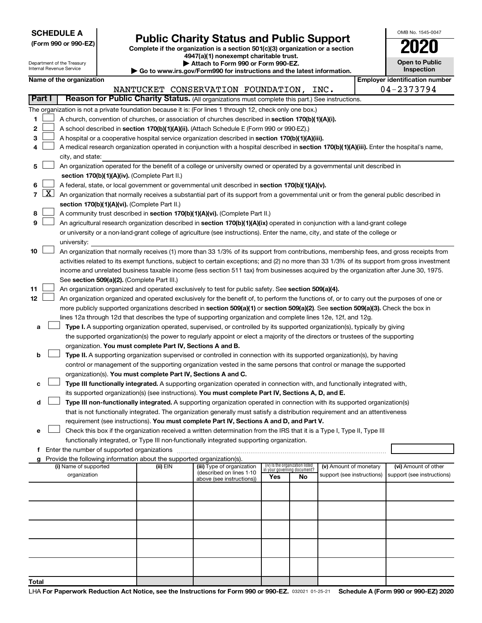| <b>SCHEDULE A</b> |  |
|-------------------|--|
|-------------------|--|

Department of the Treasury

| (Form 990 or 990-EZ) |  |  |
|----------------------|--|--|
|                      |  |  |

Form 990 or 990-EZ) **Public Charity Status and Public Support**<br>
Complete if the organization is a section 501(c)(3) organization or a section<br> **2020 4947(a)(1) nonexempt charitable trust.**

**| Attach to Form 990 or Form 990-EZ.** 

| Go to www.irs.gov/Form990 for instructions and the latest information. |  |
|------------------------------------------------------------------------|--|

| OMB No 1545-0047                    |
|-------------------------------------|
| 2020                                |
| <b>Open to Public</b><br>Inspection |

|                |              | Internal Revenue Service                                                                                                                  |  |                                               | , w , o, ,,, , , , , , , ,,,, ,<br>Go to www.irs.gov/Form990 for instructions and the latest information.                                                                                                                                            |     |                                                                |                            |  | Inspection                            |
|----------------|--------------|-------------------------------------------------------------------------------------------------------------------------------------------|--|-----------------------------------------------|------------------------------------------------------------------------------------------------------------------------------------------------------------------------------------------------------------------------------------------------------|-----|----------------------------------------------------------------|----------------------------|--|---------------------------------------|
|                |              | Name of the organization                                                                                                                  |  |                                               |                                                                                                                                                                                                                                                      |     |                                                                |                            |  | <b>Employer identification number</b> |
|                |              |                                                                                                                                           |  |                                               | NANTUCKET CONSERVATION FOUNDATION, INC.                                                                                                                                                                                                              |     |                                                                |                            |  | 04-2373794                            |
|                | Part I       |                                                                                                                                           |  |                                               | Reason for Public Charity Status. (All organizations must complete this part.) See instructions.                                                                                                                                                     |     |                                                                |                            |  |                                       |
|                |              |                                                                                                                                           |  |                                               | The organization is not a private foundation because it is: (For lines 1 through 12, check only one box.)                                                                                                                                            |     |                                                                |                            |  |                                       |
| 1              |              |                                                                                                                                           |  |                                               | A church, convention of churches, or association of churches described in section 170(b)(1)(A)(i).                                                                                                                                                   |     |                                                                |                            |  |                                       |
| 2              |              |                                                                                                                                           |  |                                               | A school described in section 170(b)(1)(A)(ii). (Attach Schedule E (Form 990 or 990-EZ).)                                                                                                                                                            |     |                                                                |                            |  |                                       |
| 3              |              |                                                                                                                                           |  |                                               | A hospital or a cooperative hospital service organization described in section 170(b)(1)(A)(iii).                                                                                                                                                    |     |                                                                |                            |  |                                       |
| 4              |              |                                                                                                                                           |  |                                               | A medical research organization operated in conjunction with a hospital described in section 170(b)(1)(A)(iii). Enter the hospital's name,                                                                                                           |     |                                                                |                            |  |                                       |
|                |              | city, and state:                                                                                                                          |  |                                               |                                                                                                                                                                                                                                                      |     |                                                                |                            |  |                                       |
| 5              |              |                                                                                                                                           |  |                                               | An organization operated for the benefit of a college or university owned or operated by a governmental unit described in                                                                                                                            |     |                                                                |                            |  |                                       |
|                |              |                                                                                                                                           |  | section 170(b)(1)(A)(iv). (Complete Part II.) |                                                                                                                                                                                                                                                      |     |                                                                |                            |  |                                       |
| 6              |              |                                                                                                                                           |  |                                               | A federal, state, or local government or governmental unit described in section 170(b)(1)(A)(v).                                                                                                                                                     |     |                                                                |                            |  |                                       |
| $\overline{7}$ | <u>  X  </u> | An organization that normally receives a substantial part of its support from a governmental unit or from the general public described in |  |                                               |                                                                                                                                                                                                                                                      |     |                                                                |                            |  |                                       |
|                |              |                                                                                                                                           |  | section 170(b)(1)(A)(vi). (Complete Part II.) |                                                                                                                                                                                                                                                      |     |                                                                |                            |  |                                       |
| 8              |              |                                                                                                                                           |  |                                               | A community trust described in section 170(b)(1)(A)(vi). (Complete Part II.)                                                                                                                                                                         |     |                                                                |                            |  |                                       |
| 9              |              |                                                                                                                                           |  |                                               | An agricultural research organization described in section 170(b)(1)(A)(ix) operated in conjunction with a land-grant college                                                                                                                        |     |                                                                |                            |  |                                       |
|                |              |                                                                                                                                           |  |                                               | or university or a non-land-grant college of agriculture (see instructions). Enter the name, city, and state of the college or                                                                                                                       |     |                                                                |                            |  |                                       |
|                |              | university:                                                                                                                               |  |                                               |                                                                                                                                                                                                                                                      |     |                                                                |                            |  |                                       |
| 10             |              |                                                                                                                                           |  |                                               | An organization that normally receives (1) more than 33 1/3% of its support from contributions, membership fees, and gross receipts from                                                                                                             |     |                                                                |                            |  |                                       |
|                |              |                                                                                                                                           |  |                                               | activities related to its exempt functions, subject to certain exceptions; and (2) no more than 33 1/3% of its support from gross investment                                                                                                         |     |                                                                |                            |  |                                       |
|                |              |                                                                                                                                           |  |                                               | income and unrelated business taxable income (less section 511 tax) from businesses acquired by the organization after June 30, 1975.                                                                                                                |     |                                                                |                            |  |                                       |
|                |              |                                                                                                                                           |  | See section 509(a)(2). (Complete Part III.)   |                                                                                                                                                                                                                                                      |     |                                                                |                            |  |                                       |
| 11             |              |                                                                                                                                           |  |                                               | An organization organized and operated exclusively to test for public safety. See section 509(a)(4).                                                                                                                                                 |     |                                                                |                            |  |                                       |
| 12             |              |                                                                                                                                           |  |                                               | An organization organized and operated exclusively for the benefit of, to perform the functions of, or to carry out the purposes of one or                                                                                                           |     |                                                                |                            |  |                                       |
|                |              |                                                                                                                                           |  |                                               | more publicly supported organizations described in section 509(a)(1) or section 509(a)(2). See section 509(a)(3). Check the box in<br>lines 12a through 12d that describes the type of supporting organization and complete lines 12e, 12f, and 12g. |     |                                                                |                            |  |                                       |
| а              |              |                                                                                                                                           |  |                                               | Type I. A supporting organization operated, supervised, or controlled by its supported organization(s), typically by giving                                                                                                                          |     |                                                                |                            |  |                                       |
|                |              |                                                                                                                                           |  |                                               | the supported organization(s) the power to regularly appoint or elect a majority of the directors or trustees of the supporting                                                                                                                      |     |                                                                |                            |  |                                       |
|                |              |                                                                                                                                           |  |                                               | organization. You must complete Part IV, Sections A and B.                                                                                                                                                                                           |     |                                                                |                            |  |                                       |
| b              |              |                                                                                                                                           |  |                                               | Type II. A supporting organization supervised or controlled in connection with its supported organization(s), by having                                                                                                                              |     |                                                                |                            |  |                                       |
|                |              |                                                                                                                                           |  |                                               | control or management of the supporting organization vested in the same persons that control or manage the supported                                                                                                                                 |     |                                                                |                            |  |                                       |
|                |              |                                                                                                                                           |  |                                               | organization(s). You must complete Part IV, Sections A and C.                                                                                                                                                                                        |     |                                                                |                            |  |                                       |
| с              |              |                                                                                                                                           |  |                                               | Type III functionally integrated. A supporting organization operated in connection with, and functionally integrated with,                                                                                                                           |     |                                                                |                            |  |                                       |
|                |              |                                                                                                                                           |  |                                               | its supported organization(s) (see instructions). You must complete Part IV, Sections A, D, and E.                                                                                                                                                   |     |                                                                |                            |  |                                       |
| d              |              |                                                                                                                                           |  |                                               | Type III non-functionally integrated. A supporting organization operated in connection with its supported organization(s)                                                                                                                            |     |                                                                |                            |  |                                       |
|                |              |                                                                                                                                           |  |                                               | that is not functionally integrated. The organization generally must satisfy a distribution requirement and an attentiveness                                                                                                                         |     |                                                                |                            |  |                                       |
|                |              |                                                                                                                                           |  |                                               | requirement (see instructions). You must complete Part IV, Sections A and D, and Part V.                                                                                                                                                             |     |                                                                |                            |  |                                       |
| е              |              |                                                                                                                                           |  |                                               | Check this box if the organization received a written determination from the IRS that it is a Type I, Type II, Type III                                                                                                                              |     |                                                                |                            |  |                                       |
|                |              |                                                                                                                                           |  |                                               | functionally integrated, or Type III non-functionally integrated supporting organization.                                                                                                                                                            |     |                                                                |                            |  |                                       |
| f              |              |                                                                                                                                           |  |                                               |                                                                                                                                                                                                                                                      |     |                                                                |                            |  |                                       |
| g              |              |                                                                                                                                           |  |                                               | Provide the following information about the supported organization(s).                                                                                                                                                                               |     |                                                                |                            |  |                                       |
|                |              | (i) Name of supported                                                                                                                     |  | (ii) EIN                                      | (iii) Type of organization<br>(described on lines 1-10                                                                                                                                                                                               |     | (iv) Is the organization listed<br>in your governing document? | (v) Amount of monetary     |  | (vi) Amount of other                  |
|                |              | organization                                                                                                                              |  |                                               | above (see instructions))                                                                                                                                                                                                                            | Yes | No                                                             | support (see instructions) |  | support (see instructions)            |
|                |              |                                                                                                                                           |  |                                               |                                                                                                                                                                                                                                                      |     |                                                                |                            |  |                                       |
|                |              |                                                                                                                                           |  |                                               |                                                                                                                                                                                                                                                      |     |                                                                |                            |  |                                       |
|                |              |                                                                                                                                           |  |                                               |                                                                                                                                                                                                                                                      |     |                                                                |                            |  |                                       |
|                |              |                                                                                                                                           |  |                                               |                                                                                                                                                                                                                                                      |     |                                                                |                            |  |                                       |
|                |              |                                                                                                                                           |  |                                               |                                                                                                                                                                                                                                                      |     |                                                                |                            |  |                                       |
|                |              |                                                                                                                                           |  |                                               |                                                                                                                                                                                                                                                      |     |                                                                |                            |  |                                       |
|                |              |                                                                                                                                           |  |                                               |                                                                                                                                                                                                                                                      |     |                                                                |                            |  |                                       |
|                |              |                                                                                                                                           |  |                                               |                                                                                                                                                                                                                                                      |     |                                                                |                            |  |                                       |
|                |              |                                                                                                                                           |  |                                               |                                                                                                                                                                                                                                                      |     |                                                                |                            |  |                                       |
|                |              |                                                                                                                                           |  |                                               |                                                                                                                                                                                                                                                      |     |                                                                |                            |  |                                       |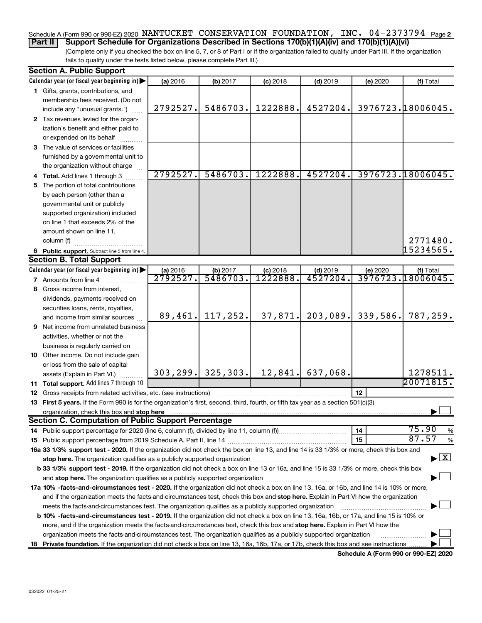## Schedule A (Form 990 or 990-EZ) 2020 NANTUCKET CONSERVATION FOUNDATION, INC. 04-2373794 <sub>Page 2</sub>

(Complete only if you checked the box on line 5, 7, or 8 of Part I or if the organization failed to qualify under Part III. If the organization fails to qualify under the tests listed below, please complete Part III.) **Part II Support Schedule for Organizations Described in Sections 170(b)(1)(A)(iv) and 170(b)(1)(A)(vi)**

|    | <b>Section A. Public Support</b>                                                                                                               |                     |                       |            |            |          |                                    |
|----|------------------------------------------------------------------------------------------------------------------------------------------------|---------------------|-----------------------|------------|------------|----------|------------------------------------|
|    | Calendar year (or fiscal year beginning in)                                                                                                    | (a) 2016            | (b) 2017              | $(c)$ 2018 | $(d)$ 2019 | (e) 2020 | (f) Total                          |
|    | 1 Gifts, grants, contributions, and                                                                                                            |                     |                       |            |            |          |                                    |
|    | membership fees received. (Do not                                                                                                              |                     |                       |            |            |          |                                    |
|    | include any "unusual grants.")                                                                                                                 | 2792527.            | 5486703.              | 1222888.   | 4527204.   |          | 3976723.18006045.                  |
|    | 2 Tax revenues levied for the organ-                                                                                                           |                     |                       |            |            |          |                                    |
|    | ization's benefit and either paid to                                                                                                           |                     |                       |            |            |          |                                    |
|    | or expended on its behalf                                                                                                                      |                     |                       |            |            |          |                                    |
|    | 3 The value of services or facilities                                                                                                          |                     |                       |            |            |          |                                    |
|    | furnished by a governmental unit to                                                                                                            |                     |                       |            |            |          |                                    |
|    | the organization without charge                                                                                                                |                     |                       |            |            |          |                                    |
|    | 4 Total. Add lines 1 through 3                                                                                                                 | 2792527.            | 5486703.              | 1222888.   | 4527204.   |          | 3976723.18006045.                  |
| 5  | The portion of total contributions                                                                                                             |                     |                       |            |            |          |                                    |
|    | by each person (other than a                                                                                                                   |                     |                       |            |            |          |                                    |
|    | governmental unit or publicly                                                                                                                  |                     |                       |            |            |          |                                    |
|    | supported organization) included                                                                                                               |                     |                       |            |            |          |                                    |
|    | on line 1 that exceeds 2% of the                                                                                                               |                     |                       |            |            |          |                                    |
|    | amount shown on line 11,                                                                                                                       |                     |                       |            |            |          |                                    |
|    | column (f)                                                                                                                                     |                     |                       |            |            |          | 2771480.                           |
|    | 6 Public support. Subtract line 5 from line 4.                                                                                                 |                     |                       |            |            |          | 15234565.                          |
|    | <b>Section B. Total Support</b>                                                                                                                |                     |                       |            |            |          |                                    |
|    | Calendar year (or fiscal year beginning in)                                                                                                    |                     | (b) 2017              | $(c)$ 2018 | $(d)$ 2019 | (e) 2020 | (f) Total                          |
|    | <b>7</b> Amounts from line 4                                                                                                                   | (a) 2016<br>2792527 | 5486703               | 1222888    | 4527204    |          | <u>3976723.18006045.</u>           |
| 8  | Gross income from interest.                                                                                                                    |                     |                       |            |            |          |                                    |
|    | dividends, payments received on                                                                                                                |                     |                       |            |            |          |                                    |
|    | securities loans, rents, royalties,                                                                                                            |                     |                       |            |            |          |                                    |
|    | and income from similar sources                                                                                                                | 89,461.             | 117,252.              | 37,871.    | 203,089.   | 339,586. | 787,259.                           |
| 9  | Net income from unrelated business                                                                                                             |                     |                       |            |            |          |                                    |
|    | activities, whether or not the                                                                                                                 |                     |                       |            |            |          |                                    |
|    | business is regularly carried on                                                                                                               |                     |                       |            |            |          |                                    |
|    | 10 Other income. Do not include gain                                                                                                           |                     |                       |            |            |          |                                    |
|    | or loss from the sale of capital                                                                                                               |                     |                       |            |            |          |                                    |
|    | assets (Explain in Part VI.)                                                                                                                   |                     | 303, 299.   325, 303. | 12,841.    | 637,068.   |          | 1278511.                           |
|    | 11 Total support. Add lines 7 through 10                                                                                                       |                     |                       |            |            |          | 20071815.                          |
|    | <b>12</b> Gross receipts from related activities, etc. (see instructions)                                                                      |                     |                       |            |            | 12       |                                    |
|    | 13 First 5 years. If the Form 990 is for the organization's first, second, third, fourth, or fifth tax year as a section 501(c)(3)             |                     |                       |            |            |          |                                    |
|    | organization, check this box and stop here                                                                                                     |                     |                       |            |            |          |                                    |
|    | <b>Section C. Computation of Public Support Percentage</b>                                                                                     |                     |                       |            |            |          |                                    |
|    |                                                                                                                                                |                     |                       |            |            | 14       | 75.90<br>%                         |
|    |                                                                                                                                                |                     |                       |            |            | 15       | 87.57<br>%                         |
|    | 16a 33 1/3% support test - 2020. If the organization did not check the box on line 13, and line 14 is 33 1/3% or more, check this box and      |                     |                       |            |            |          |                                    |
|    | stop here. The organization qualifies as a publicly supported organization manufaction manufacture or the organization                         |                     |                       |            |            |          | $\blacktriangleright$ $\mathbf{X}$ |
|    | b 33 1/3% support test - 2019. If the organization did not check a box on line 13 or 16a, and line 15 is 33 1/3% or more, check this box       |                     |                       |            |            |          |                                    |
|    |                                                                                                                                                |                     |                       |            |            |          |                                    |
|    | 17a 10% -facts-and-circumstances test - 2020. If the organization did not check a box on line 13, 16a, or 16b, and line 14 is 10% or more,     |                     |                       |            |            |          |                                    |
|    | and if the organization meets the facts-and-circumstances test, check this box and stop here. Explain in Part VI how the organization          |                     |                       |            |            |          |                                    |
|    | meets the facts-and-circumstances test. The organization qualifies as a publicly supported organization                                        |                     |                       |            |            |          |                                    |
|    | <b>b 10% -facts-and-circumstances test - 2019.</b> If the organization did not check a box on line 13, 16a, 16b, or 17a, and line 15 is 10% or |                     |                       |            |            |          |                                    |
|    | more, and if the organization meets the facts-and-circumstances test, check this box and stop here. Explain in Part VI how the                 |                     |                       |            |            |          |                                    |
|    | organization meets the facts-and-circumstances test. The organization qualifies as a publicly supported organization                           |                     |                       |            |            |          |                                    |
| 18 | Private foundation. If the organization did not check a box on line 13, 16a, 16b, 17a, or 17b, check this box and see instructions             |                     |                       |            |            |          |                                    |

**Schedule A (Form 990 or 990-EZ) 2020**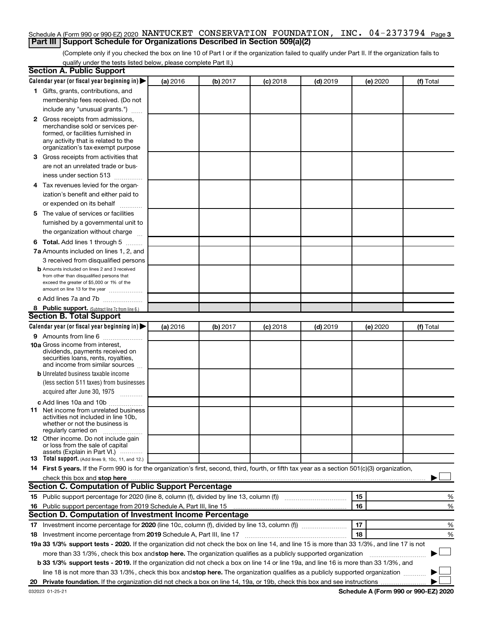#### Schedule A (Form 990 or 990-EZ) 2020 NANTUCKET CONSERVATION FOUNDATION, INC. 04-2373794 <sub>Page 3</sub> **Part III Support Schedule for Organizations Described in Section 509(a)(2)**

(Complete only if you checked the box on line 10 of Part I or if the organization failed to qualify under Part II. If the organization fails to qualify under the tests listed below, please complete Part II.)

| <b>Section A. Public Support</b>                                                                                                                 |          |          |            |            |          |           |
|--------------------------------------------------------------------------------------------------------------------------------------------------|----------|----------|------------|------------|----------|-----------|
| Calendar year (or fiscal year beginning in)                                                                                                      | (a) 2016 | (b) 2017 | $(c)$ 2018 | $(d)$ 2019 | (e) 2020 | (f) Total |
| 1 Gifts, grants, contributions, and                                                                                                              |          |          |            |            |          |           |
| membership fees received. (Do not                                                                                                                |          |          |            |            |          |           |
| include any "unusual grants.")                                                                                                                   |          |          |            |            |          |           |
| 2 Gross receipts from admissions,                                                                                                                |          |          |            |            |          |           |
| merchandise sold or services per-                                                                                                                |          |          |            |            |          |           |
| formed, or facilities furnished in                                                                                                               |          |          |            |            |          |           |
| any activity that is related to the<br>organization's tax-exempt purpose                                                                         |          |          |            |            |          |           |
| <b>3</b> Gross receipts from activities that                                                                                                     |          |          |            |            |          |           |
| are not an unrelated trade or bus-                                                                                                               |          |          |            |            |          |           |
| iness under section 513                                                                                                                          |          |          |            |            |          |           |
| 4 Tax revenues levied for the organ-                                                                                                             |          |          |            |            |          |           |
| ization's benefit and either paid to                                                                                                             |          |          |            |            |          |           |
| or expended on its behalf                                                                                                                        |          |          |            |            |          |           |
| 5 The value of services or facilities                                                                                                            |          |          |            |            |          |           |
| furnished by a governmental unit to                                                                                                              |          |          |            |            |          |           |
| the organization without charge                                                                                                                  |          |          |            |            |          |           |
| <b>6 Total.</b> Add lines 1 through 5                                                                                                            |          |          |            |            |          |           |
| 7a Amounts included on lines 1, 2, and                                                                                                           |          |          |            |            |          |           |
| 3 received from disqualified persons                                                                                                             |          |          |            |            |          |           |
| <b>b</b> Amounts included on lines 2 and 3 received                                                                                              |          |          |            |            |          |           |
| from other than disqualified persons that                                                                                                        |          |          |            |            |          |           |
| exceed the greater of \$5,000 or 1% of the<br>amount on line 13 for the year                                                                     |          |          |            |            |          |           |
| c Add lines 7a and 7b                                                                                                                            |          |          |            |            |          |           |
| 8 Public support. (Subtract line 7c from line 6.)                                                                                                |          |          |            |            |          |           |
| <b>Section B. Total Support</b>                                                                                                                  |          |          |            |            |          |           |
| Calendar year (or fiscal year beginning in)                                                                                                      | (a) 2016 | (b) 2017 | $(c)$ 2018 | $(d)$ 2019 | (e) 2020 | (f) Total |
| 9 Amounts from line 6                                                                                                                            |          |          |            |            |          |           |
| <b>10a</b> Gross income from interest,                                                                                                           |          |          |            |            |          |           |
| dividends, payments received on                                                                                                                  |          |          |            |            |          |           |
| securities loans, rents, royalties,                                                                                                              |          |          |            |            |          |           |
| and income from similar sources<br><b>b</b> Unrelated business taxable income                                                                    |          |          |            |            |          |           |
| (less section 511 taxes) from businesses                                                                                                         |          |          |            |            |          |           |
| acquired after June 30, 1975                                                                                                                     |          |          |            |            |          |           |
|                                                                                                                                                  |          |          |            |            |          |           |
| c Add lines 10a and 10b<br><b>11</b> Net income from unrelated business                                                                          |          |          |            |            |          |           |
| activities not included in line 10b.                                                                                                             |          |          |            |            |          |           |
| whether or not the business is                                                                                                                   |          |          |            |            |          |           |
| regularly carried on<br>12 Other income. Do not include gain                                                                                     |          |          |            |            |          |           |
| or loss from the sale of capital                                                                                                                 |          |          |            |            |          |           |
| assets (Explain in Part VI.)                                                                                                                     |          |          |            |            |          |           |
| <b>13</b> Total support. (Add lines 9, 10c, 11, and 12.)                                                                                         |          |          |            |            |          |           |
| 14 First 5 years. If the Form 990 is for the organization's first, second, third, fourth, or fifth tax year as a section 501(c)(3) organization, |          |          |            |            |          |           |
| check this box and stop here                                                                                                                     |          |          |            |            |          |           |
| <b>Section C. Computation of Public Support Percentage</b>                                                                                       |          |          |            |            |          |           |
| 15 Public support percentage for 2020 (line 8, column (f), divided by line 13, column (f) <i></i>                                                |          |          |            |            | 15       | %         |
| 16 Public support percentage from 2019 Schedule A, Part III, line 15                                                                             |          |          |            |            | 16       | %         |
| Section D. Computation of Investment Income Percentage                                                                                           |          |          |            |            |          |           |
|                                                                                                                                                  |          |          |            |            | 17       | %         |
| 18 Investment income percentage from 2019 Schedule A, Part III, line 17                                                                          |          |          |            |            | 18       | %         |
| 19a 33 1/3% support tests - 2020. If the organization did not check the box on line 14, and line 15 is more than 33 1/3%, and line 17 is not     |          |          |            |            |          |           |
| more than 33 1/3%, check this box and stop here. The organization qualifies as a publicly supported organization                                 |          |          |            |            |          |           |
| b 33 1/3% support tests - 2019. If the organization did not check a box on line 14 or line 19a, and line 16 is more than 33 1/3%, and            |          |          |            |            |          |           |
| line 18 is not more than 33 1/3%, check this box and stop here. The organization qualifies as a publicly supported organization                  |          |          |            |            |          |           |
|                                                                                                                                                  |          |          |            |            |          |           |

**Schedule A (Form 990 or 990-EZ) 2020**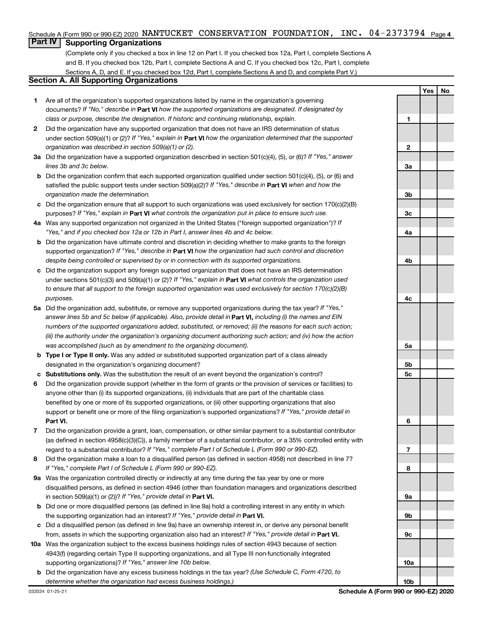#### Schedule A (Form 990 or 990-EZ) 2020 NANTUCKET CONSERVATION FOUNDATION, INC. 04-2373794 <sub>Page 4</sub>

## **Part IV Supporting Organizations**

(Complete only if you checked a box in line 12 on Part I. If you checked box 12a, Part I, complete Sections A and B. If you checked box 12b, Part I, complete Sections A and C. If you checked box 12c, Part I, complete Sections A, D, and E. If you checked box 12d, Part I, complete Sections A and D, and complete Part V.)

### **Section A. All Supporting Organizations**

- **1** Are all of the organization's supported organizations listed by name in the organization's governing documents? If "No," describe in Part VI how the supported organizations are designated. If designated by *class or purpose, describe the designation. If historic and continuing relationship, explain.*
- **2** Did the organization have any supported organization that does not have an IRS determination of status under section 509(a)(1) or (2)? If "Yes," explain in Part **VI** how the organization determined that the supported *organization was described in section 509(a)(1) or (2).*
- **3a** Did the organization have a supported organization described in section 501(c)(4), (5), or (6)? If "Yes," answer *lines 3b and 3c below.*
- **b** Did the organization confirm that each supported organization qualified under section 501(c)(4), (5), or (6) and satisfied the public support tests under section 509(a)(2)? If "Yes," describe in Part VI when and how the *organization made the determination.*
- **c** Did the organization ensure that all support to such organizations was used exclusively for section 170(c)(2)(B) purposes? If "Yes," explain in Part VI what controls the organization put in place to ensure such use.
- **4 a** *If* Was any supported organization not organized in the United States ("foreign supported organization")? *"Yes," and if you checked box 12a or 12b in Part I, answer lines 4b and 4c below.*
- **b** Did the organization have ultimate control and discretion in deciding whether to make grants to the foreign supported organization? If "Yes," describe in Part VI how the organization had such control and discretion *despite being controlled or supervised by or in connection with its supported organizations.*
- **c** Did the organization support any foreign supported organization that does not have an IRS determination under sections 501(c)(3) and 509(a)(1) or (2)? If "Yes," explain in Part VI what controls the organization used *to ensure that all support to the foreign supported organization was used exclusively for section 170(c)(2)(B) purposes.*
- **5a** Did the organization add, substitute, or remove any supported organizations during the tax year? If "Yes," answer lines 5b and 5c below (if applicable). Also, provide detail in **Part VI,** including (i) the names and EIN *numbers of the supported organizations added, substituted, or removed; (ii) the reasons for each such action; (iii) the authority under the organization's organizing document authorizing such action; and (iv) how the action was accomplished (such as by amendment to the organizing document).*
- **b Type I or Type II only.** Was any added or substituted supported organization part of a class already designated in the organization's organizing document?
- **c Substitutions only.**  Was the substitution the result of an event beyond the organization's control?
- **6** Did the organization provide support (whether in the form of grants or the provision of services or facilities) to **Part VI.** support or benefit one or more of the filing organization's supported organizations? If "Yes," provide detail in anyone other than (i) its supported organizations, (ii) individuals that are part of the charitable class benefited by one or more of its supported organizations, or (iii) other supporting organizations that also
- **7** Did the organization provide a grant, loan, compensation, or other similar payment to a substantial contributor regard to a substantial contributor? If "Yes," complete Part I of Schedule L (Form 990 or 990-EZ). (as defined in section 4958(c)(3)(C)), a family member of a substantial contributor, or a 35% controlled entity with
- **8** Did the organization make a loan to a disqualified person (as defined in section 4958) not described in line 7? *If "Yes," complete Part I of Schedule L (Form 990 or 990-EZ).*
- **9 a** Was the organization controlled directly or indirectly at any time during the tax year by one or more in section 509(a)(1) or (2))? If "Yes," provide detail in **Part VI.** disqualified persons, as defined in section 4946 (other than foundation managers and organizations described
- **b** Did one or more disqualified persons (as defined in line 9a) hold a controlling interest in any entity in which the supporting organization had an interest? If "Yes," provide detail in Part VI.
- **c** Did a disqualified person (as defined in line 9a) have an ownership interest in, or derive any personal benefit from, assets in which the supporting organization also had an interest? If "Yes," provide detail in Part VI.
- **10 a** Was the organization subject to the excess business holdings rules of section 4943 because of section supporting organizations)? If "Yes," answer line 10b below. 4943(f) (regarding certain Type II supporting organizations, and all Type III non-functionally integrated
	- **b** Did the organization have any excess business holdings in the tax year? (Use Schedule C, Form 4720, to *determine whether the organization had excess business holdings.)*

**Yes No**

**10b**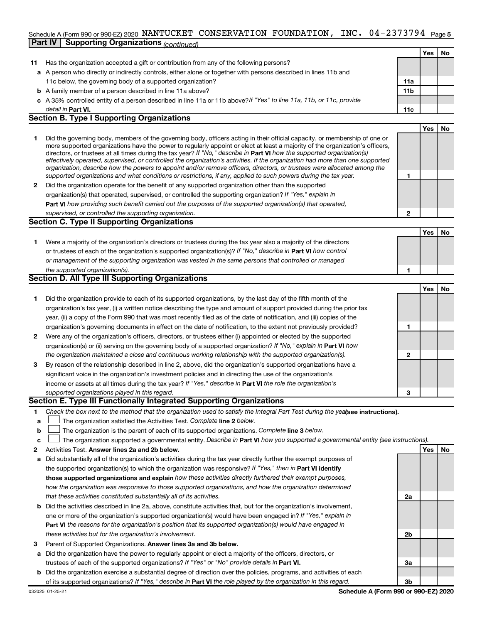#### INC.  $04 - 2373794$  Page 5 Schedule A (Form 990 or 990-EZ) 2020 NANTUCKET CONSERVATION FOUNDATION, INC.  $04$  –  $2373794$  Page **Part IV** Supporting Organizations *(contine*

|              |                                                                                                                                                                                                                                                                                                                                                                                                                                                                                                                                                                                                                                                      |                 | Yes        | No |
|--------------|------------------------------------------------------------------------------------------------------------------------------------------------------------------------------------------------------------------------------------------------------------------------------------------------------------------------------------------------------------------------------------------------------------------------------------------------------------------------------------------------------------------------------------------------------------------------------------------------------------------------------------------------------|-----------------|------------|----|
| 11           | Has the organization accepted a gift or contribution from any of the following persons?                                                                                                                                                                                                                                                                                                                                                                                                                                                                                                                                                              |                 |            |    |
|              | a A person who directly or indirectly controls, either alone or together with persons described in lines 11b and                                                                                                                                                                                                                                                                                                                                                                                                                                                                                                                                     |                 |            |    |
|              | 11c below, the governing body of a supported organization?                                                                                                                                                                                                                                                                                                                                                                                                                                                                                                                                                                                           | 11a             |            |    |
|              | <b>b</b> A family member of a person described in line 11a above?                                                                                                                                                                                                                                                                                                                                                                                                                                                                                                                                                                                    | 11 <sub>b</sub> |            |    |
|              | c A 35% controlled entity of a person described in line 11a or 11b above?If "Yes" to line 11a, 11b, or 11c, provide                                                                                                                                                                                                                                                                                                                                                                                                                                                                                                                                  |                 |            |    |
|              | detail in Part VI.                                                                                                                                                                                                                                                                                                                                                                                                                                                                                                                                                                                                                                   | 11c             |            |    |
|              | <b>Section B. Type I Supporting Organizations</b>                                                                                                                                                                                                                                                                                                                                                                                                                                                                                                                                                                                                    |                 |            |    |
|              |                                                                                                                                                                                                                                                                                                                                                                                                                                                                                                                                                                                                                                                      |                 | <b>Yes</b> | No |
| 1            | Did the governing body, members of the governing body, officers acting in their official capacity, or membership of one or<br>more supported organizations have the power to regularly appoint or elect at least a majority of the organization's officers,<br>directors, or trustees at all times during the tax year? If "No," describe in Part VI how the supported organization(s)<br>effectively operated, supervised, or controlled the organization's activities. If the organization had more than one supported<br>organization, describe how the powers to appoint and/or remove officers, directors, or trustees were allocated among the |                 |            |    |
|              | supported organizations and what conditions or restrictions, if any, applied to such powers during the tax year.                                                                                                                                                                                                                                                                                                                                                                                                                                                                                                                                     | 1               |            |    |
| $\mathbf{2}$ | Did the organization operate for the benefit of any supported organization other than the supported                                                                                                                                                                                                                                                                                                                                                                                                                                                                                                                                                  |                 |            |    |
|              | organization(s) that operated, supervised, or controlled the supporting organization? If "Yes," explain in                                                                                                                                                                                                                                                                                                                                                                                                                                                                                                                                           |                 |            |    |
|              | <b>Part VI</b> how providing such benefit carried out the purposes of the supported organization(s) that operated,                                                                                                                                                                                                                                                                                                                                                                                                                                                                                                                                   |                 |            |    |
|              | supervised, or controlled the supporting organization.                                                                                                                                                                                                                                                                                                                                                                                                                                                                                                                                                                                               | 2               |            |    |
|              | <b>Section C. Type II Supporting Organizations</b>                                                                                                                                                                                                                                                                                                                                                                                                                                                                                                                                                                                                   |                 |            |    |
|              |                                                                                                                                                                                                                                                                                                                                                                                                                                                                                                                                                                                                                                                      |                 | <b>Yes</b> | No |
| 1            | Were a majority of the organization's directors or trustees during the tax year also a majority of the directors                                                                                                                                                                                                                                                                                                                                                                                                                                                                                                                                     |                 |            |    |
|              | or trustees of each of the organization's supported organization(s)? If "No," describe in Part VI how control                                                                                                                                                                                                                                                                                                                                                                                                                                                                                                                                        |                 |            |    |
|              | or management of the supporting organization was vested in the same persons that controlled or managed                                                                                                                                                                                                                                                                                                                                                                                                                                                                                                                                               |                 |            |    |
|              | the supported organization(s).                                                                                                                                                                                                                                                                                                                                                                                                                                                                                                                                                                                                                       | 1               |            |    |
|              | Section D. All Type III Supporting Organizations                                                                                                                                                                                                                                                                                                                                                                                                                                                                                                                                                                                                     |                 |            |    |
|              |                                                                                                                                                                                                                                                                                                                                                                                                                                                                                                                                                                                                                                                      |                 | <b>Yes</b> | No |
| 1            | Did the organization provide to each of its supported organizations, by the last day of the fifth month of the                                                                                                                                                                                                                                                                                                                                                                                                                                                                                                                                       |                 |            |    |
|              | organization's tax year, (i) a written notice describing the type and amount of support provided during the prior tax                                                                                                                                                                                                                                                                                                                                                                                                                                                                                                                                |                 |            |    |
|              | year, (ii) a copy of the Form 990 that was most recently filed as of the date of notification, and (iii) copies of the                                                                                                                                                                                                                                                                                                                                                                                                                                                                                                                               |                 |            |    |
|              | organization's governing documents in effect on the date of notification, to the extent not previously provided?                                                                                                                                                                                                                                                                                                                                                                                                                                                                                                                                     | 1               |            |    |
| $\mathbf{2}$ | Were any of the organization's officers, directors, or trustees either (i) appointed or elected by the supported                                                                                                                                                                                                                                                                                                                                                                                                                                                                                                                                     |                 |            |    |
|              | organization(s) or (ii) serving on the governing body of a supported organization? If "No," explain in <b>Part VI</b> how                                                                                                                                                                                                                                                                                                                                                                                                                                                                                                                            |                 |            |    |
|              | the organization maintained a close and continuous working relationship with the supported organization(s).                                                                                                                                                                                                                                                                                                                                                                                                                                                                                                                                          | $\mathbf{2}$    |            |    |
| 3            | By reason of the relationship described in line 2, above, did the organization's supported organizations have a                                                                                                                                                                                                                                                                                                                                                                                                                                                                                                                                      |                 |            |    |
|              | significant voice in the organization's investment policies and in directing the use of the organization's                                                                                                                                                                                                                                                                                                                                                                                                                                                                                                                                           |                 |            |    |
|              | income or assets at all times during the tax year? If "Yes," describe in Part VI the role the organization's                                                                                                                                                                                                                                                                                                                                                                                                                                                                                                                                         |                 |            |    |
|              | supported organizations played in this regard.                                                                                                                                                                                                                                                                                                                                                                                                                                                                                                                                                                                                       | 3               |            |    |
|              |                                                                                                                                                                                                                                                                                                                                                                                                                                                                                                                                                                                                                                                      |                 |            |    |
|              | Section E. Type III Functionally Integrated Supporting Organizations                                                                                                                                                                                                                                                                                                                                                                                                                                                                                                                                                                                 |                 |            |    |

- **1** Check the box next to the method that the organization used to satisfy the Integral Part Test during the yealsee instructions).
- **a The organization satisfied the Activities Test. Complete line 2 below.**
- **b** The organization is the parent of each of its supported organizations. Complete line 3 below.  $\Box$
- **c** The organization supported a governmental entity. Describe in Part VI how you supported a governmental entity (see instructions).  $\Box$
- **2 Answer lines 2a and 2b below. Yes No** Activities Test.
- **a** Did substantially all of the organization's activities during the tax year directly further the exempt purposes of the supported organization(s) to which the organization was responsive? If "Yes," then in Part VI identify **those supported organizations and explain**  *how these activities directly furthered their exempt purposes, how the organization was responsive to those supported organizations, and how the organization determined that these activities constituted substantially all of its activities.*
- **b** Did the activities described in line 2a, above, constitute activities that, but for the organization's involvement, **Part VI**  *the reasons for the organization's position that its supported organization(s) would have engaged in* one or more of the organization's supported organization(s) would have been engaged in? If "Yes," explain in *these activities but for the organization's involvement.*
- **3** Parent of Supported Organizations. Answer lines 3a and 3b below.
- **a** Did the organization have the power to regularly appoint or elect a majority of the officers, directors, or trustees of each of the supported organizations? If "Yes" or "No" provide details in Part VI.
- **b** Did the organization exercise a substantial degree of direction over the policies, programs, and activities of each of its supported organizations? If "Yes," describe in Part VI the role played by the organization in this regard.

**2a**

**2b**

**3a**

**3b**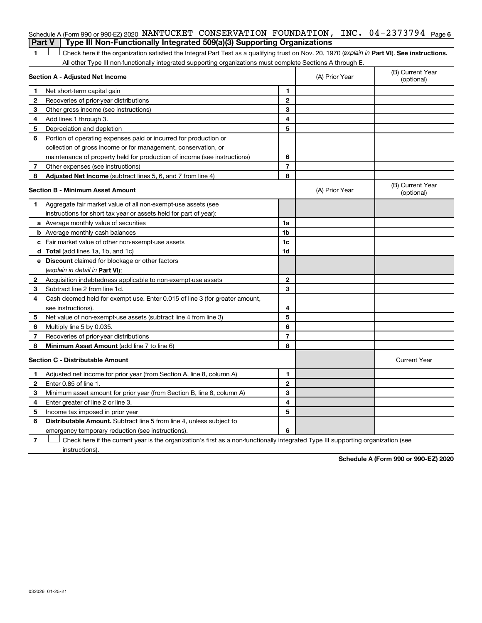|   | Schedule A (Form 990 or 990-EZ) 2020 NANTUCKET CONSERVATION FOUNDATION, INC. $04-2373794$ Page 6                                               |                |                |                                |
|---|------------------------------------------------------------------------------------------------------------------------------------------------|----------------|----------------|--------------------------------|
|   | Type III Non-Functionally Integrated 509(a)(3) Supporting Organizations<br><b>Part V</b>                                                       |                |                |                                |
| 1 | Check here if the organization satisfied the Integral Part Test as a qualifying trust on Nov. 20, 1970 (explain in Part VI). See instructions. |                |                |                                |
|   | All other Type III non-functionally integrated supporting organizations must complete Sections A through E.                                    |                |                |                                |
|   | Section A - Adjusted Net Income                                                                                                                |                | (A) Prior Year | (B) Current Year<br>(optional) |
| 1 | Net short-term capital gain                                                                                                                    | 1              |                |                                |
| 2 | Recoveries of prior-year distributions                                                                                                         | $\mathbf 2$    |                |                                |
| З | Other gross income (see instructions)                                                                                                          | 3              |                |                                |
| 4 | Add lines 1 through 3.                                                                                                                         | 4              |                |                                |
| 5 | Depreciation and depletion                                                                                                                     | 5              |                |                                |
| 6 | Portion of operating expenses paid or incurred for production or                                                                               |                |                |                                |
|   | collection of gross income or for management, conservation, or                                                                                 |                |                |                                |
|   | maintenance of property held for production of income (see instructions)                                                                       | 6              |                |                                |
| 7 | Other expenses (see instructions)                                                                                                              | $\overline{7}$ |                |                                |
| 8 | <b>Adjusted Net Income</b> (subtract lines 5, 6, and 7 from line 4)                                                                            | 8              |                |                                |
|   | Section B - Minimum Asset Amount                                                                                                               |                | (A) Prior Year | (B) Current Year<br>(optional) |
| 1 | Aggregate fair market value of all non-exempt-use assets (see                                                                                  |                |                |                                |
|   | instructions for short tax year or assets held for part of year):                                                                              |                |                |                                |
|   | a Average monthly value of securities                                                                                                          | 1a             |                |                                |
|   | <b>b</b> Average monthly cash balances                                                                                                         | 1b             |                |                                |
|   | c Fair market value of other non-exempt-use assets                                                                                             | 1 <sub>c</sub> |                |                                |
|   | <b>d</b> Total (add lines 1a, 1b, and 1c)                                                                                                      | 1d             |                |                                |
|   | e Discount claimed for blockage or other factors                                                                                               |                |                |                                |
|   | (explain in detail in <b>Part VI</b> ):                                                                                                        |                |                |                                |
| 2 | Acquisition indebtedness applicable to non-exempt-use assets                                                                                   | $\mathbf{2}$   |                |                                |
| 3 | Subtract line 2 from line 1d.                                                                                                                  | 3              |                |                                |
| 4 | Cash deemed held for exempt use. Enter 0.015 of line 3 (for greater amount,                                                                    |                |                |                                |
|   | see instructions).                                                                                                                             | 4              |                |                                |
| 5 | Net value of non-exempt-use assets (subtract line 4 from line 3)                                                                               | 5              |                |                                |
| 6 | Multiply line 5 by 0.035.                                                                                                                      | 6              |                |                                |
| 7 | Recoveries of prior-year distributions                                                                                                         | $\overline{7}$ |                |                                |
| 8 | <b>Minimum Asset Amount (add line 7 to line 6)</b>                                                                                             | 8              |                |                                |
|   | <b>Section C - Distributable Amount</b>                                                                                                        |                |                | <b>Current Year</b>            |
| 1 | Adjusted net income for prior year (from Section A, line 8, column A)                                                                          | 1              |                |                                |
| 2 | Enter 0.85 of line 1.                                                                                                                          | $\mathbf{2}$   |                |                                |
| з | Minimum asset amount for prior year (from Section B, line 8, column A)                                                                         | 3              |                |                                |
| 4 | Enter greater of line 2 or line 3.                                                                                                             | 4              |                |                                |
| 5 | Income tax imposed in prior year                                                                                                               | 5              |                |                                |
| 6 | <b>Distributable Amount.</b> Subtract line 5 from line 4, unless subject to                                                                    |                |                |                                |
|   | emergency temporary reduction (see instructions).                                                                                              | 6              |                |                                |

**7** Let Check here if the current year is the organization's first as a non-functionally integrated Type III supporting organization (see instructions).

**Schedule A (Form 990 or 990-EZ) 2020**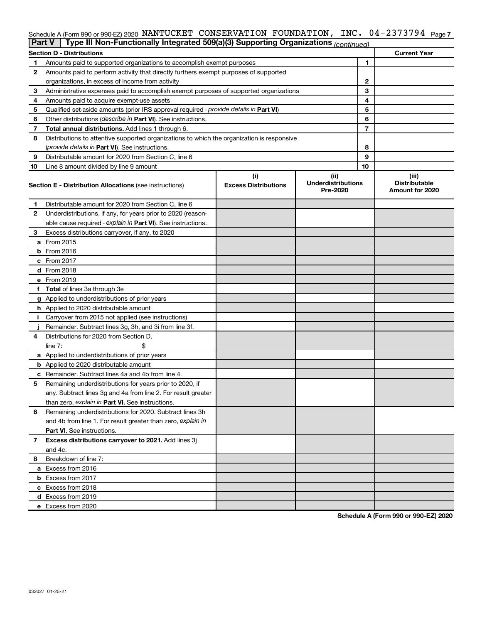#### INC. 04-2373794 <sub>Page 7</sub> Schedule A (Form 990 or 990-EZ) 2020 NANTUCKET CONSERVATION FOUNDATION, INC.  $04$  –  $2373794$  Page

| Part V | Type III Non-Functionally Integrated 509(a)(3) Supporting Organizations (continued)        |                                    |                                               |    |                                                  |
|--------|--------------------------------------------------------------------------------------------|------------------------------------|-----------------------------------------------|----|--------------------------------------------------|
|        | <b>Section D - Distributions</b>                                                           |                                    |                                               |    | <b>Current Year</b>                              |
| 1      | Amounts paid to supported organizations to accomplish exempt purposes                      |                                    |                                               | 1  |                                                  |
| 2      | Amounts paid to perform activity that directly furthers exempt purposes of supported       |                                    |                                               |    |                                                  |
|        | organizations, in excess of income from activity                                           |                                    |                                               | 2  |                                                  |
| 3      | Administrative expenses paid to accomplish exempt purposes of supported organizations      |                                    |                                               | 3  |                                                  |
| 4      | Amounts paid to acquire exempt-use assets                                                  |                                    |                                               | 4  |                                                  |
| 5      | Qualified set-aside amounts (prior IRS approval required - provide details in Part VI)     |                                    |                                               | 5  |                                                  |
| 6      | Other distributions (describe in Part VI). See instructions.                               |                                    |                                               | 6  |                                                  |
| 7      | Total annual distributions. Add lines 1 through 6.                                         |                                    |                                               | 7  |                                                  |
| 8      | Distributions to attentive supported organizations to which the organization is responsive |                                    |                                               |    |                                                  |
|        | ( <i>provide details in Part VI</i> ). See instructions.                                   |                                    |                                               | 8  |                                                  |
| 9      | Distributable amount for 2020 from Section C, line 6                                       |                                    |                                               | 9  |                                                  |
| 10     | Line 8 amount divided by line 9 amount                                                     |                                    |                                               | 10 |                                                  |
|        | <b>Section E - Distribution Allocations (see instructions)</b>                             | (i)<br><b>Excess Distributions</b> | (ii)<br><b>Underdistributions</b><br>Pre-2020 |    | (iii)<br><b>Distributable</b><br>Amount for 2020 |
| 1      | Distributable amount for 2020 from Section C, line 6                                       |                                    |                                               |    |                                                  |
| 2      | Underdistributions, if any, for years prior to 2020 (reason-                               |                                    |                                               |    |                                                  |
|        | able cause required - explain in Part VI). See instructions.                               |                                    |                                               |    |                                                  |
| З      | Excess distributions carryover, if any, to 2020                                            |                                    |                                               |    |                                                  |
|        | a From 2015                                                                                |                                    |                                               |    |                                                  |
|        | $b$ From 2016                                                                              |                                    |                                               |    |                                                  |
|        | c From 2017                                                                                |                                    |                                               |    |                                                  |
|        | <b>d</b> From 2018                                                                         |                                    |                                               |    |                                                  |
|        | e From 2019                                                                                |                                    |                                               |    |                                                  |
|        | f Total of lines 3a through 3e                                                             |                                    |                                               |    |                                                  |
|        | g Applied to underdistributions of prior years                                             |                                    |                                               |    |                                                  |
|        | <b>h</b> Applied to 2020 distributable amount                                              |                                    |                                               |    |                                                  |
| Ť.     | Carryover from 2015 not applied (see instructions)                                         |                                    |                                               |    |                                                  |
|        | Remainder. Subtract lines 3g, 3h, and 3i from line 3f.                                     |                                    |                                               |    |                                                  |
| 4      | Distributions for 2020 from Section D,                                                     |                                    |                                               |    |                                                  |
|        | line 7:                                                                                    |                                    |                                               |    |                                                  |
|        | a Applied to underdistributions of prior years                                             |                                    |                                               |    |                                                  |
|        | <b>b</b> Applied to 2020 distributable amount                                              |                                    |                                               |    |                                                  |
|        | c Remainder. Subtract lines 4a and 4b from line 4.                                         |                                    |                                               |    |                                                  |
| 5      | Remaining underdistributions for years prior to 2020, if                                   |                                    |                                               |    |                                                  |
|        | any. Subtract lines 3g and 4a from line 2. For result greater                              |                                    |                                               |    |                                                  |
|        | than zero, explain in Part VI. See instructions.                                           |                                    |                                               |    |                                                  |
| 6      | Remaining underdistributions for 2020. Subtract lines 3h                                   |                                    |                                               |    |                                                  |
|        | and 4b from line 1. For result greater than zero, explain in                               |                                    |                                               |    |                                                  |
|        | <b>Part VI.</b> See instructions.                                                          |                                    |                                               |    |                                                  |
| 7      | Excess distributions carryover to 2021. Add lines 3j                                       |                                    |                                               |    |                                                  |
|        | and 4c.                                                                                    |                                    |                                               |    |                                                  |
| 8      | Breakdown of line 7:                                                                       |                                    |                                               |    |                                                  |
|        | a Excess from 2016                                                                         |                                    |                                               |    |                                                  |
|        | <b>b</b> Excess from 2017                                                                  |                                    |                                               |    |                                                  |
|        | c Excess from 2018                                                                         |                                    |                                               |    |                                                  |
|        | d Excess from 2019                                                                         |                                    |                                               |    |                                                  |
|        | e Excess from 2020                                                                         |                                    |                                               |    |                                                  |

**Schedule A (Form 990 or 990-EZ) 2020**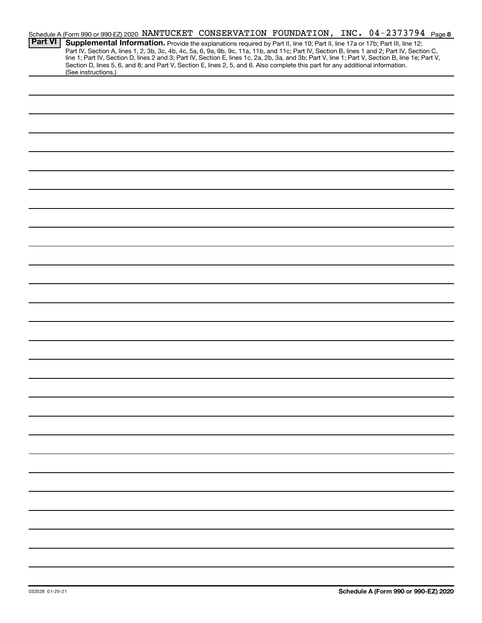|                |                                                                                                                                                        |  | Schedule A (Form 990 or 990-EZ) 2020 NANTUCKET CONSERVATION FOUNDATION, INC. 04-2373794 Page 8                                                                                                                                                                                                                                                                                                                                    |  |
|----------------|--------------------------------------------------------------------------------------------------------------------------------------------------------|--|-----------------------------------------------------------------------------------------------------------------------------------------------------------------------------------------------------------------------------------------------------------------------------------------------------------------------------------------------------------------------------------------------------------------------------------|--|
| <b>Part VI</b> |                                                                                                                                                        |  | Supplemental Information. Provide the explanations required by Part II, line 10; Part II, line 17a or 17b; Part III, line 12;<br>Part IV, Section A, lines 1, 2, 3b, 3c, 4b, 4c, 5a, 6, 9a, 9b, 9c, 11a, 11b, and 11c; Part IV, Section B, lines 1 and 2; Part IV, Section C,<br>line 1; Part IV, Section D, lines 2 and 3; Part IV, Section E, lines 1c, 2a, 2b, 3a, and 3b; Part V, line 1; Part V, Section B, line 1e; Part V, |  |
|                | Section D, lines 5, 6, and 8; and Part V, Section E, lines 2, 5, and 6. Also complete this part for any additional information.<br>(See instructions.) |  |                                                                                                                                                                                                                                                                                                                                                                                                                                   |  |
|                |                                                                                                                                                        |  |                                                                                                                                                                                                                                                                                                                                                                                                                                   |  |
|                |                                                                                                                                                        |  |                                                                                                                                                                                                                                                                                                                                                                                                                                   |  |
|                |                                                                                                                                                        |  |                                                                                                                                                                                                                                                                                                                                                                                                                                   |  |
|                |                                                                                                                                                        |  |                                                                                                                                                                                                                                                                                                                                                                                                                                   |  |
|                |                                                                                                                                                        |  |                                                                                                                                                                                                                                                                                                                                                                                                                                   |  |
|                |                                                                                                                                                        |  |                                                                                                                                                                                                                                                                                                                                                                                                                                   |  |
|                |                                                                                                                                                        |  |                                                                                                                                                                                                                                                                                                                                                                                                                                   |  |
|                |                                                                                                                                                        |  |                                                                                                                                                                                                                                                                                                                                                                                                                                   |  |
|                |                                                                                                                                                        |  |                                                                                                                                                                                                                                                                                                                                                                                                                                   |  |
|                |                                                                                                                                                        |  |                                                                                                                                                                                                                                                                                                                                                                                                                                   |  |
|                |                                                                                                                                                        |  |                                                                                                                                                                                                                                                                                                                                                                                                                                   |  |
|                |                                                                                                                                                        |  |                                                                                                                                                                                                                                                                                                                                                                                                                                   |  |
|                |                                                                                                                                                        |  |                                                                                                                                                                                                                                                                                                                                                                                                                                   |  |
|                |                                                                                                                                                        |  |                                                                                                                                                                                                                                                                                                                                                                                                                                   |  |
|                |                                                                                                                                                        |  |                                                                                                                                                                                                                                                                                                                                                                                                                                   |  |
|                |                                                                                                                                                        |  |                                                                                                                                                                                                                                                                                                                                                                                                                                   |  |
|                |                                                                                                                                                        |  |                                                                                                                                                                                                                                                                                                                                                                                                                                   |  |
|                |                                                                                                                                                        |  |                                                                                                                                                                                                                                                                                                                                                                                                                                   |  |
|                |                                                                                                                                                        |  |                                                                                                                                                                                                                                                                                                                                                                                                                                   |  |
|                |                                                                                                                                                        |  |                                                                                                                                                                                                                                                                                                                                                                                                                                   |  |
|                |                                                                                                                                                        |  |                                                                                                                                                                                                                                                                                                                                                                                                                                   |  |
|                |                                                                                                                                                        |  |                                                                                                                                                                                                                                                                                                                                                                                                                                   |  |
|                |                                                                                                                                                        |  |                                                                                                                                                                                                                                                                                                                                                                                                                                   |  |
|                |                                                                                                                                                        |  |                                                                                                                                                                                                                                                                                                                                                                                                                                   |  |
|                |                                                                                                                                                        |  |                                                                                                                                                                                                                                                                                                                                                                                                                                   |  |
|                |                                                                                                                                                        |  |                                                                                                                                                                                                                                                                                                                                                                                                                                   |  |
|                |                                                                                                                                                        |  |                                                                                                                                                                                                                                                                                                                                                                                                                                   |  |
|                |                                                                                                                                                        |  |                                                                                                                                                                                                                                                                                                                                                                                                                                   |  |
|                |                                                                                                                                                        |  |                                                                                                                                                                                                                                                                                                                                                                                                                                   |  |
|                |                                                                                                                                                        |  |                                                                                                                                                                                                                                                                                                                                                                                                                                   |  |
|                |                                                                                                                                                        |  |                                                                                                                                                                                                                                                                                                                                                                                                                                   |  |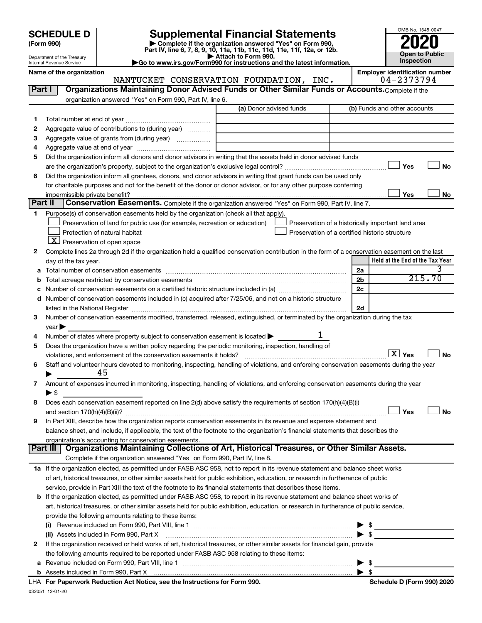| <b>SCHEDULE D</b> |  |
|-------------------|--|
|-------------------|--|

Department of the Treasury Internal Revenue Service

# **SCHEDULE D Supplemental Financial Statements**<br> **Form 990 2020**<br> **Part IV** line 6.7.8.9.10, 11a, 11b, 11d, 11d, 11d, 11d, 11d, 12a, 0r, 12b

**(Form 990) | Complete if the organization answered "Yes" on Form 990, Part IV, line 6, 7, 8, 9, 10, 11a, 11b, 11c, 11d, 11e, 11f, 12a, or 12b.**

**| Attach to Form 990. |Go to www.irs.gov/Form990 for instructions and the latest information.**



Name of the organization<br>**NANTUCKET CONSERVATION FOUNDATION, INC.** Employer identification number<br>04-2373794 NANTUCKET CONSERVATION FOUNDATION, INC.

| Part I       | Organizations Maintaining Donor Advised Funds or Other Similar Funds or Accounts. Complete if the                                                                                                                                                                                                                                                                 |                         |                                                    |
|--------------|-------------------------------------------------------------------------------------------------------------------------------------------------------------------------------------------------------------------------------------------------------------------------------------------------------------------------------------------------------------------|-------------------------|----------------------------------------------------|
|              | organization answered "Yes" on Form 990, Part IV, line 6.                                                                                                                                                                                                                                                                                                         |                         |                                                    |
|              |                                                                                                                                                                                                                                                                                                                                                                   | (a) Donor advised funds | (b) Funds and other accounts                       |
| 1            |                                                                                                                                                                                                                                                                                                                                                                   |                         |                                                    |
| 2            | Aggregate value of contributions to (during year)                                                                                                                                                                                                                                                                                                                 |                         |                                                    |
| з            | Aggregate value of grants from (during year)                                                                                                                                                                                                                                                                                                                      |                         |                                                    |
| 4            |                                                                                                                                                                                                                                                                                                                                                                   |                         |                                                    |
| 5            | Did the organization inform all donors and donor advisors in writing that the assets held in donor advised funds                                                                                                                                                                                                                                                  |                         |                                                    |
|              |                                                                                                                                                                                                                                                                                                                                                                   |                         | Yes<br><b>No</b>                                   |
| 6            | Did the organization inform all grantees, donors, and donor advisors in writing that grant funds can be used only                                                                                                                                                                                                                                                 |                         |                                                    |
|              | for charitable purposes and not for the benefit of the donor or donor advisor, or for any other purpose conferring                                                                                                                                                                                                                                                |                         |                                                    |
| Part II      |                                                                                                                                                                                                                                                                                                                                                                   |                         | Yes<br>No                                          |
|              | Conservation Easements. Complete if the organization answered "Yes" on Form 990, Part IV, line 7.                                                                                                                                                                                                                                                                 |                         |                                                    |
| 1            | Purpose(s) of conservation easements held by the organization (check all that apply).                                                                                                                                                                                                                                                                             |                         |                                                    |
|              | Preservation of land for public use (for example, recreation or education)                                                                                                                                                                                                                                                                                        |                         | Preservation of a historically important land area |
|              | Protection of natural habitat                                                                                                                                                                                                                                                                                                                                     |                         | Preservation of a certified historic structure     |
|              | $\lfloor$ X $\rfloor$ Preservation of open space                                                                                                                                                                                                                                                                                                                  |                         |                                                    |
| 2            | Complete lines 2a through 2d if the organization held a qualified conservation contribution in the form of a conservation easement on the last                                                                                                                                                                                                                    |                         | Held at the End of the Tax Year                    |
|              | day of the tax year.                                                                                                                                                                                                                                                                                                                                              |                         |                                                    |
| а            |                                                                                                                                                                                                                                                                                                                                                                   |                         | 2a<br>215.70<br>2 <sub>b</sub>                     |
| b            |                                                                                                                                                                                                                                                                                                                                                                   |                         | 2c                                                 |
|              |                                                                                                                                                                                                                                                                                                                                                                   |                         |                                                    |
|              | d Number of conservation easements included in (c) acquired after 7/25/06, and not on a historic structure                                                                                                                                                                                                                                                        |                         | 2d                                                 |
|              | listed in the National Register [111] Marshall Register [11] Marshall Register [11] Marshall Register [11] Marshall Register [11] Marshall Register [11] Marshall Register [11] Marshall Register [11] Marshall Register [11]<br>Number of conservation easements modified, transferred, released, extinguished, or terminated by the organization during the tax |                         |                                                    |
| 3            | $year \triangleright$                                                                                                                                                                                                                                                                                                                                             |                         |                                                    |
| 4            | Number of states where property subject to conservation easement is located >                                                                                                                                                                                                                                                                                     | 1                       |                                                    |
| 5            | Does the organization have a written policy regarding the periodic monitoring, inspection, handling of                                                                                                                                                                                                                                                            |                         |                                                    |
|              | violations, and enforcement of the conservation easements it holds?                                                                                                                                                                                                                                                                                               |                         | $\boxed{\text{X}}$ Yes<br><b>No</b>                |
| 6            | Staff and volunteer hours devoted to monitoring, inspecting, handling of violations, and enforcing conservation easements during the year                                                                                                                                                                                                                         |                         |                                                    |
|              | 45                                                                                                                                                                                                                                                                                                                                                                |                         |                                                    |
| 7            | Amount of expenses incurred in monitoring, inspecting, handling of violations, and enforcing conservation easements during the year                                                                                                                                                                                                                               |                         |                                                    |
|              | ▶ \$                                                                                                                                                                                                                                                                                                                                                              |                         |                                                    |
| 8            | Does each conservation easement reported on line 2(d) above satisfy the requirements of section 170(h)(4)(B)(i)                                                                                                                                                                                                                                                   |                         |                                                    |
|              |                                                                                                                                                                                                                                                                                                                                                                   |                         | Yes<br><b>No</b>                                   |
| 9            | In Part XIII, describe how the organization reports conservation easements in its revenue and expense statement and                                                                                                                                                                                                                                               |                         |                                                    |
|              | balance sheet, and include, if applicable, the text of the footnote to the organization's financial statements that describes the                                                                                                                                                                                                                                 |                         |                                                    |
|              | organization's accounting for conservation easements.                                                                                                                                                                                                                                                                                                             |                         |                                                    |
|              | Organizations Maintaining Collections of Art, Historical Treasures, or Other Similar Assets.<br>Part III                                                                                                                                                                                                                                                          |                         |                                                    |
|              | Complete if the organization answered "Yes" on Form 990, Part IV, line 8.                                                                                                                                                                                                                                                                                         |                         |                                                    |
|              | 1a If the organization elected, as permitted under FASB ASC 958, not to report in its revenue statement and balance sheet works                                                                                                                                                                                                                                   |                         |                                                    |
|              | of art, historical treasures, or other similar assets held for public exhibition, education, or research in furtherance of public                                                                                                                                                                                                                                 |                         |                                                    |
|              | service, provide in Part XIII the text of the footnote to its financial statements that describes these items.                                                                                                                                                                                                                                                    |                         |                                                    |
|              | <b>b</b> If the organization elected, as permitted under FASB ASC 958, to report in its revenue statement and balance sheet works of                                                                                                                                                                                                                              |                         |                                                    |
|              | art, historical treasures, or other similar assets held for public exhibition, education, or research in furtherance of public service,                                                                                                                                                                                                                           |                         |                                                    |
|              | provide the following amounts relating to these items:                                                                                                                                                                                                                                                                                                            |                         |                                                    |
|              |                                                                                                                                                                                                                                                                                                                                                                   |                         | \$                                                 |
|              | (ii) Assets included in Form 990, Part X                                                                                                                                                                                                                                                                                                                          |                         | $\rightarrow$ \$                                   |
| $\mathbf{2}$ | If the organization received or held works of art, historical treasures, or other similar assets for financial gain, provide                                                                                                                                                                                                                                      |                         |                                                    |
|              | the following amounts required to be reported under FASB ASC 958 relating to these items:                                                                                                                                                                                                                                                                         |                         |                                                    |
|              |                                                                                                                                                                                                                                                                                                                                                                   |                         | \$                                                 |
|              |                                                                                                                                                                                                                                                                                                                                                                   |                         |                                                    |
|              | LHA For Paperwork Reduction Act Notice, see the Instructions for Form 990.                                                                                                                                                                                                                                                                                        |                         | Schedule D (Form 990) 2020                         |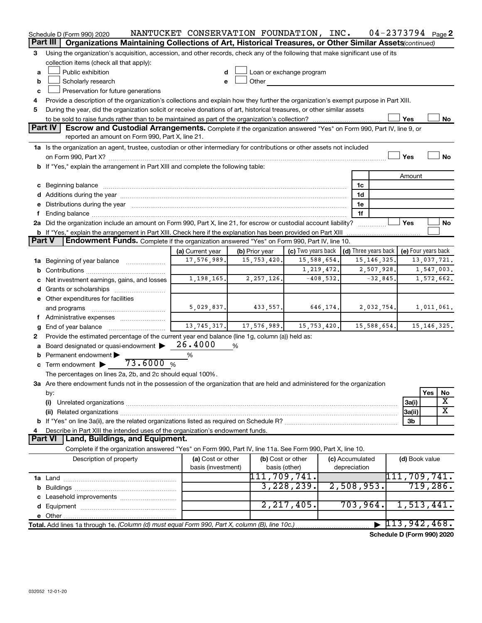|          | Schedule D (Form 990) 2020                                                                                                                                                                                                     | NANTUCKET CONSERVATION FOUNDATION, INC. |                |                                    |                                 | $04 - 2373794$ Page 2 |                                    |               |           |
|----------|--------------------------------------------------------------------------------------------------------------------------------------------------------------------------------------------------------------------------------|-----------------------------------------|----------------|------------------------------------|---------------------------------|-----------------------|------------------------------------|---------------|-----------|
| Part III | Organizations Maintaining Collections of Art, Historical Treasures, or Other Similar Assets (continued)                                                                                                                        |                                         |                |                                    |                                 |                       |                                    |               |           |
| 3        | Using the organization's acquisition, accession, and other records, check any of the following that make significant use of its                                                                                                |                                         |                |                                    |                                 |                       |                                    |               |           |
|          | collection items (check all that apply):                                                                                                                                                                                       |                                         |                |                                    |                                 |                       |                                    |               |           |
| a        | Public exhibition                                                                                                                                                                                                              | d                                       |                | Loan or exchange program           |                                 |                       |                                    |               |           |
| b        | Scholarly research                                                                                                                                                                                                             | e                                       | Other          |                                    |                                 |                       |                                    |               |           |
| c        | Preservation for future generations                                                                                                                                                                                            |                                         |                |                                    |                                 |                       |                                    |               |           |
| 4        | Provide a description of the organization's collections and explain how they further the organization's exempt purpose in Part XIII.                                                                                           |                                         |                |                                    |                                 |                       |                                    |               |           |
| 5        | During the year, did the organization solicit or receive donations of art, historical treasures, or other similar assets                                                                                                       |                                         |                |                                    |                                 |                       |                                    |               |           |
|          |                                                                                                                                                                                                                                |                                         |                |                                    |                                 |                       | Yes                                |               | No        |
|          | Part IV<br>Escrow and Custodial Arrangements. Complete if the organization answered "Yes" on Form 990, Part IV, line 9, or<br>reported an amount on Form 990, Part X, line 21.                                                 |                                         |                |                                    |                                 |                       |                                    |               |           |
|          | 1a Is the organization an agent, trustee, custodian or other intermediary for contributions or other assets not included                                                                                                       |                                         |                |                                    |                                 |                       |                                    |               |           |
|          |                                                                                                                                                                                                                                |                                         |                |                                    |                                 |                       | Yes                                |               | <b>No</b> |
|          | b If "Yes," explain the arrangement in Part XIII and complete the following table:                                                                                                                                             |                                         |                |                                    |                                 |                       |                                    |               |           |
|          |                                                                                                                                                                                                                                |                                         |                |                                    |                                 |                       | Amount                             |               |           |
|          | c Beginning balance measurements and the contract of the contract of the contract of the contract of the contract of the contract of the contract of the contract of the contract of the contract of the contract of the contr |                                         |                |                                    | 1c                              |                       |                                    |               |           |
|          | d Additions during the year manufactured and an account of the year manufactured and account of the year manufactured and account of the year manufactured and account of the year manufactured and account of the year manufa |                                         |                |                                    | 1d                              |                       |                                    |               |           |
|          | Distributions during the year manufactured and an according to the year manufactured and the year manufactured                                                                                                                 |                                         |                |                                    | 1e                              |                       |                                    |               |           |
| f        |                                                                                                                                                                                                                                |                                         |                |                                    | 1f                              |                       |                                    |               |           |
|          | 2a Did the organization include an amount on Form 990, Part X, line 21, for escrow or custodial account liability?                                                                                                             |                                         |                |                                    |                                 |                       | Yes                                |               | No        |
|          | b If "Yes," explain the arrangement in Part XIII. Check here if the explanation has been provided on Part XIII                                                                                                                 |                                         |                |                                    |                                 |                       |                                    |               |           |
| Part V   | <b>Endowment Funds.</b> Complete if the organization answered "Yes" on Form 990, Part IV, line 10.                                                                                                                             |                                         |                |                                    |                                 |                       |                                    |               |           |
|          |                                                                                                                                                                                                                                | (a) Current year                        | (b) Prior year | (c) Two years back                 | $\vert$ (d) Three years back    |                       | (e) Four years back                |               |           |
|          | 1a Beginning of year balance                                                                                                                                                                                                   | 17,576,989.                             | 15,753,420.    | 15,588,654.                        |                                 | 15, 146, 325.         |                                    | 13,037,721.   |           |
|          |                                                                                                                                                                                                                                |                                         |                | 1, 219, 472.                       |                                 | 2,507,928.            |                                    | 1,547,003.    |           |
|          | Net investment earnings, gains, and losses                                                                                                                                                                                     | 1,198,165.                              | 2, 257, 126.   | $-408,532.$                        |                                 | $-32,845.$            |                                    | 1,572,662.    |           |
|          |                                                                                                                                                                                                                                |                                         |                |                                    |                                 |                       |                                    |               |           |
|          | e Other expenditures for facilities                                                                                                                                                                                            |                                         |                |                                    |                                 |                       |                                    |               |           |
|          | and programs                                                                                                                                                                                                                   | 5,029,837.                              | 433,557.       | 646,174.                           |                                 | 2,032,754.            |                                    | 1,011,061.    |           |
| f        |                                                                                                                                                                                                                                |                                         |                |                                    |                                 |                       |                                    |               |           |
| g        | End of year balance                                                                                                                                                                                                            | 13, 745, 317.                           | 17,576,989.    | 15, 753, 420.                      |                                 | 15,588,654.           |                                    | 15, 146, 325. |           |
| 2        | Provide the estimated percentage of the current year end balance (line 1g, column (a)) held as:                                                                                                                                |                                         |                |                                    |                                 |                       |                                    |               |           |
| a        | Board designated or quasi-endowment                                                                                                                                                                                            | 26.4000                                 | %              |                                    |                                 |                       |                                    |               |           |
| b        | Permanent endowment                                                                                                                                                                                                            | $\%$                                    |                |                                    |                                 |                       |                                    |               |           |
|          | 73.6000%<br>$\mathbf c$ Term endowment $\blacktriangleright$                                                                                                                                                                   |                                         |                |                                    |                                 |                       |                                    |               |           |
|          | The percentages on lines 2a, 2b, and 2c should equal 100%.                                                                                                                                                                     |                                         |                |                                    |                                 |                       |                                    |               |           |
|          | 3a Are there endowment funds not in the possession of the organization that are held and administered for the organization                                                                                                     |                                         |                |                                    |                                 |                       |                                    |               |           |
|          | by:                                                                                                                                                                                                                            |                                         |                |                                    |                                 |                       |                                    | Yes           | No        |
|          | (i)                                                                                                                                                                                                                            |                                         |                |                                    |                                 |                       | 3a(i)                              |               | х         |
|          |                                                                                                                                                                                                                                |                                         |                |                                    |                                 |                       | 3a(ii)                             |               | X         |
|          |                                                                                                                                                                                                                                |                                         |                |                                    |                                 |                       | 3b                                 |               |           |
|          | Describe in Part XIII the intended uses of the organization's endowment funds.<br>Part VI<br>Land, Buildings, and Equipment.                                                                                                   |                                         |                |                                    |                                 |                       |                                    |               |           |
|          |                                                                                                                                                                                                                                |                                         |                |                                    |                                 |                       |                                    |               |           |
|          | Complete if the organization answered "Yes" on Form 990, Part IV, line 11a. See Form 990, Part X, line 10.                                                                                                                     |                                         |                |                                    |                                 |                       |                                    |               |           |
|          | Description of property                                                                                                                                                                                                        | (a) Cost or other<br>basis (investment) |                | (b) Cost or other<br>basis (other) | (c) Accumulated<br>depreciation |                       | (d) Book value                     |               |           |
|          |                                                                                                                                                                                                                                |                                         | 111,709,741.   |                                    |                                 |                       | 111,709,741.                       |               |           |
|          |                                                                                                                                                                                                                                |                                         |                | 3,228,239.                         | 2,508,953.                      |                       |                                    | 719,286.      |           |
|          |                                                                                                                                                                                                                                |                                         |                |                                    |                                 |                       |                                    |               |           |
|          |                                                                                                                                                                                                                                |                                         |                | 2, 217, 405.                       | 703,964.                        |                       | 1,513,441.                         |               |           |
|          |                                                                                                                                                                                                                                |                                         |                |                                    |                                 |                       |                                    |               |           |
|          |                                                                                                                                                                                                                                |                                         |                |                                    |                                 |                       | $\blacktriangleright$ 113,942,468. |               |           |
|          |                                                                                                                                                                                                                                |                                         |                |                                    |                                 |                       |                                    |               |           |

**Schedule D (Form 990) 2020**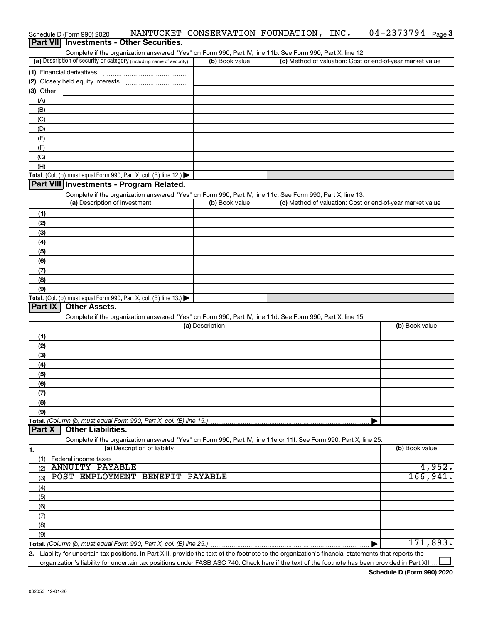|                             | Complete if the organization answered "Yes" on Form 990, Part IV, line 11b. See Form 990, Part X, line 12.<br>(a) Description of security or category (including name of security) | (b) Book value  | (c) Method of valuation: Cost or end-of-year market value                                                         |                                 |
|-----------------------------|------------------------------------------------------------------------------------------------------------------------------------------------------------------------------------|-----------------|-------------------------------------------------------------------------------------------------------------------|---------------------------------|
| (1) Financial derivatives   |                                                                                                                                                                                    |                 |                                                                                                                   |                                 |
|                             |                                                                                                                                                                                    |                 |                                                                                                                   |                                 |
| $(3)$ Other                 |                                                                                                                                                                                    |                 |                                                                                                                   |                                 |
| (A)                         |                                                                                                                                                                                    |                 |                                                                                                                   |                                 |
| (B)                         |                                                                                                                                                                                    |                 |                                                                                                                   |                                 |
| (C)                         |                                                                                                                                                                                    |                 |                                                                                                                   |                                 |
| (D)                         |                                                                                                                                                                                    |                 |                                                                                                                   |                                 |
| (E)                         |                                                                                                                                                                                    |                 |                                                                                                                   |                                 |
| (F)                         |                                                                                                                                                                                    |                 |                                                                                                                   |                                 |
| (G)                         |                                                                                                                                                                                    |                 |                                                                                                                   |                                 |
| (H)                         |                                                                                                                                                                                    |                 |                                                                                                                   |                                 |
|                             | Total. (Col. (b) must equal Form 990, Part X, col. (B) line 12.) $\blacktriangleright$                                                                                             |                 |                                                                                                                   |                                 |
|                             | Part VIII Investments - Program Related.                                                                                                                                           |                 |                                                                                                                   |                                 |
|                             | Complete if the organization answered "Yes" on Form 990, Part IV, line 11c. See Form 990, Part X, line 13.                                                                         |                 |                                                                                                                   |                                 |
|                             | (a) Description of investment                                                                                                                                                      | (b) Book value  | (c) Method of valuation: Cost or end-of-year market value                                                         |                                 |
| (1)                         |                                                                                                                                                                                    |                 |                                                                                                                   |                                 |
| (2)                         |                                                                                                                                                                                    |                 |                                                                                                                   |                                 |
| (3)                         |                                                                                                                                                                                    |                 |                                                                                                                   |                                 |
| (4)                         |                                                                                                                                                                                    |                 |                                                                                                                   |                                 |
| (5)                         |                                                                                                                                                                                    |                 |                                                                                                                   |                                 |
| (6)                         |                                                                                                                                                                                    |                 |                                                                                                                   |                                 |
| (7)                         |                                                                                                                                                                                    |                 |                                                                                                                   |                                 |
| (8)                         |                                                                                                                                                                                    |                 |                                                                                                                   |                                 |
| (9)                         |                                                                                                                                                                                    |                 |                                                                                                                   |                                 |
|                             | Total. (Col. (b) must equal Form 990, Part X, col. (B) line 13.) $\blacktriangleright$                                                                                             |                 |                                                                                                                   |                                 |
| Part IX                     | <b>Other Assets.</b>                                                                                                                                                               |                 |                                                                                                                   |                                 |
|                             | Complete if the organization answered "Yes" on Form 990, Part IV, line 11d. See Form 990, Part X, line 15.                                                                         |                 |                                                                                                                   |                                 |
|                             |                                                                                                                                                                                    | (a) Description |                                                                                                                   | (b) Book value                  |
| (1)                         |                                                                                                                                                                                    |                 |                                                                                                                   |                                 |
| (2)                         |                                                                                                                                                                                    |                 |                                                                                                                   |                                 |
| (3)                         |                                                                                                                                                                                    |                 |                                                                                                                   |                                 |
|                             |                                                                                                                                                                                    |                 |                                                                                                                   |                                 |
| (4)                         |                                                                                                                                                                                    |                 |                                                                                                                   |                                 |
| (5)                         |                                                                                                                                                                                    |                 |                                                                                                                   |                                 |
| (6)                         |                                                                                                                                                                                    |                 |                                                                                                                   |                                 |
| (7)                         |                                                                                                                                                                                    |                 |                                                                                                                   |                                 |
| (8)                         |                                                                                                                                                                                    |                 |                                                                                                                   |                                 |
| (9)                         |                                                                                                                                                                                    |                 |                                                                                                                   |                                 |
|                             | Total. (Column (b) must equal Form 990, Part X, col. (B) line 15.)                                                                                                                 |                 |                                                                                                                   |                                 |
| Part X                      | <b>Other Liabilities.</b>                                                                                                                                                          |                 |                                                                                                                   |                                 |
|                             |                                                                                                                                                                                    |                 | Complete if the organization answered "Yes" on Form 990, Part IV, line 11e or 11f. See Form 990, Part X, line 25. |                                 |
| 1.                          | (a) Description of liability                                                                                                                                                       |                 |                                                                                                                   | (b) Book value                  |
| Federal income taxes<br>(1) |                                                                                                                                                                                    |                 |                                                                                                                   |                                 |
| (2)                         | <b>ANNUITY PAYABLE</b>                                                                                                                                                             |                 |                                                                                                                   |                                 |
| (3)                         | POST EMPLOYMENT BENEFIT PAYABLE                                                                                                                                                    |                 |                                                                                                                   |                                 |
| (4)                         |                                                                                                                                                                                    |                 |                                                                                                                   |                                 |
| (5)                         |                                                                                                                                                                                    |                 |                                                                                                                   |                                 |
| (6)                         |                                                                                                                                                                                    |                 |                                                                                                                   |                                 |
| (7)                         |                                                                                                                                                                                    |                 |                                                                                                                   |                                 |
| (8)                         |                                                                                                                                                                                    |                 |                                                                                                                   |                                 |
| (9)                         |                                                                                                                                                                                    |                 |                                                                                                                   | 4,952.<br>166, 941.<br>171,893. |

Schedule D (Form 990) 2020 MANTUCKET CONSERVATION FOUNDATION, INC. 04-2373794 Page

04-2373794 Page 3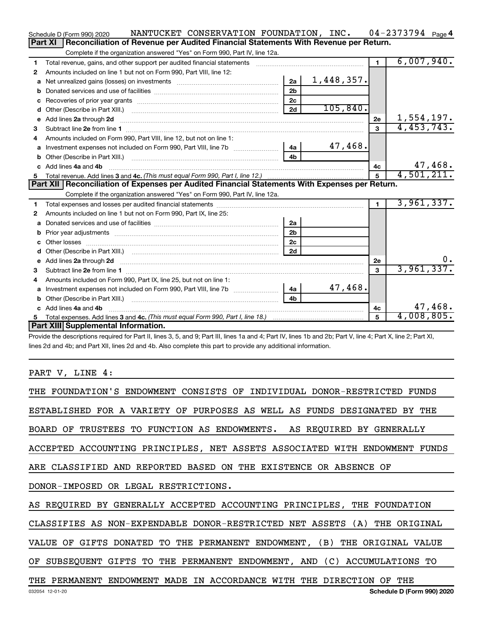|    | NANTUCKET CONSERVATION FOUNDATION, INC.<br>Schedule D (Form 990) 2020                                                                                                                                                              |                |            |                | $04 - 2373794$ Page 4 |         |
|----|------------------------------------------------------------------------------------------------------------------------------------------------------------------------------------------------------------------------------------|----------------|------------|----------------|-----------------------|---------|
|    | Reconciliation of Revenue per Audited Financial Statements With Revenue per Return.<br>Part XI                                                                                                                                     |                |            |                |                       |         |
|    | Complete if the organization answered "Yes" on Form 990, Part IV, line 12a.                                                                                                                                                        |                |            |                |                       |         |
| 1  | Total revenue, gains, and other support per audited financial statements [[[[[[[[[[[[[[[[[[[[[[[[[]]]]]]]]]]]                                                                                                                      |                |            | $\blacksquare$ | 6,007,940.            |         |
| 2  | Amounts included on line 1 but not on Form 990, Part VIII, line 12:                                                                                                                                                                |                |            |                |                       |         |
| a  |                                                                                                                                                                                                                                    | 2a             | 1,448,357. |                |                       |         |
|    |                                                                                                                                                                                                                                    | 2 <sub>b</sub> |            |                |                       |         |
| с  |                                                                                                                                                                                                                                    | 2c             |            |                |                       |         |
| d  |                                                                                                                                                                                                                                    | 2d             | 105,840.   |                |                       |         |
| е  | Add lines 2a through 2d <b>manufactures</b> in the contract of the contract of the contract of the contract of the contract of the contract of the contract of the contract of the contract of the contract of the contract of the |                |            | 2e             | 1,554,197.            |         |
| з  |                                                                                                                                                                                                                                    |                |            | $\mathbf{3}$   | 4,453,743.            |         |
| 4  | Amounts included on Form 990, Part VIII, line 12, but not on line 1:                                                                                                                                                               |                |            |                |                       |         |
| a  |                                                                                                                                                                                                                                    |                | 47,468.    |                |                       |         |
| b  |                                                                                                                                                                                                                                    | 4 <sub>h</sub> |            |                |                       |         |
|    | c Add lines 4a and 4b                                                                                                                                                                                                              |                |            | 4с             |                       | 47,468. |
| 5  |                                                                                                                                                                                                                                    |                |            | $\overline{5}$ | 4,501,211.            |         |
|    |                                                                                                                                                                                                                                    |                |            |                |                       |         |
|    | Part XII   Reconciliation of Expenses per Audited Financial Statements With Expenses per Return.                                                                                                                                   |                |            |                |                       |         |
|    | Complete if the organization answered "Yes" on Form 990, Part IV, line 12a.                                                                                                                                                        |                |            |                |                       |         |
| 1  |                                                                                                                                                                                                                                    |                |            | $\mathbf{1}$   | 3,961,337.            |         |
| 2  | Amounts included on line 1 but not on Form 990, Part IX, line 25:                                                                                                                                                                  |                |            |                |                       |         |
| a  |                                                                                                                                                                                                                                    | 2a             |            |                |                       |         |
| b  |                                                                                                                                                                                                                                    | 2 <sub>b</sub> |            |                |                       |         |
| c  |                                                                                                                                                                                                                                    | 2 <sub>c</sub> |            |                |                       |         |
|    |                                                                                                                                                                                                                                    | 2d             |            |                |                       |         |
| е  | Add lines 2a through 2d <b>contract and contract and contract and contract and contract and contract and contract a</b>                                                                                                            |                |            | 2е             |                       | 0.      |
| 3  |                                                                                                                                                                                                                                    |                |            | $\mathbf{a}$   | 3,961,337.            |         |
| 4  | Amounts included on Form 990, Part IX, line 25, but not on line 1:                                                                                                                                                                 |                |            |                |                       |         |
| a  |                                                                                                                                                                                                                                    |                | 47,468.    |                |                       |         |
|    | Other (Describe in Part XIII.) (2000) (2000) (2000) (2000) (2000) (2000) (2000) (2000) (2000) (2000) (2000) (2000) (2000) (2000) (2000) (2000) (2000) (2000) (2000) (2000) (2000) (2000) (2000) (2000) (2000) (2000) (2000) (2     | 4 <sub>b</sub> |            |                |                       |         |
|    | Add lines 4a and 4b                                                                                                                                                                                                                |                |            | 4c             |                       | 47,468. |
| 5. | Part XIII Supplemental Information.                                                                                                                                                                                                |                |            | 5              | 4,008,805.            |         |

Provide the descriptions required for Part II, lines 3, 5, and 9; Part III, lines 1a and 4; Part IV, lines 1b and 2b; Part V, line 4; Part X, line 2; Part XI, lines 2d and 4b; and Part XII, lines 2d and 4b. Also complete this part to provide any additional information.

# PART V, LINE 4:

| THE FOUNDATION'S ENDOWMENT CONSISTS OF INDIVIDUAL DONOR-RESTRICTED FUNDS   |
|----------------------------------------------------------------------------|
| ESTABLISHED FOR A VARIETY OF PURPOSES AS WELL AS FUNDS DESIGNATED BY THE   |
| BOARD OF TRUSTEES TO FUNCTION AS ENDOWMENTS. AS REQUIRED BY GENERALLY      |
| ACCEPTED ACCOUNTING PRINCIPLES, NET ASSETS ASSOCIATED WITH ENDOWMENT FUNDS |
| ARE CLASSIFIED AND REPORTED BASED ON THE EXISTENCE OR ABSENCE OF           |
| DONOR-IMPOSED OR LEGAL RESTRICTIONS.                                       |
| AS REQUIRED BY GENERALLY ACCEPTED ACCOUNTING PRINCIPLES, THE FOUNDATION    |
| CLASSIFIES AS NON-EXPENDABLE DONOR-RESTRICTED NET ASSETS (A) THE ORIGINAL  |
| VALUE OF GIFTS DONATED TO THE PERMANENT ENDOWMENT, (B) THE ORIGINAL VALUE  |
| OF SUBSEQUENT GIFTS TO THE PERMANENT ENDOWMENT, AND (C) ACCUMULATIONS TO   |
| THE PERMANENT ENDOWMENT MADE IN ACCORDANCE WITH THE DIRECTION OF THE       |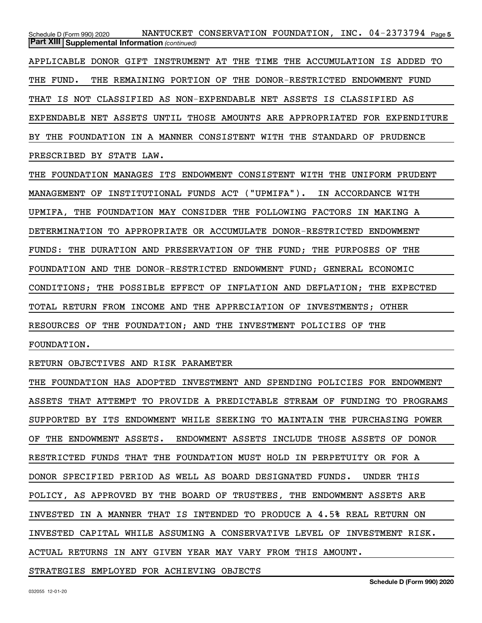Schedule D (Form 990) 2020 NANTUCKET CONSERVATION FOUNDATION, INC. 04-2373794 <sub>Page 5</sub> *(continued)* **Part XIII Supplemental Information**  APPLICABLE DONOR GIFT INSTRUMENT AT THE TIME THE ACCUMULATION IS ADDED TO THE FUND. THE REMAINING PORTION OF THE DONOR-RESTRICTED ENDOWMENT FUND THAT IS NOT CLASSIFIED AS NON-EXPENDABLE NET ASSETS IS CLASSIFIED AS EXPENDABLE NET ASSETS UNTIL THOSE AMOUNTS ARE APPROPRIATED FOR EXPENDITURE BY THE FOUNDATION IN A MANNER CONSISTENT WITH THE STANDARD OF PRUDENCE PRESCRIBED BY STATE LAW. THE FOUNDATION MANAGES ITS ENDOWMENT CONSISTENT WITH THE UNIFORM PRUDENT MANAGEMENT OF INSTITUTIONAL FUNDS ACT ("UPMIFA"). IN ACCORDANCE WITH UPMIFA, THE FOUNDATION MAY CONSIDER THE FOLLOWING FACTORS IN MAKING A DETERMINATION TO APPROPRIATE OR ACCUMULATE DONOR-RESTRICTED ENDOWMENT FUNDS: THE DURATION AND PRESERVATION OF THE FUND; THE PURPOSES OF THE FOUNDATION AND THE DONOR-RESTRICTED ENDOWMENT FUND; GENERAL ECONOMIC CONDITIONS; THE POSSIBLE EFFECT OF INFLATION AND DEFLATION; THE EXPECTED TOTAL RETURN FROM INCOME AND THE APPRECIATION OF INVESTMENTS; OTHER RESOURCES OF THE FOUNDATION; AND THE INVESTMENT POLICIES OF THE FOUNDATION.

RETURN OBJECTIVES AND RISK PARAMETER

THE FOUNDATION HAS ADOPTED INVESTMENT AND SPENDING POLICIES FOR ENDOWMENT ASSETS THAT ATTEMPT TO PROVIDE A PREDICTABLE STREAM OF FUNDING TO PROGRAMS SUPPORTED BY ITS ENDOWMENT WHILE SEEKING TO MAINTAIN THE PURCHASING POWER OF THE ENDOWMENT ASSETS. ENDOWMENT ASSETS INCLUDE THOSE ASSETS OF DONOR RESTRICTED FUNDS THAT THE FOUNDATION MUST HOLD IN PERPETUITY OR FOR A DONOR SPECIFIED PERIOD AS WELL AS BOARD DESIGNATED FUNDS. UNDER THIS POLICY, AS APPROVED BY THE BOARD OF TRUSTEES, THE ENDOWMENT ASSETS ARE INVESTED IN A MANNER THAT IS INTENDED TO PRODUCE A 4.5% REAL RETURN ON INVESTED CAPITAL WHILE ASSUMING A CONSERVATIVE LEVEL OF INVESTMENT RISK. ACTUAL RETURNS IN ANY GIVEN YEAR MAY VARY FROM THIS AMOUNT.

STRATEGIES EMPLOYED FOR ACHIEVING OBJECTS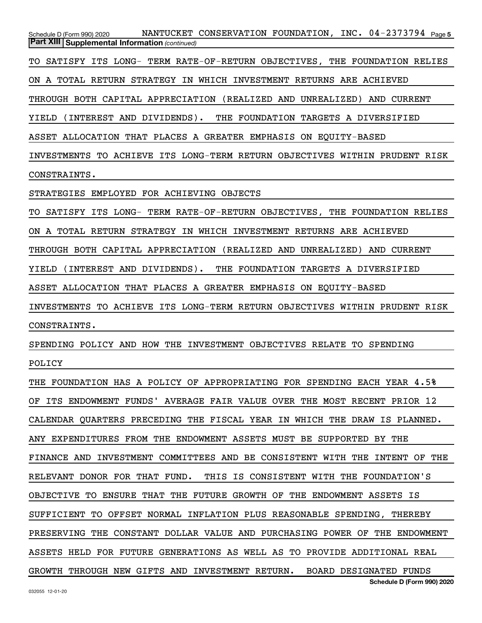Schedule D (Form 990) 2020 NANTUCKET CONSERVATION FOUNDATION, INC. 04-2373794 <sub>Page 5</sub> **Schedule D (Form 990) 2020** *(continued)* **Part XIII Supplemental Information**  TO SATISFY ITS LONG- TERM RATE-OF-RETURN OBJECTIVES, THE FOUNDATION RELIES ON A TOTAL RETURN STRATEGY IN WHICH INVESTMENT RETURNS ARE ACHIEVED THROUGH BOTH CAPITAL APPRECIATION (REALIZED AND UNREALIZED) AND CURRENT YIELD (INTEREST AND DIVIDENDS). THE FOUNDATION TARGETS A DIVERSIFIED ASSET ALLOCATION THAT PLACES A GREATER EMPHASIS ON EQUITY-BASED INVESTMENTS TO ACHIEVE ITS LONG-TERM RETURN OBJECTIVES WITHIN PRUDENT RISK CONSTRAINTS. STRATEGIES EMPLOYED FOR ACHIEVING OBJECTS TO SATISFY ITS LONG- TERM RATE-OF-RETURN OBJECTIVES, THE FOUNDATION RELIES ON A TOTAL RETURN STRATEGY IN WHICH INVESTMENT RETURNS ARE ACHIEVED THROUGH BOTH CAPITAL APPRECIATION (REALIZED AND UNREALIZED) AND CURRENT YIELD (INTEREST AND DIVIDENDS). THE FOUNDATION TARGETS A DIVERSIFIED ASSET ALLOCATION THAT PLACES A GREATER EMPHASIS ON EQUITY-BASED INVESTMENTS TO ACHIEVE ITS LONG-TERM RETURN OBJECTIVES WITHIN PRUDENT RISK CONSTRAINTS. SPENDING POLICY AND HOW THE INVESTMENT OBJECTIVES RELATE TO SPENDING POLICY THE FOUNDATION HAS A POLICY OF APPROPRIATING FOR SPENDING EACH YEAR 4.5% OF ITS ENDOWMENT FUNDS' AVERAGE FAIR VALUE OVER THE MOST RECENT PRIOR 12 CALENDAR QUARTERS PRECEDING THE FISCAL YEAR IN WHICH THE DRAW IS PLANNED. ANY EXPENDITURES FROM THE ENDOWMENT ASSETS MUST BE SUPPORTED BY THE FINANCE AND INVESTMENT COMMITTEES AND BE CONSISTENT WITH THE INTENT OF THE RELEVANT DONOR FOR THAT FUND. THIS IS CONSISTENT WITH THE FOUNDATION'S OBJECTIVE TO ENSURE THAT THE FUTURE GROWTH OF THE ENDOWMENT ASSETS IS SUFFICIENT TO OFFSET NORMAL INFLATION PLUS REASONABLE SPENDING, THEREBY PRESERVING THE CONSTANT DOLLAR VALUE AND PURCHASING POWER OF THE ENDOWMENT ASSETS HELD FOR FUTURE GENERATIONS AS WELL AS TO PROVIDE ADDITIONAL REAL GROWTH THROUGH NEW GIFTS AND INVESTMENT RETURN. BOARD DESIGNATED FUNDS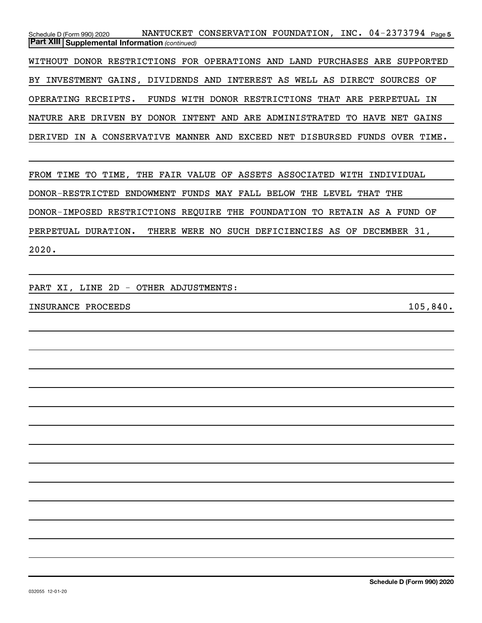Schedule D (Form 990) 2020 NANTUCKET CONSERVATION FOUNDATION, INC. 04-2373794 <sub>Page 5</sub> *(continued)* **Part XIII Supplemental Information**  WITHOUT DONOR RESTRICTIONS FOR OPERATIONS AND LAND PURCHASES ARE SUPPORTED BY INVESTMENT GAINS, DIVIDENDS AND INTEREST AS WELL AS DIRECT SOURCES OF OPERATING RECEIPTS. FUNDS WITH DONOR RESTRICTIONS THAT ARE PERPETUAL IN NATURE ARE DRIVEN BY DONOR INTENT AND ARE ADMINISTRATED TO HAVE NET GAINS DERIVED IN A CONSERVATIVE MANNER AND EXCEED NET DISBURSED FUNDS OVER TIME.

FROM TIME TO TIME, THE FAIR VALUE OF ASSETS ASSOCIATED WITH INDIVIDUAL DONOR-RESTRICTED ENDOWMENT FUNDS MAY FALL BELOW THE LEVEL THAT THE DONOR-IMPOSED RESTRICTIONS REQUIRE THE FOUNDATION TO RETAIN AS A FUND OF PERPETUAL DURATION. THERE WERE NO SUCH DEFICIENCIES AS OF DECEMBER 31, 2020.

PART XI, LINE 2D - OTHER ADJUSTMENTS:

INSURANCE PROCEEDS 105,840.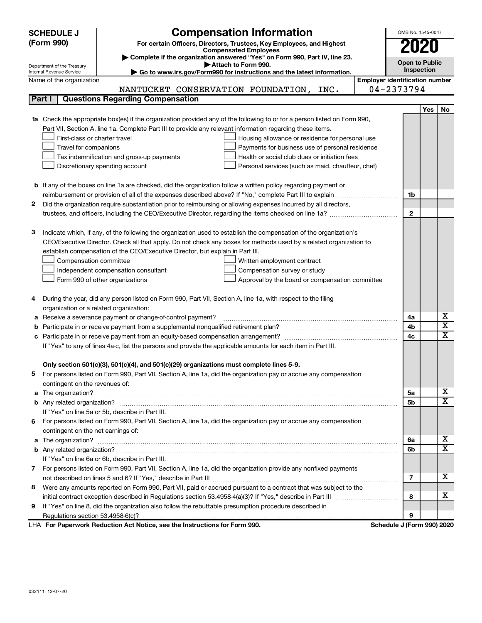| <b>SCHEDULE J</b>                                                                                                  | <b>Compensation Information</b><br>For certain Officers, Directors, Trustees, Key Employees, and Highest                  | OMB No. 1545-0047          |                                                     |                              |  |  |  |
|--------------------------------------------------------------------------------------------------------------------|---------------------------------------------------------------------------------------------------------------------------|----------------------------|-----------------------------------------------------|------------------------------|--|--|--|
| (Form 990)                                                                                                         | 2020                                                                                                                      |                            |                                                     |                              |  |  |  |
|                                                                                                                    | <b>Compensated Employees</b><br>Complete if the organization answered "Yes" on Form 990, Part IV, line 23.                |                            |                                                     |                              |  |  |  |
| Department of the Treasury                                                                                         | <b>Open to Public</b><br>Attach to Form 990.                                                                              |                            |                                                     |                              |  |  |  |
| Internal Revenue Service<br>Name of the organization                                                               | Go to www.irs.gov/Form990 for instructions and the latest information.                                                    |                            | Inspection<br><b>Employer identification number</b> |                              |  |  |  |
|                                                                                                                    | NANTUCKET CONSERVATION FOUNDATION,<br>INC.                                                                                | 04-2373794                 |                                                     |                              |  |  |  |
| Part I                                                                                                             | <b>Questions Regarding Compensation</b>                                                                                   |                            |                                                     |                              |  |  |  |
|                                                                                                                    |                                                                                                                           |                            | Yes                                                 | No                           |  |  |  |
|                                                                                                                    | 1a Check the appropriate box(es) if the organization provided any of the following to or for a person listed on Form 990, |                            |                                                     |                              |  |  |  |
|                                                                                                                    | Part VII, Section A, line 1a. Complete Part III to provide any relevant information regarding these items.                |                            |                                                     |                              |  |  |  |
| First-class or charter travel                                                                                      | Housing allowance or residence for personal use                                                                           |                            |                                                     |                              |  |  |  |
| Travel for companions                                                                                              | Payments for business use of personal residence                                                                           |                            |                                                     |                              |  |  |  |
|                                                                                                                    | Health or social club dues or initiation fees<br>Tax indemnification and gross-up payments                                |                            |                                                     |                              |  |  |  |
| Discretionary spending account                                                                                     | Personal services (such as maid, chauffeur, chef)                                                                         |                            |                                                     |                              |  |  |  |
|                                                                                                                    |                                                                                                                           |                            |                                                     |                              |  |  |  |
|                                                                                                                    | <b>b</b> If any of the boxes on line 1a are checked, did the organization follow a written policy regarding payment or    |                            |                                                     |                              |  |  |  |
|                                                                                                                    |                                                                                                                           | 1b                         |                                                     |                              |  |  |  |
| 2                                                                                                                  | Did the organization require substantiation prior to reimbursing or allowing expenses incurred by all directors,          |                            |                                                     |                              |  |  |  |
|                                                                                                                    |                                                                                                                           | $\mathbf{2}$               |                                                     |                              |  |  |  |
|                                                                                                                    |                                                                                                                           |                            |                                                     |                              |  |  |  |
| з                                                                                                                  | Indicate which, if any, of the following the organization used to establish the compensation of the organization's        |                            |                                                     |                              |  |  |  |
| CEO/Executive Director. Check all that apply. Do not check any boxes for methods used by a related organization to |                                                                                                                           |                            |                                                     |                              |  |  |  |
| establish compensation of the CEO/Executive Director, but explain in Part III.                                     |                                                                                                                           |                            |                                                     |                              |  |  |  |
| Compensation committee                                                                                             | Written employment contract                                                                                               |                            |                                                     |                              |  |  |  |
| Independent compensation consultant                                                                                | Compensation survey or study                                                                                              |                            |                                                     |                              |  |  |  |
| Form 990 of other organizations                                                                                    | Approval by the board or compensation committee                                                                           |                            |                                                     |                              |  |  |  |
|                                                                                                                    |                                                                                                                           |                            |                                                     |                              |  |  |  |
| 4                                                                                                                  | During the year, did any person listed on Form 990, Part VII, Section A, line 1a, with respect to the filing              |                            |                                                     |                              |  |  |  |
| organization or a related organization:                                                                            |                                                                                                                           |                            |                                                     |                              |  |  |  |
| а                                                                                                                  | Receive a severance payment or change-of-control payment?                                                                 | 4a                         |                                                     | х<br>$\overline{\textbf{x}}$ |  |  |  |
| b                                                                                                                  |                                                                                                                           |                            |                                                     |                              |  |  |  |
| c                                                                                                                  |                                                                                                                           |                            |                                                     |                              |  |  |  |
| If "Yes" to any of lines 4a-c, list the persons and provide the applicable amounts for each item in Part III.      |                                                                                                                           |                            |                                                     |                              |  |  |  |
|                                                                                                                    |                                                                                                                           |                            |                                                     |                              |  |  |  |
|                                                                                                                    | Only section 501(c)(3), 501(c)(4), and 501(c)(29) organizations must complete lines 5-9.                                  |                            |                                                     |                              |  |  |  |
|                                                                                                                    | For persons listed on Form 990, Part VII, Section A, line 1a, did the organization pay or accrue any compensation         |                            |                                                     |                              |  |  |  |
| contingent on the revenues of:                                                                                     |                                                                                                                           |                            |                                                     |                              |  |  |  |
|                                                                                                                    | a The organization? <b>Entitation</b> 2008 Communication of the organization of the organization?                         | 5а                         |                                                     | х<br>х                       |  |  |  |
|                                                                                                                    |                                                                                                                           | 5b                         |                                                     |                              |  |  |  |
| If "Yes" on line 5a or 5b, describe in Part III.                                                                   |                                                                                                                           |                            |                                                     |                              |  |  |  |
|                                                                                                                    | 6 For persons listed on Form 990, Part VII, Section A, line 1a, did the organization pay or accrue any compensation       |                            |                                                     |                              |  |  |  |
| contingent on the net earnings of:                                                                                 |                                                                                                                           |                            |                                                     | х                            |  |  |  |
|                                                                                                                    |                                                                                                                           | 6a                         |                                                     | х                            |  |  |  |
|                                                                                                                    |                                                                                                                           | 6b                         |                                                     |                              |  |  |  |
| If "Yes" on line 6a or 6b, describe in Part III.                                                                   |                                                                                                                           |                            |                                                     |                              |  |  |  |
|                                                                                                                    | 7 For persons listed on Form 990, Part VII, Section A, line 1a, did the organization provide any nonfixed payments        |                            |                                                     | х                            |  |  |  |
| 8                                                                                                                  | Were any amounts reported on Form 990, Part VII, paid or accrued pursuant to a contract that was subject to the           | 7                          |                                                     |                              |  |  |  |
|                                                                                                                    |                                                                                                                           |                            |                                                     |                              |  |  |  |
|                                                                                                                    | If "Yes" on line 8, did the organization also follow the rebuttable presumption procedure described in                    | 8                          |                                                     | х                            |  |  |  |
| 9                                                                                                                  |                                                                                                                           | 9                          |                                                     |                              |  |  |  |
|                                                                                                                    | LHA For Paperwork Reduction Act Notice, see the Instructions for Form 990.                                                | Schedule J (Form 990) 2020 |                                                     |                              |  |  |  |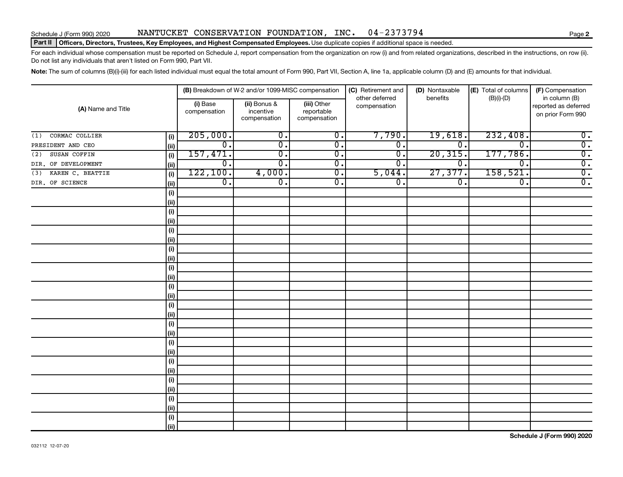#### Schedule J (Form 990) 2020 NANTUCKET CONSERVATION FOUNDATION,INC。 04-2373794

#### Part II | Officers, Directors, Trustees, Key Employees, and Highest Compensated Employees. Use duplicate copies if additional space is needed.

For each individual whose compensation must be reported on Schedule J, report compensation from the organization on row (i) and from related organizations, described in the instructions, on row (ii). Do not list any individuals that aren't listed on Form 990, Part VII.

Note: The sum of columns (B)(i)-(iii) for each listed individual must equal the total amount of Form 990, Part VII, Section A, line 1a, applicable column (D) and (E) amounts for that individual.

| (A) Name and Title      |             |                          | (B) Breakdown of W-2 and/or 1099-MISC compensation |                                           | (C) Retirement and             | (D) Nontaxable              | (E) Total of columns        | (F) Compensation                                           |  |
|-------------------------|-------------|--------------------------|----------------------------------------------------|-------------------------------------------|--------------------------------|-----------------------------|-----------------------------|------------------------------------------------------------|--|
|                         |             | (i) Base<br>compensation | (ii) Bonus &<br>incentive<br>compensation          | (iii) Other<br>reportable<br>compensation | other deferred<br>compensation | benefits                    | $(B)(i)-(D)$                | in column (B)<br>reported as deferred<br>on prior Form 990 |  |
| CORMAC COLLIER<br>(1)   | (i)         | 205,000.                 | $\overline{0}$ .                                   | $\overline{\mathbf{0}}$ .                 | 7,790.                         | 19,618.                     | 232,408.                    | $\overline{0}$ .                                           |  |
| PRESIDENT AND CEO       | (ii)        | $\overline{0}$ .         | $\overline{\mathfrak{o}}$ .                        | $\overline{0}$ .                          | $\overline{0}$ .               | $\overline{0}$ .            | 0.                          | $\overline{0}$ .                                           |  |
| SUSAN COFFIN<br>(2)     | (i)         | 157,471.                 | $\overline{0}$ .                                   | $\overline{0}$ .                          | σ.                             | 20, 315.                    | 177,786.                    | $\overline{0}$ .                                           |  |
| DIR. OF DEVELOPMENT     | (i)         | $\overline{0}$ .         | $\overline{\mathfrak{o}}$ .                        | $\overline{0}$ .                          | 0.                             | $\overline{0}$              | $\overline{\mathfrak{o}}$ . | $\overline{0}$ .                                           |  |
| KAREN C. BEATTIE<br>(3) | (i)         | 122,100.                 | 4,000.                                             | $\overline{\mathfrak{o}}$ .               | 5,044.                         | 27,377.                     | 158,521.                    | $\overline{0}$ .                                           |  |
| DIR. OF SCIENCE         | (i)         | $\overline{0}$ .         | $\overline{0}$ .                                   | $\overline{0}$ .                          | σ.                             | $\overline{\mathfrak{o}}$ . | $\overline{0}$ .            | $\overline{0}$ .                                           |  |
|                         | (i)         |                          |                                                    |                                           |                                |                             |                             |                                                            |  |
|                         | (i)         |                          |                                                    |                                           |                                |                             |                             |                                                            |  |
|                         | (i)         |                          |                                                    |                                           |                                |                             |                             |                                                            |  |
|                         | (i)         |                          |                                                    |                                           |                                |                             |                             |                                                            |  |
|                         | (i)         |                          |                                                    |                                           |                                |                             |                             |                                                            |  |
|                         | (i)         |                          |                                                    |                                           |                                |                             |                             |                                                            |  |
|                         | (i)         |                          |                                                    |                                           |                                |                             |                             |                                                            |  |
|                         | (i)         |                          |                                                    |                                           |                                |                             |                             |                                                            |  |
|                         | (i)         |                          |                                                    |                                           |                                |                             |                             |                                                            |  |
|                         | (i)         |                          |                                                    |                                           |                                |                             |                             |                                                            |  |
|                         | (i)         |                          |                                                    |                                           |                                |                             |                             |                                                            |  |
|                         | (i)         |                          |                                                    |                                           |                                |                             |                             |                                                            |  |
|                         | (i)         |                          |                                                    |                                           |                                |                             |                             |                                                            |  |
|                         | (i)         |                          |                                                    |                                           |                                |                             |                             |                                                            |  |
|                         | (i)         |                          |                                                    |                                           |                                |                             |                             |                                                            |  |
|                         | (ii)        |                          |                                                    |                                           |                                |                             |                             |                                                            |  |
|                         | (i)         |                          |                                                    |                                           |                                |                             |                             |                                                            |  |
|                         | (i)         |                          |                                                    |                                           |                                |                             |                             |                                                            |  |
|                         | (i)         |                          |                                                    |                                           |                                |                             |                             |                                                            |  |
|                         | (i)         |                          |                                                    |                                           |                                |                             |                             |                                                            |  |
|                         | (i)         |                          |                                                    |                                           |                                |                             |                             |                                                            |  |
|                         | (ii)<br>(i) |                          |                                                    |                                           |                                |                             |                             |                                                            |  |
|                         | (ii)        |                          |                                                    |                                           |                                |                             |                             |                                                            |  |
|                         | (i)         |                          |                                                    |                                           |                                |                             |                             |                                                            |  |
|                         | (iii)       |                          |                                                    |                                           |                                |                             |                             |                                                            |  |
|                         |             |                          |                                                    |                                           |                                |                             |                             |                                                            |  |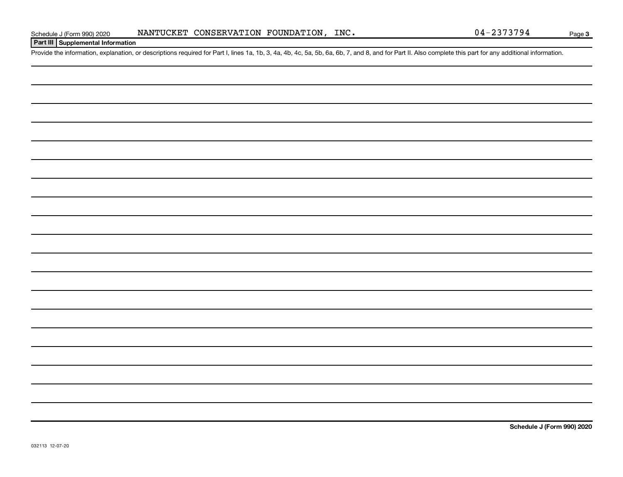#### **Part III Supplemental Information**

Provide the information, explanation, or descriptions required for Part I, lines 1a, 1b, 3, 4a, 4b, 4c, 5a, 5b, 6a, 6b, 7, and 8, and for Part II. Also complete this part for any additional information.

**Schedule J (Form 990) 2020**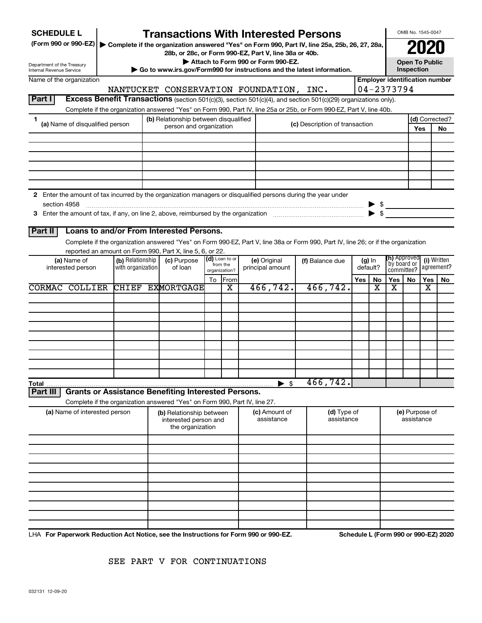| <b>SCHEDULE L</b>                                                                                                                                                              |                                                                                                                                                |                                                                       |                        |                                                                  |    |                          | <b>Transactions With Interested Persons</b>                                                                                        |                                |                      |                                       |                              |  | OMB No. 1545-0047 |                           |  |
|--------------------------------------------------------------------------------------------------------------------------------------------------------------------------------|------------------------------------------------------------------------------------------------------------------------------------------------|-----------------------------------------------------------------------|------------------------|------------------------------------------------------------------|----|--------------------------|------------------------------------------------------------------------------------------------------------------------------------|--------------------------------|----------------------|---------------------------------------|------------------------------|--|-------------------|---------------------------|--|
| (Form 990 or 990-EZ)<br>Complete if the organization answered "Yes" on Form 990, Part IV, line 25a, 25b, 26, 27, 28a,<br>28b, or 28c, or Form 990-EZ, Part V, line 38a or 40b. |                                                                                                                                                |                                                                       |                        |                                                                  |    |                          |                                                                                                                                    |                                | 020                  |                                       |                              |  |                   |                           |  |
|                                                                                                                                                                                | Attach to Form 990 or Form 990-EZ.<br><b>Open To Public</b>                                                                                    |                                                                       |                        |                                                                  |    |                          |                                                                                                                                    |                                |                      |                                       |                              |  |                   |                           |  |
|                                                                                                                                                                                | Department of the Treasury<br>Inspection<br>Go to www.irs.gov/Form990 for instructions and the latest information.<br>Internal Revenue Service |                                                                       |                        |                                                                  |    |                          |                                                                                                                                    |                                |                      |                                       |                              |  |                   |                           |  |
| Name of the organization                                                                                                                                                       |                                                                                                                                                |                                                                       |                        |                                                                  |    |                          |                                                                                                                                    |                                |                      | <b>Employer identification number</b> |                              |  |                   |                           |  |
|                                                                                                                                                                                |                                                                                                                                                |                                                                       |                        |                                                                  |    |                          | NANTUCKET CONSERVATION FOUNDATION, INC.                                                                                            |                                |                      |                                       | 04-2373794                   |  |                   |                           |  |
| Part I                                                                                                                                                                         |                                                                                                                                                |                                                                       |                        |                                                                  |    |                          | Excess Benefit Transactions (section 501(c)(3), section 501(c)(4), and section 501(c)(29) organizations only).                     |                                |                      |                                       |                              |  |                   |                           |  |
|                                                                                                                                                                                |                                                                                                                                                |                                                                       |                        |                                                                  |    |                          | Complete if the organization answered "Yes" on Form 990, Part IV, line 25a or 25b, or Form 990-EZ, Part V, line 40b.               |                                |                      |                                       |                              |  |                   |                           |  |
| 1                                                                                                                                                                              | (a) Name of disqualified person                                                                                                                |                                                                       |                        | (b) Relationship between disqualified<br>person and organization |    |                          |                                                                                                                                    | (c) Description of transaction |                      |                                       |                              |  |                   | (d) Corrected?            |  |
|                                                                                                                                                                                |                                                                                                                                                |                                                                       |                        |                                                                  |    |                          |                                                                                                                                    |                                |                      |                                       | Yes                          |  |                   | No                        |  |
|                                                                                                                                                                                |                                                                                                                                                |                                                                       |                        |                                                                  |    |                          |                                                                                                                                    |                                |                      |                                       |                              |  |                   |                           |  |
|                                                                                                                                                                                |                                                                                                                                                |                                                                       |                        |                                                                  |    |                          |                                                                                                                                    |                                |                      |                                       |                              |  |                   |                           |  |
|                                                                                                                                                                                |                                                                                                                                                |                                                                       |                        |                                                                  |    |                          |                                                                                                                                    |                                |                      |                                       |                              |  |                   |                           |  |
|                                                                                                                                                                                |                                                                                                                                                |                                                                       |                        |                                                                  |    |                          |                                                                                                                                    |                                |                      |                                       |                              |  |                   |                           |  |
|                                                                                                                                                                                |                                                                                                                                                |                                                                       |                        |                                                                  |    |                          |                                                                                                                                    |                                |                      |                                       |                              |  |                   |                           |  |
|                                                                                                                                                                                |                                                                                                                                                |                                                                       |                        |                                                                  |    |                          | 2 Enter the amount of tax incurred by the organization managers or disqualified persons during the year under                      |                                |                      |                                       |                              |  |                   |                           |  |
| section 4958                                                                                                                                                                   |                                                                                                                                                |                                                                       |                        |                                                                  |    |                          |                                                                                                                                    |                                |                      |                                       | $\frac{1}{2}$                |  |                   |                           |  |
|                                                                                                                                                                                |                                                                                                                                                |                                                                       |                        |                                                                  |    |                          |                                                                                                                                    |                                |                      | $\blacktriangleright$ \$              |                              |  |                   |                           |  |
|                                                                                                                                                                                |                                                                                                                                                |                                                                       |                        |                                                                  |    |                          |                                                                                                                                    |                                |                      |                                       |                              |  |                   |                           |  |
| Part II                                                                                                                                                                        | Loans to and/or From Interested Persons.                                                                                                       |                                                                       |                        |                                                                  |    |                          |                                                                                                                                    |                                |                      |                                       |                              |  |                   |                           |  |
|                                                                                                                                                                                |                                                                                                                                                |                                                                       |                        |                                                                  |    |                          | Complete if the organization answered "Yes" on Form 990-EZ, Part V, line 38a or Form 990, Part IV, line 26; or if the organization |                                |                      |                                       |                              |  |                   |                           |  |
|                                                                                                                                                                                | reported an amount on Form 990, Part X, line 5, 6, or 22.                                                                                      |                                                                       |                        |                                                                  |    | (d) Loan to or           |                                                                                                                                    |                                |                      |                                       | <b>(h)</b> Approved          |  |                   |                           |  |
|                                                                                                                                                                                | (a) Name of<br>interested person                                                                                                               | (b) Relationship<br>with organization                                 | (c) Purpose<br>of loan |                                                                  |    | from the                 | (e) Original<br>principal amount                                                                                                   | (f) Balance due                | $(g)$ In<br>default? |                                       | `by board or                 |  |                   | (i) Written<br>agreement? |  |
|                                                                                                                                                                                |                                                                                                                                                |                                                                       |                        |                                                                  | To | organization?<br>From    |                                                                                                                                    |                                | Yes<br><b>No</b>     |                                       | committee?<br>Yes<br>No.     |  | Yes               | No.                       |  |
|                                                                                                                                                                                | <b>CORMAC COLLIER</b>                                                                                                                          |                                                                       |                        | <b>CHIEF EXMORTGAGE</b>                                          |    | x                        | 466, 742.                                                                                                                          | 466, 742.                      |                      | X                                     | х                            |  | х                 |                           |  |
|                                                                                                                                                                                |                                                                                                                                                |                                                                       |                        |                                                                  |    |                          |                                                                                                                                    |                                |                      |                                       |                              |  |                   |                           |  |
|                                                                                                                                                                                |                                                                                                                                                |                                                                       |                        |                                                                  |    |                          |                                                                                                                                    |                                |                      |                                       |                              |  |                   |                           |  |
|                                                                                                                                                                                |                                                                                                                                                |                                                                       |                        |                                                                  |    |                          |                                                                                                                                    |                                |                      |                                       |                              |  |                   |                           |  |
|                                                                                                                                                                                |                                                                                                                                                |                                                                       |                        |                                                                  |    |                          |                                                                                                                                    |                                |                      |                                       |                              |  |                   |                           |  |
|                                                                                                                                                                                |                                                                                                                                                |                                                                       |                        |                                                                  |    |                          |                                                                                                                                    |                                |                      |                                       |                              |  |                   |                           |  |
|                                                                                                                                                                                |                                                                                                                                                |                                                                       |                        |                                                                  |    |                          |                                                                                                                                    |                                |                      |                                       |                              |  |                   |                           |  |
|                                                                                                                                                                                |                                                                                                                                                |                                                                       |                        |                                                                  |    |                          |                                                                                                                                    |                                |                      |                                       |                              |  |                   |                           |  |
|                                                                                                                                                                                |                                                                                                                                                |                                                                       |                        |                                                                  |    |                          |                                                                                                                                    |                                |                      |                                       |                              |  |                   |                           |  |
|                                                                                                                                                                                |                                                                                                                                                |                                                                       |                        |                                                                  |    |                          |                                                                                                                                    |                                |                      |                                       |                              |  |                   |                           |  |
| Total<br>Part II                                                                                                                                                               | <b>Grants or Assistance Benefiting Interested Persons.</b>                                                                                     |                                                                       |                        |                                                                  |    |                          | $\sqrt[6]{3}$                                                                                                                      | 466,742.                       |                      |                                       |                              |  |                   |                           |  |
|                                                                                                                                                                                | Complete if the organization answered "Yes" on Form 990, Part IV, line 27.                                                                     |                                                                       |                        |                                                                  |    |                          |                                                                                                                                    |                                |                      |                                       |                              |  |                   |                           |  |
|                                                                                                                                                                                |                                                                                                                                                |                                                                       |                        |                                                                  |    |                          | (c) Amount of                                                                                                                      | (d) Type of                    |                      |                                       |                              |  |                   |                           |  |
| (a) Name of interested person                                                                                                                                                  |                                                                                                                                                | (b) Relationship between<br>interested person and<br>the organization |                        |                                                                  |    | assistance<br>assistance |                                                                                                                                    |                                |                      |                                       | (e) Purpose of<br>assistance |  |                   |                           |  |
|                                                                                                                                                                                |                                                                                                                                                |                                                                       |                        |                                                                  |    |                          |                                                                                                                                    |                                |                      |                                       |                              |  |                   |                           |  |
|                                                                                                                                                                                |                                                                                                                                                |                                                                       |                        |                                                                  |    |                          |                                                                                                                                    |                                |                      |                                       |                              |  |                   |                           |  |
|                                                                                                                                                                                |                                                                                                                                                |                                                                       |                        |                                                                  |    |                          |                                                                                                                                    |                                |                      |                                       |                              |  |                   |                           |  |
|                                                                                                                                                                                |                                                                                                                                                |                                                                       |                        |                                                                  |    |                          |                                                                                                                                    |                                |                      |                                       |                              |  |                   |                           |  |
|                                                                                                                                                                                |                                                                                                                                                |                                                                       |                        |                                                                  |    |                          |                                                                                                                                    |                                |                      |                                       |                              |  |                   |                           |  |
|                                                                                                                                                                                |                                                                                                                                                |                                                                       |                        |                                                                  |    |                          |                                                                                                                                    |                                |                      |                                       |                              |  |                   |                           |  |
|                                                                                                                                                                                |                                                                                                                                                |                                                                       |                        |                                                                  |    |                          |                                                                                                                                    |                                |                      |                                       |                              |  |                   |                           |  |
|                                                                                                                                                                                |                                                                                                                                                |                                                                       |                        |                                                                  |    |                          |                                                                                                                                    |                                |                      |                                       |                              |  |                   |                           |  |
|                                                                                                                                                                                |                                                                                                                                                |                                                                       |                        |                                                                  |    |                          |                                                                                                                                    |                                |                      |                                       |                              |  |                   |                           |  |
|                                                                                                                                                                                |                                                                                                                                                |                                                                       |                        |                                                                  |    |                          |                                                                                                                                    |                                |                      |                                       |                              |  |                   |                           |  |

LHA For Paperwork Reduction Act Notice, see the Instructions for Form 990 or 990-EZ. Schedule L (Form 990 or 990-EZ) 2020 ו-D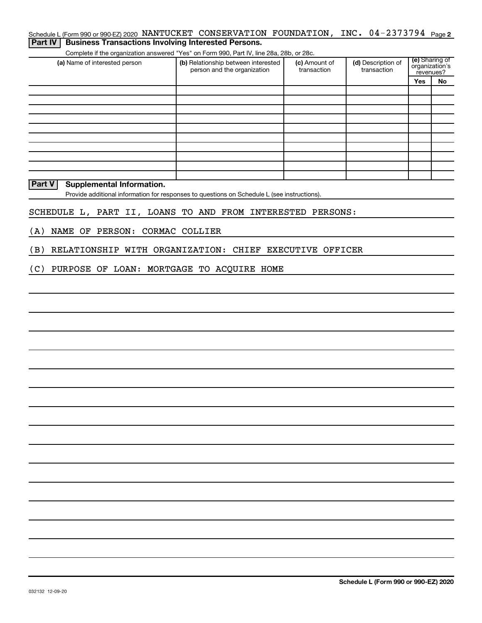| Schedule L (Form 990 or 990-EZ) 2020 NANTUCKET CONSERVATION FOUNDATION, INC. 04-2373794 Page 2<br><b>Business Transactions Involving Interested Persons.</b><br>Part IV |                                                                    |                              |                                   |                                               |    |  |
|-------------------------------------------------------------------------------------------------------------------------------------------------------------------------|--------------------------------------------------------------------|------------------------------|-----------------------------------|-----------------------------------------------|----|--|
| Complete if the organization answered "Yes" on Form 990, Part IV, line 28a, 28b, or 28c.                                                                                |                                                                    |                              |                                   |                                               |    |  |
| (a) Name of interested person                                                                                                                                           | (b) Relationship between interested<br>person and the organization | (c) Amount of<br>transaction | (d) Description of<br>transaction | (e) Sharing of<br>organization's<br>revenues? |    |  |
|                                                                                                                                                                         |                                                                    |                              |                                   |                                               |    |  |
|                                                                                                                                                                         |                                                                    |                              |                                   | Yes                                           | No |  |
|                                                                                                                                                                         |                                                                    |                              |                                   |                                               |    |  |
|                                                                                                                                                                         |                                                                    |                              |                                   |                                               |    |  |
|                                                                                                                                                                         |                                                                    |                              |                                   |                                               |    |  |
|                                                                                                                                                                         |                                                                    |                              |                                   |                                               |    |  |
|                                                                                                                                                                         |                                                                    |                              |                                   |                                               |    |  |
|                                                                                                                                                                         |                                                                    |                              |                                   |                                               |    |  |
|                                                                                                                                                                         |                                                                    |                              |                                   |                                               |    |  |
|                                                                                                                                                                         |                                                                    |                              |                                   |                                               |    |  |
| Part V<br><b>Supplemental Information.</b><br>Provide additional information for responses to questions on Schedule L (see instructions).                               |                                                                    |                              |                                   |                                               |    |  |
|                                                                                                                                                                         |                                                                    |                              |                                   |                                               |    |  |
| SCHEDULE L, PART II, LOANS TO AND FROM INTERESTED PERSONS:                                                                                                              |                                                                    |                              |                                   |                                               |    |  |
| NAME OF PERSON: CORMAC COLLIER<br>(A)                                                                                                                                   |                                                                    |                              |                                   |                                               |    |  |
| RELATIONSHIP WITH ORGANIZATION: CHIEF EXECUTIVE OFFICER<br>(B)                                                                                                          |                                                                    |                              |                                   |                                               |    |  |
| (C)<br>PURPOSE OF LOAN: MORTGAGE TO ACQUIRE HOME                                                                                                                        |                                                                    |                              |                                   |                                               |    |  |
|                                                                                                                                                                         |                                                                    |                              |                                   |                                               |    |  |
|                                                                                                                                                                         |                                                                    |                              |                                   |                                               |    |  |
|                                                                                                                                                                         |                                                                    |                              |                                   |                                               |    |  |
|                                                                                                                                                                         |                                                                    |                              |                                   |                                               |    |  |
|                                                                                                                                                                         |                                                                    |                              |                                   |                                               |    |  |
|                                                                                                                                                                         |                                                                    |                              |                                   |                                               |    |  |
|                                                                                                                                                                         |                                                                    |                              |                                   |                                               |    |  |
|                                                                                                                                                                         |                                                                    |                              |                                   |                                               |    |  |
|                                                                                                                                                                         |                                                                    |                              |                                   |                                               |    |  |
|                                                                                                                                                                         |                                                                    |                              |                                   |                                               |    |  |
|                                                                                                                                                                         |                                                                    |                              |                                   |                                               |    |  |
|                                                                                                                                                                         |                                                                    |                              |                                   |                                               |    |  |
|                                                                                                                                                                         |                                                                    |                              |                                   |                                               |    |  |
|                                                                                                                                                                         |                                                                    |                              |                                   |                                               |    |  |
|                                                                                                                                                                         |                                                                    |                              |                                   |                                               |    |  |
|                                                                                                                                                                         |                                                                    |                              |                                   |                                               |    |  |
|                                                                                                                                                                         |                                                                    |                              |                                   |                                               |    |  |
|                                                                                                                                                                         |                                                                    |                              |                                   |                                               |    |  |
|                                                                                                                                                                         |                                                                    |                              |                                   |                                               |    |  |
|                                                                                                                                                                         |                                                                    |                              |                                   |                                               |    |  |
|                                                                                                                                                                         |                                                                    |                              |                                   |                                               |    |  |
|                                                                                                                                                                         |                                                                    |                              |                                   |                                               |    |  |
|                                                                                                                                                                         |                                                                    |                              |                                   |                                               |    |  |
|                                                                                                                                                                         |                                                                    |                              |                                   |                                               |    |  |
|                                                                                                                                                                         |                                                                    |                              |                                   |                                               |    |  |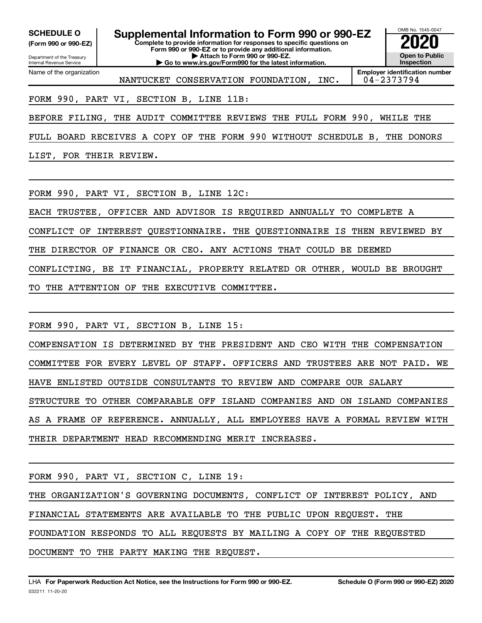**(Form 990 or 990-EZ)**

Department of the Treasury Internal Revenue Service Name of the organization

**Complete to provide information for responses to specific questions on Form 990 or 990-EZ or to provide any additional information. | Attach to Form 990 or 990-EZ. | Go to www.irs.gov/Form990 for the latest information. SCHEDULE O Supplemental Information to Form 990 or 990-EZ 2020**<br>(Form 990 or 990-EZ) Complete to provide information for responses to specific questions on



NANTUCKET CONSERVATION FOUNDATION, INC. 04-2373794

**Employer identification number**

FORM 990, PART VI, SECTION B, LINE 11B:

BEFORE FILING, THE AUDIT COMMITTEE REVIEWS THE FULL FORM 990, WHILE THE

FULL BOARD RECEIVES A COPY OF THE FORM 990 WITHOUT SCHEDULE B, THE DONORS

LIST, FOR THEIR REVIEW.

FORM 990, PART VI, SECTION B, LINE 12C:

EACH TRUSTEE, OFFICER AND ADVISOR IS REQUIRED ANNUALLY TO COMPLETE A

CONFLICT OF INTEREST QUESTIONNAIRE. THE QUESTIONNAIRE IS THEN REVIEWED BY

THE DIRECTOR OF FINANCE OR CEO. ANY ACTIONS THAT COULD BE DEEMED

CONFLICTING, BE IT FINANCIAL, PROPERTY RELATED OR OTHER, WOULD BE BROUGHT

TO THE ATTENTION OF THE EXECUTIVE COMMITTEE.

FORM 990, PART VI, SECTION B, LINE 15:

COMPENSATION IS DETERMINED BY THE PRESIDENT AND CEO WITH THE COMPENSATION COMMITTEE FOR EVERY LEVEL OF STAFF. OFFICERS AND TRUSTEES ARE NOT PAID. WE HAVE ENLISTED OUTSIDE CONSULTANTS TO REVIEW AND COMPARE OUR SALARY STRUCTURE TO OTHER COMPARABLE OFF ISLAND COMPANIES AND ON ISLAND COMPANIES AS A FRAME OF REFERENCE. ANNUALLY, ALL EMPLOYEES HAVE A FORMAL REVIEW WITH THEIR DEPARTMENT HEAD RECOMMENDING MERIT INCREASES.

FORM 990, PART VI, SECTION C, LINE 19:

THE ORGANIZATION'S GOVERNING DOCUMENTS, CONFLICT OF INTEREST POLICY, AND

FINANCIAL STATEMENTS ARE AVAILABLE TO THE PUBLIC UPON REQUEST. THE

FOUNDATION RESPONDS TO ALL REQUESTS BY MAILING A COPY OF THE REQUESTED

DOCUMENT TO THE PARTY MAKING THE REQUEST.